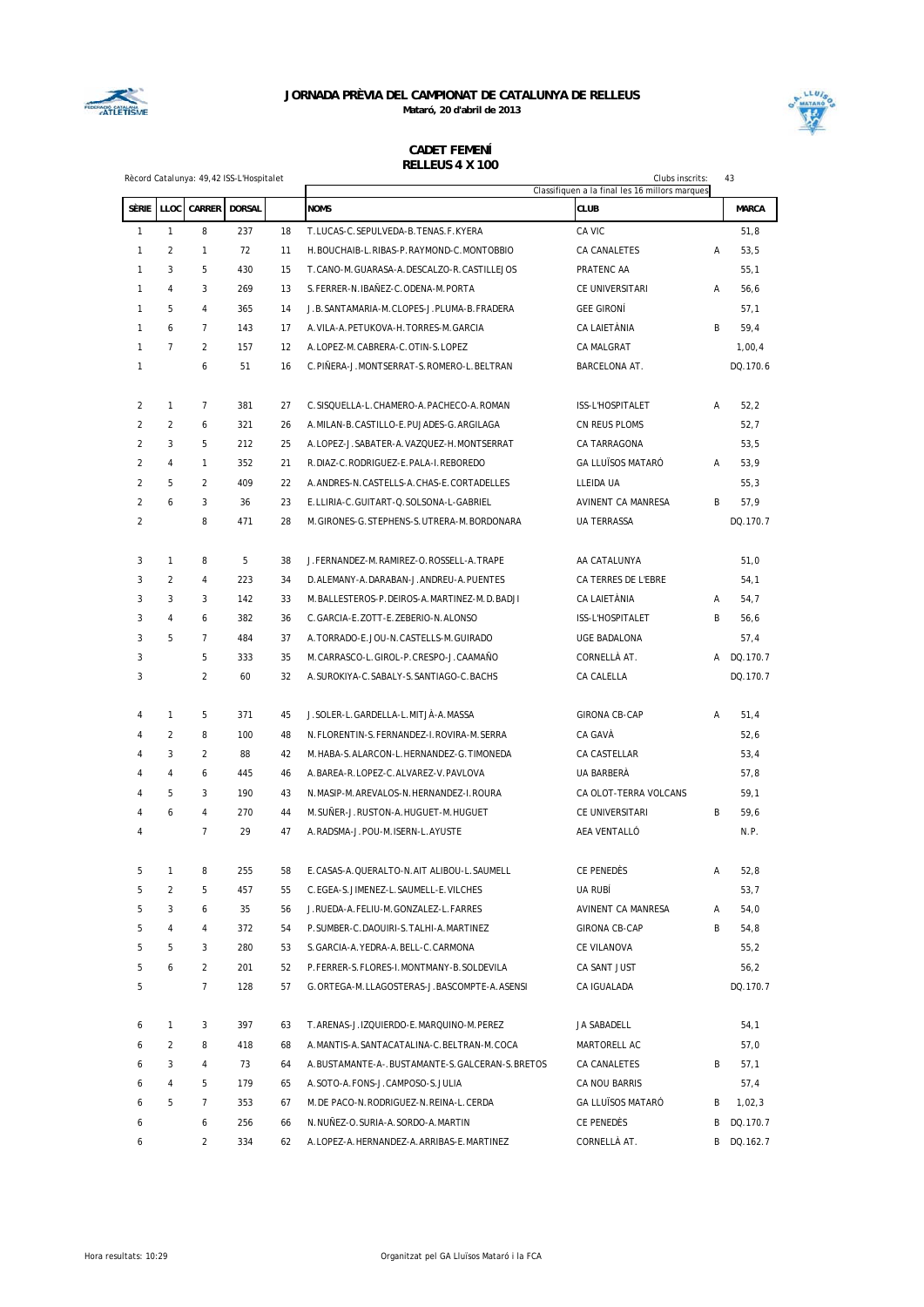



|                |                |                    | Rècord Catalunya: 49,42 ISS-L'Hospitalet |    |                                                | Clubs inscrits:<br>Classifiquen a la final les 16 millors marques |   | 43           |
|----------------|----------------|--------------------|------------------------------------------|----|------------------------------------------------|-------------------------------------------------------------------|---|--------------|
| SÈRIE          |                | LLOC CARRER DORSAL |                                          |    | <b>NOMS</b>                                    | <b>CLUB</b>                                                       |   | <b>MARCA</b> |
| $\mathbf{1}$   | $\mathbf{1}$   | 8                  | 237                                      | 18 | T.LUCAS-C.SEPULVEDA-B.TENAS.F.KYERA            | CA VIC                                                            |   | 51,8         |
| 1              | $\overline{2}$ | $\mathbf{1}$       | 72                                       | 11 | H. BOUCHAIB-L. RIBAS-P. RAYMOND-C. MONTOBBIO   | CA CANALETES                                                      | Α | 53,5         |
| 1              | 3              | 5                  | 430                                      | 15 | T.CANO-M.GUARASA-A.DESCALZO-R.CASTILLEJOS      | PRATENC AA                                                        |   | 55,1         |
| $\mathbf{1}$   | 4              | 3                  | 269                                      | 13 | S. FERRER-N. IBAÑEZ-C. ODENA-M. PORTA          | CE UNIVERSITARI                                                   | А | 56,6         |
| 1              | 5              | 4                  | 365                                      | 14 | J.B. SANTAMARIA-M. CLOPES-J. PLUMA-B. FRADERA  | <b>GEE GIRONÍ</b>                                                 |   | 57,1         |
| $\mathbf{1}$   | 6              | $\overline{7}$     | 143                                      | 17 | A. VILA-A. PETUKOVA-H. TORRES-M. GARCIA        | CA LAIETÀNIA                                                      | B | 59,4         |
| $\mathbf{1}$   | $\overline{7}$ | $\overline{c}$     | 157                                      | 12 | A.LOPEZ-M.CABRERA-C.OTIN-S.LOPEZ               | CA MALGRAT                                                        |   | 1,00,4       |
| 1              |                | 6                  | 51                                       | 16 | C.PIÑERA-J.MONTSERRAT-S.ROMERO-L.BELTRAN       | BARCELONA AT.                                                     |   | DQ.170.6     |
| 2              | $\mathbf{1}$   | $\overline{7}$     | 381                                      | 27 | C.SISQUELLA-L.CHAMERO-A.PACHECO-A.ROMAN        | ISS-L'HOSPITALET                                                  | Α | 52,2         |
| $\overline{2}$ | $\overline{2}$ | 6                  | 321                                      | 26 | A.MILAN-B.CASTILLO-E.PUJADES-G.ARGILAGA        | CN REUS PLOMS                                                     |   | 52,7         |
| $\overline{2}$ | 3              | 5                  | 212                                      | 25 | A.LOPEZ-J.SABATER-A.VAZQUEZ-H.MONTSERRAT       | CA TARRAGONA                                                      |   | 53,5         |
| $\overline{2}$ | 4              | $\mathbf{1}$       | 352                                      | 21 | R.DIAZ-C.RODRIGUEZ-E.PALA-I.REBOREDO           | <b>GA LLUÏSOS MATARÓ</b>                                          | Α | 53,9         |
| $\overline{2}$ | 5              | $\overline{c}$     | 409                                      | 22 | A.ANDRES-N.CASTELLS-A.CHAS-E.CORTADELLES       | LLEIDA UA                                                         |   | 55,3         |
| $\overline{2}$ | 6              | 3                  | 36                                       | 23 | E.LLIRIA-C.GUITART-Q.SOLSONA-L-GABRIEL         | AVINENT CA MANRESA                                                | B | 57,9         |
| $\overline{2}$ |                | 8                  | 471                                      | 28 | M. GIRONES-G. STEPHENS-S. UTRERA-M. BORDONARA  | UA TERRASSA                                                       |   | DQ.170.7     |
| 3              | $\mathbf{1}$   | 8                  | 5                                        | 38 | J.FERNANDEZ-M.RAMIREZ-O.ROSSELL-A.TRAPE        | AA CATALUNYA                                                      |   | 51,0         |
| 3              | $\overline{c}$ | 4                  | 223                                      | 34 | D. ALEMANY-A. DARABAN-J. ANDREU-A. PUENTES     | CA TERRES DE L'EBRE                                               |   | 54,1         |
| 3              | 3              | 3                  | 142                                      | 33 | M.BALLESTEROS-P.DEIROS-A.MARTINEZ-M.D.BADJI    | CA LAIETÀNIA                                                      | A | 54,7         |
| 3              | 4              | 6                  | 382                                      | 36 | C. GARCIA-E. ZOTT-E. ZEBERIO-N. ALONSO         | ISS-L'HOSPITALET                                                  | B | 56, 6        |
| 3              | 5              | $\overline{7}$     | 484                                      | 37 | A. TORRADO-E. JOU-N. CASTELLS-M. GUIRADO       | UGE BADALONA                                                      |   | 57,4         |
| 3              |                | 5                  | 333                                      | 35 | M.CARRASCO-L.GIROL-P.CRESPO-J.CAAMAÑO          | CORNELLA AT.                                                      |   | A DQ.170.7   |
| 3              |                | $\overline{2}$     | 60                                       | 32 | A.SUROKIYA-C.SABALY-S.SANTIAGO-C.BACHS         | CA CALELLA                                                        |   | DQ.170.7     |
| 4              | 1              | 5                  | 371                                      | 45 | J.SOLER-L.GARDELLA-L.MITJA-A.MASSA             | <b>GIRONA CB-CAP</b>                                              | А | 51,4         |
| 4              | $\overline{2}$ | 8                  | 100                                      | 48 | N.FLORENTIN-S.FERNANDEZ-I.ROVIRA-M.SERRA       | CA GAVÀ                                                           |   | 52,6         |
| 4              | 3              | $\overline{2}$     | 88                                       | 42 | M. HABA-S. ALARCON-L. HERNANDEZ-G. TIMONEDA    | CA CASTELLAR                                                      |   | 53,4         |
| 4              | 4              | 6                  | 445                                      | 46 | A.BAREA-R.LOPEZ-C.ALVAREZ-V.PAVLOVA            | UA BARBERA                                                        |   | 57,8         |
| 4              | 5              | 3                  | 190                                      | 43 | N.MASIP-M.AREVALOS-N.HERNANDEZ-I.ROURA         | CA OLOT-TERRA VOLCANS                                             |   | 59,1         |
| 4              | 6              | 4                  | 270                                      | 44 | M. SUÑER-J. RUSTON-A. HUGUET-M. HUGUET         | CE UNIVERSITARI                                                   | B | 59,6         |
| 4              |                | $\overline{7}$     | 29                                       | 47 | A.RADSMA-J.POU-M.ISERN-L.AYUSTE                | AEA VENTALLO                                                      |   | N.P.         |
| 5              | $\mathbf{1}$   | 8                  | 255                                      | 58 | E.CASAS-A.QUERALTO-N.AIT ALIBOU-L.SAUMELL      | CE PENEDÈS                                                        | Α | 52,8         |
| 5              | 2              | 5                  | 457                                      | 55 | C.EGEA-S.JIMENEZ-L.SAUMELL-E.VILCHES           | UA RUBÍ                                                           |   | 53,7         |
| 5              | 3              | 6                  | 35                                       | 56 | J.RUEDA-A.FELIU-M.GONZALEZ-L.FARRES            | AVINENT CA MANRESA                                                | Α | 54,0         |
| 5              | 4              | 4                  | 372                                      | 54 | P.SUMBER-C.DAOUIRI-S.TALHI-A.MARTINEZ          | <b>GIRONA CB-CAP</b>                                              | В | 54,8         |
| 5              | 5              | 3                  | 280                                      | 53 | S. GARCIA-A. YEDRA-A. BELL-C. CARMONA          | CE VILANOVA                                                       |   | 55,2         |
| 5              | 6              | $\overline{2}$     | 201                                      | 52 | P.FERRER-S.FLORES-I.MONTMANY-B.SOLDEVILA       | CA SANT JUST                                                      |   | 56,2         |
| 5              |                | $\overline{7}$     | 128                                      | 57 | G.ORTEGA-M.LLAGOSTERAS-J.BASCOMPTE-A.ASENSI    | CA IGUALADA                                                       |   | DQ.170.7     |
| 6              | $\mathbf{1}$   | 3                  | 397                                      | 63 | T.ARENAS-J.IZQUIERDO-E.MARQUINO-M.PEREZ        | JA SABADELL                                                       |   | 54,1         |
| 6              | $\overline{c}$ | 8                  | 418                                      | 68 | A.MANTIS-A.SANTACATALINA-C.BELTRAN-M.COCA      | MARTORELL AC                                                      |   | 57,0         |
| 6              | 3              | 4                  | 73                                       | 64 | A.BUSTAMANTE-A-.BUSTAMANTE-S.GALCERAN-S.BRETOS | CA CANALETES                                                      | В | 57,1         |
| 6              | 4              | 5                  | 179                                      | 65 | A.SOTO-A.FONS-J.CAMPOSO-S.JULIA                | CA NOU BARRIS                                                     |   | 57,4         |
| 6              | 5              | 7                  | 353                                      | 67 | M. DE PACO-N. RODRIGUEZ-N. REINA-L. CERDA      | GA LLUÏSOS MATARÓ                                                 | В | 1,02,3       |
| 6              |                | 6                  | 256                                      | 66 | N.NUÑEZ-O.SURIA-A.SORDO-A.MARTIN               | CE PENEDÈS                                                        | В | DQ.170.7     |
| 6              |                | 2                  | 334                                      | 62 | A.LOPEZ-A.HERNANDEZ-A.ARRIBAS-E.MARTINEZ       | CORNELLÀ AT.                                                      |   | B DQ.162.7   |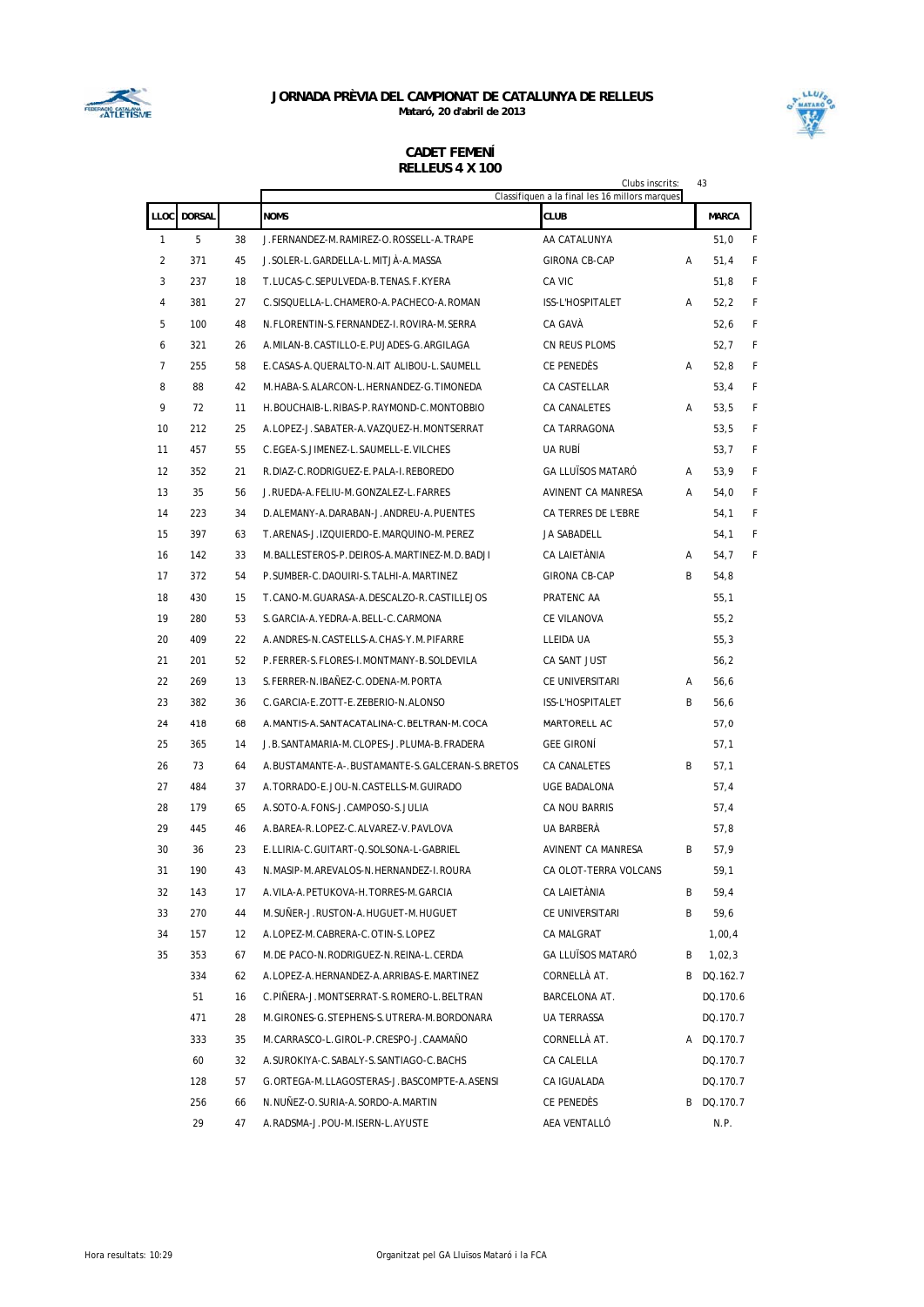



|    |             |          |                                                | Clubs inscrits:<br>Classifiquen a la final les 16 millors marques |   | 43           |   |
|----|-------------|----------|------------------------------------------------|-------------------------------------------------------------------|---|--------------|---|
|    | LLOC DORSAL |          | <b>NOMS</b>                                    | CLUB                                                              |   | <b>MARCA</b> |   |
| 1  | 5           | 38       | J.FERNANDEZ-M.RAMIREZ-O.ROSSELL-A.TRAPE        | AA CATALUNYA                                                      |   | 51,0         | F |
| 2  | 371         | 45       | J. SOLER-L. GARDELLA-L. MITJA-A. MASSA         | GIRONA CB-CAP                                                     | A | 51,4         | F |
| 3  | 237         | 18       | T.LUCAS-C.SEPULVEDA-B.TENAS.F.KYERA            | CA VIC                                                            |   | 51,8         | F |
| 4  | 381         | 27       | C.SISQUELLA-L.CHAMERO-A.PACHECO-A.ROMAN        | ISS-L'HOSPITALET                                                  | A | 52,2         | F |
| 5  | 100         | 48       | N.FLORENTIN-S.FERNANDEZ-I.ROVIRA-M.SERRA       | CA GAVÀ                                                           |   | 52,6         | F |
| 6  | 321         | 26       | A. MILAN-B. CASTILLO-E. PUJADES-G. ARGILAGA    | CN REUS PLOMS                                                     |   | 52,7         | F |
| 7  | 255         | 58       | E.CASAS-A.QUERALTO-N.AIT ALIBOU-L.SAUMELL      | CE PENEDÈS                                                        | Α | 52,8         | F |
| 8  | 88          | 42       | M. HABA-S. ALARCON-L. HERNANDEZ-G. TIMONEDA    | CA CASTELLAR                                                      |   | 53,4         | F |
| 9  | 72          | 11       | H. BOUCHAIB-L. RIBAS-P. RAYMOND-C. MONTOBBIO   | CA CANALETES                                                      | A | 53,5         | F |
| 10 | 212         | 25       | A.LOPEZ-J.SABATER-A.VAZQUEZ-H.MONTSERRAT       | CA TARRAGONA                                                      |   | 53,5         | F |
| 11 | 457         | 55       | C.EGEA-S.JIMENEZ-L.SAUMELL-E.VILCHES           | UA RUBÍ                                                           |   | 53,7         | F |
| 12 | 352         | 21       | R.DIAZ-C.RODRIGUEZ-E.PALA-I.REBOREDO           | GA LLUÏSOS MATARÓ                                                 | A | 53,9         | F |
| 13 | 35          | 56       | J.RUEDA-A.FELIU-M.GONZALEZ-L.FARRES            | AVINENT CA MANRESA                                                | A | 54,0         | F |
| 14 | 223         | 34       | D.ALEMANY-A.DARABAN-J.ANDREU-A.PUENTES         | CA TERRES DE L'EBRE                                               |   | 54,1         | F |
| 15 | 397         | 63       | T.ARENAS-J.IZQUIERDO-E.MARQUINO-M.PEREZ        | JA SABADELL                                                       |   | 54,1         | F |
| 16 | 142         | 33       | M.BALLESTEROS-P.DEIROS-A.MARTINEZ-M.D.BADJI    | CA LAIETÀNIA                                                      | A | 54,7         | F |
| 17 | 372         | 54       | P.SUMBER-C.DAOUIRI-S.TALHI-A.MARTINEZ          | <b>GIRONA CB-CAP</b>                                              | B | 54,8         |   |
| 18 | 430         | 15       | T.CANO-M.GUARASA-A.DESCALZO-R.CASTILLEJOS      | PRATENC AA                                                        |   | 55,1         |   |
| 19 | 280         | 53       | S.GARCIA-A. YEDRA-A. BELL-C. CARMONA           | CE VILANOVA                                                       |   | 55,2         |   |
| 20 | 409         | 22       | A.ANDRES-N.CASTELLS-A.CHAS-Y.M.PIFARRE         | LLEIDA UA                                                         |   | 55,3         |   |
| 21 | 201         | 52       | P.FERRER-S.FLORES-I.MONTMANY-B.SOLDEVILA       | CA SANT JUST                                                      |   | 56,2         |   |
| 22 | 269         | 13       | S.FERRER-N.IBAÑEZ-C.ODENA-M.PORTA              | CE UNIVERSITARI                                                   | Α | 56,6         |   |
| 23 | 382         | 36       | C.GARCIA-E.ZOTT-E.ZEBERIO-N.ALONSO             | ISS-L'HOSPITALET                                                  | B | 56,6         |   |
| 24 | 418         | 68       | A. MANTIS-A. SANTACATALINA-C. BELTRAN-M. COCA  | MARTORELL AC                                                      |   | 57,0         |   |
| 25 | 365         | 14       | J.B. SANTAMARIA-M. CLOPES-J. PLUMA-B. FRADERA  | <b>GEE GIRONI</b>                                                 |   | 57,1         |   |
| 26 | 73          | 64       | A.BUSTAMANTE-A-.BUSTAMANTE-S.GALCERAN-S.BRETOS | CA CANALETES                                                      | B | 57,1         |   |
| 27 | 484         | 37       | A. TORRADO-E. JOU-N. CASTELLS-M. GUIRADO       | UGE BADALONA                                                      |   | 57,4         |   |
| 28 | 179         | 65       | A.SOTO-A.FONS-J.CAMPOSO-S.JULIA                | CA NOU BARRIS                                                     |   | 57,4         |   |
| 29 | 445         | 46       | A.BAREA-R.LOPEZ-C.ALVAREZ-V.PAVLOVA            | UA BARBERÀ                                                        |   | 57,8         |   |
| 30 | 36          | 23       | E.LLIRIA-C.GUITART-Q.SOLSONA-L-GABRIEL         | AVINENT CA MANRESA                                                | B | 57,9         |   |
| 31 | 190         | 43       | N.MASIP-M.AREVALOS-N.HERNANDEZ-I.ROURA         | CA OLOT-TERRA VOLCANS                                             |   | 59,1         |   |
| 32 | 143         | 17       | A. VILA-A. PETUKOVA-H. TORRES-M. GARCIA        | CA LAIETÀNIA                                                      | B | 59,4         |   |
| 33 | 270         | 44       | M.SUÑER-J.RUSTON-A.HUGUET-M.HUGUET             | CE UNIVERSITARI                                                   | B | 59,6         |   |
| 34 | 157         | 12       | A.LOPEZ-M.CABRERA-C.OTIN-S.LOPEZ               | CA MALGRAT                                                        |   | 1,00,4       |   |
| 35 | 353         | 67       | M.DE PACO-N.RODRIGUEZ-N.REINA-L.CERDA          | <b>GA LLUÏSOS MATARÓ</b>                                          | B | 1,02,3       |   |
|    | 334         | 62       | A.LOPEZ-A.HERNANDEZ-A.ARRIBAS-E.MARTINEZ       | CORNELLÀ AT.                                                      |   | B DQ.162.7   |   |
|    | 51          | 16       | C.PIÑERA-J.MONTSERRAT-S.ROMERO-L.BELTRAN       | BARCELONA AT.                                                     |   | DQ.170.6     |   |
|    | 471         | 28       | M. GIRONES-G. STEPHENS-S. UTRERA-M. BORDONARA  | UA TERRASSA                                                       |   | DQ.170.7     |   |
|    | 333         | 35       | M.CARRASCO-L.GIROL-P.CRESPO-J.CAAMAÑO          | CORNELLÀ AT.                                                      |   | A DQ.170.7   |   |
|    | 60          | 32       | A.SUROKIYA-C.SABALY-S.SANTIAGO-C.BACHS         | CA CALELLA                                                        |   | DQ.170.7     |   |
|    | 128         | 57       | G.ORTEGA-M.LLAGOSTERAS-J.BASCOMPTE-A.ASENSI    | CA IGUALADA                                                       |   | DQ.170.7     |   |
|    | 256<br>29   | 66<br>47 | N.NUÑEZ-O.SURIA-A.SORDO-A.MARTIN               | CE PENEDÈS<br>AEA VENTALLÓ                                        |   | B DQ.170.7   |   |
|    |             |          | A.RADSMA-J.POU-M.ISERN-L.AYUSTE                |                                                                   |   | N.P.         |   |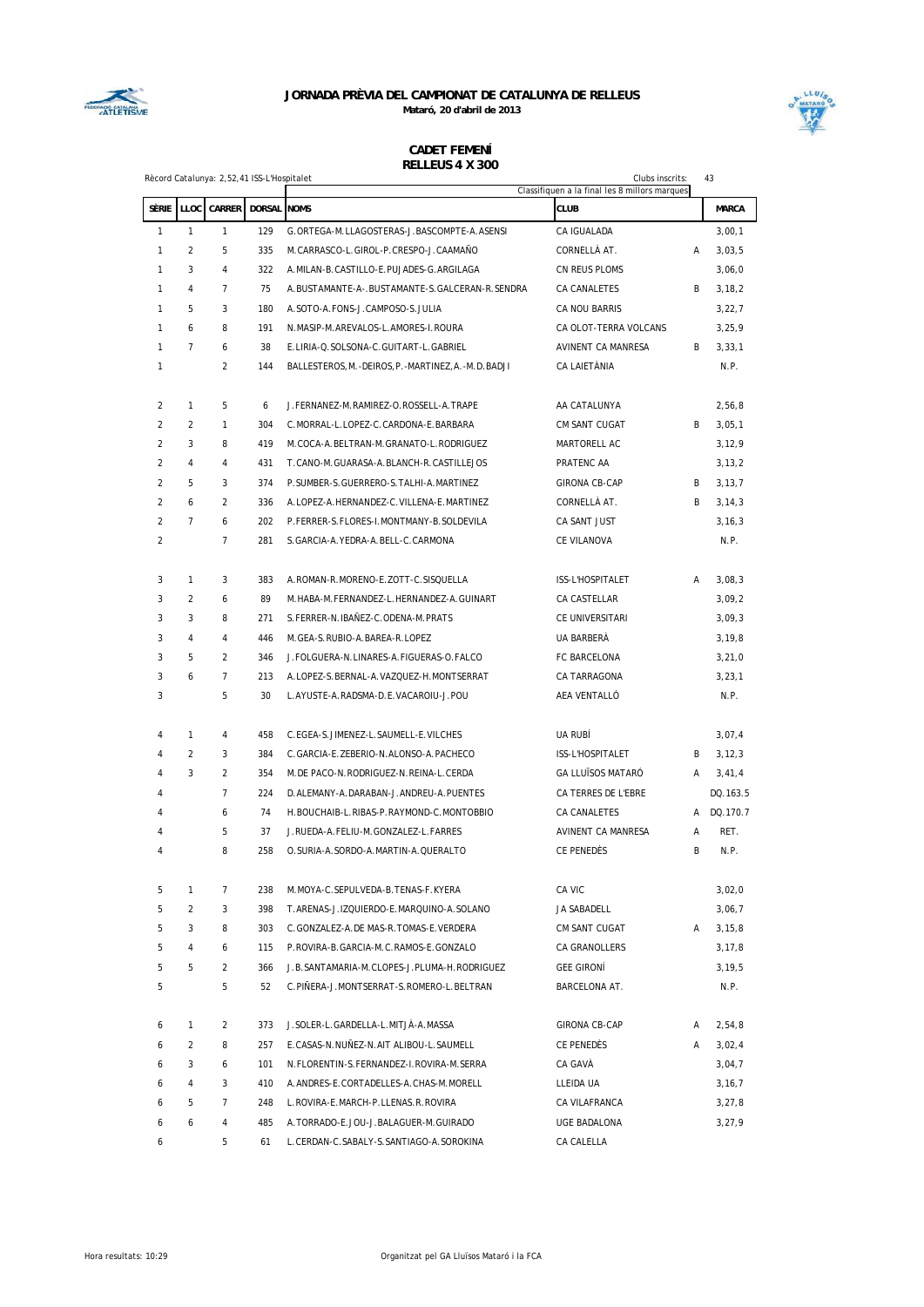



|                |                | Rècord Catalunya: 2,52,41 ISS-L'Hospitalet |             |                                                           | Clubs inscrits:                                              |   | 43               |
|----------------|----------------|--------------------------------------------|-------------|-----------------------------------------------------------|--------------------------------------------------------------|---|------------------|
| SÈRIE          |                | LLOC CARRER                                | DORSAL NOMS |                                                           | Classifiquen a la final les 8 millors marques<br><b>CLUB</b> |   | <b>MARCA</b>     |
| 1              | $\mathbf{1}$   | $\mathbf{1}$                               | 129         | G.ORTEGA-M.LLAGOSTERAS-J.BASCOMPTE-A.ASENSI               | CA IGUALADA                                                  |   |                  |
| $\mathbf{1}$   | $\overline{2}$ | 5                                          | 335         | M.CARRASCO-L.GIROL-P.CRESPO-J.CAAMAÑO                     | CORNELLÀ AT.                                                 | Α | 3,00,1<br>3,03,5 |
| $\mathbf{1}$   | 3              | 4                                          | 322         | A. MILAN-B. CASTILLO-E. PUJADES-G. ARGILAGA               | CN REUS PLOMS                                                |   | 3,06,0           |
| $\mathbf{1}$   | $\overline{4}$ | $\overline{7}$                             | 75          | A. BUSTAMANTE-A-. BUSTAMANTE-S. GALCERAN-R. SENDRA        | CA CANALETES                                                 | B | 3, 18, 2         |
| $\mathbf{1}$   | 5              | 3                                          | 180         | A.SOTO-A.FONS-J.CAMPOSO-S.JULIA                           | CA NOU BARRIS                                                |   | 3,22,7           |
| $\mathbf{1}$   | 6              | 8                                          | 191         | N.MASIP-M.AREVALOS-L.AMORES-I.ROURA                       | CA OLOT-TERRA VOLCANS                                        |   | 3,25,9           |
| $\mathbf{1}$   | $\overline{7}$ | 6                                          | 38          | E.LIRIA-Q.SOLSONA-C.GUITART-L.GABRIEL                     | AVINENT CA MANRESA                                           | B | 3,33,1           |
| 1              |                | $\overline{2}$                             | 144         | BALLESTEROS, M. - DEIROS, P. - MARTINEZ, A. - M. D. BADJI | <b>CA LAIETÀNIA</b>                                          |   | N.P.             |
|                |                |                                            |             |                                                           |                                                              |   |                  |
| $\overline{2}$ | 1              | 5                                          | 6           | J. FERNANEZ-M. RAMIREZ-O. ROSSELL-A. TRAPE                | AA CATALUNYA                                                 |   | 2,56,8           |
| $\overline{2}$ | $\overline{2}$ | $\mathbf{1}$                               | 304         | C.MORRAL-L.LOPEZ-C.CARDONA-E.BARBARA                      | CM SANT CUGAT                                                | B | 3,05,1           |
| 2              | 3              | 8                                          | 419         | M.COCA-A.BELTRAN-M.GRANATO-L.RODRIGUEZ                    | MARTORELL AC                                                 |   | 3, 12, 9         |
| $\overline{2}$ | $\overline{4}$ | 4                                          | 431         | T. CANO-M. GUARASA-A. BLANCH-R. CASTILLEJOS               | PRATENC AA                                                   |   | 3, 13, 2         |
| $\overline{2}$ | 5              | 3                                          | 374         | P. SUMBER-S. GUERRERO-S. TALHI-A. MARTINEZ                | <b>GIRONA CB-CAP</b>                                         | B | 3, 13, 7         |
| 2              | 6              | $\overline{2}$                             | 336         | A.LOPEZ-A.HERNANDEZ-C.VILLENA-E.MARTINEZ                  | CORNELLÀ AT.                                                 | B | 3, 14, 3         |
| $\overline{a}$ | $\overline{7}$ | 6                                          | 202         | P. FERRER-S. FLORES-I. MONTMANY-B. SOLDEVILA              | CA SANT JUST                                                 |   | 3, 16, 3         |
| $\overline{2}$ |                | $\overline{7}$                             | 281         | S. GARCIA-A. YEDRA-A. BELL-C. CARMONA                     | CE VILANOVA                                                  |   | N.P.             |
|                |                |                                            |             |                                                           |                                                              |   |                  |
| 3              | $\mathbf{1}$   | 3                                          | 383         | A. ROMAN-R. MORENO-E. ZOTT-C. SISQUELLA                   | ISS-L'HOSPITALET                                             | A | 3,08,3           |
| 3              | $\overline{2}$ | 6                                          | 89          | M.HABA-M.FERNANDEZ-L.HERNANDEZ-A.GUINART                  | CA CASTELLAR                                                 |   | 3,09,2           |
| 3              | 3              | 8                                          | 271         | S. FERRER-N. IBAÑEZ-C. ODENA-M. PRATS                     | CE UNIVERSITARI                                              |   | 3,09,3           |
| 3              | $\overline{4}$ | 4                                          | 446         | M.GEA-S.RUBIO-A.BAREA-R.LOPEZ                             | UA BARBERÀ                                                   |   | 3, 19, 8         |
| 3              | 5              | $\overline{2}$                             | 346         | J. FOLGUERA-N. LINARES-A. FIGUERAS-O. FALCO               | FC BARCELONA                                                 |   | 3,21,0           |
| 3              | 6              | $\overline{7}$                             | 213         | A.LOPEZ-S.BERNAL-A.VAZQUEZ-H.MONTSERRAT                   | CA TARRAGONA                                                 |   | 3, 23, 1         |
| 3              |                | 5                                          | 30          | L.AYUSTE-A.RADSMA-D.E.VACAROIU-J.POU                      | AEA VENTALLÓ                                                 |   | N.P.             |
|                |                |                                            |             |                                                           |                                                              |   |                  |
| 4              | $\mathbf{1}$   | 4                                          | 458         | C.EGEA-S.JIMENEZ-L.SAUMELL-E.VILCHES                      | UA RUBÍ                                                      |   | 3,07,4           |
| 4              | $\overline{2}$ | 3                                          | 384         | C.GARCIA-E.ZEBERIO-N.ALONSO-A.PACHECO                     | ISS-L'HOSPITALET                                             | B | 3, 12, 3         |
| 4              | 3              | $\overline{a}$                             | 354         | M.DE PACO-N.RODRIGUEZ-N.REINA-L.CERDA                     | <b>GA LLUÏSOS MATARÓ</b>                                     | Α | 3,41,4           |
| 4              |                | $\overline{7}$                             | 224         | D. ALEMANY-A. DARABAN-J. ANDREU-A. PUENTES                | CA TERRES DE L'EBRE                                          |   | DQ.163.5         |
| 4              |                | 6                                          | 74          | H.BOUCHAIB-L.RIBAS-P.RAYMOND-C.MONTOBBIO                  | CA CANALETES                                                 |   | A DQ.170.7       |
| 4              |                | 5                                          | 37          | J.RUEDA-A.FELIU-M.GONZALEZ-L.FARRES                       | AVINENT CA MANRESA                                           | А | RET.             |
| 4              |                | 8                                          | 258         | O. SURIA-A. SORDO-A. MARTIN-A. QUERALTO                   | CE PENEDÈS                                                   | B | N.P.             |
|                |                |                                            |             |                                                           |                                                              |   |                  |
| 5              | 1              | 7                                          | 238         | M.MOYA-C.SEPULVEDA-B.TENAS-F.KYERA                        | CA VIC                                                       |   | 3,02,0           |
| 5              | $\overline{2}$ | 3                                          | 398         | T.ARENAS-J.IZQUIERDO-E.MARQUINO-A.SOLANO                  | JA SABADELL                                                  |   | 3,06,7           |
| 5              | 3              | 8                                          | 303         | C.GONZALEZ-A.DE MAS-R.TOMAS-E.VERDERA                     | CM SANT CUGAT                                                | A | 3, 15, 8         |
| 5              | 4              | 6                                          | 115         | P.ROVIRA-B.GARCIA-M.C.RAMOS-E.GONZALO                     | CA GRANOLLERS                                                |   | 3, 17, 8         |
| 5              | 5              | $\overline{2}$                             | 366         | J.B.SANTAMARIA-M.CLOPES-J.PLUMA-H.RODRIGUEZ               | <b>GEE GIRONÍ</b>                                            |   | 3, 19, 5         |
| 5              |                | 5                                          | 52          | C.PIÑERA-J.MONTSERRAT-S.ROMERO-L.BELTRAN                  | <b>BARCELONA AT.</b>                                         |   | N.P.             |
|                |                |                                            |             |                                                           |                                                              |   |                  |
| 6              | $\mathbf{1}$   | $\overline{a}$                             | 373         | J.SOLER-L.GARDELLA-L.MITJÀ-A.MASSA                        | GIRONA CB-CAP                                                | Α | 2,54,8           |
| 6              | $\overline{a}$ | 8                                          | 257         | E.CASAS-N.NUÑEZ-N.AIT ALIBOU-L.SAUMELL                    | CE PENEDÈS                                                   | A | 3,02,4           |
| 6              | 3              | 6                                          | 101         | N.FLORENTIN-S.FERNANDEZ-I.ROVIRA-M.SERRA                  | CA GAVÀ                                                      |   | 3,04,7           |
| 6              | $\overline{4}$ | 3                                          | 410         | A.ANDRES-E.CORTADELLES-A.CHAS-M.MORELL                    | LLEIDA UA                                                    |   | 3, 16, 7         |
| 6              | 5              | $\overline{7}$                             | 248         | L.ROVIRA-E.MARCH-P.LLENAS.R.ROVIRA                        | CA VILAFRANCA                                                |   | 3, 27, 8         |
| 6              | 6              | 4                                          | 485         | A. TORRADO-E. JOU-J. BALAGUER-M. GUIRADO                  | UGE BADALONA                                                 |   | 3,27,9           |
| 6              |                | 5                                          | 61          | L. CERDAN-C. SABALY-S. SANTIAGO-A. SOROKINA               | CA CALELLA                                                   |   |                  |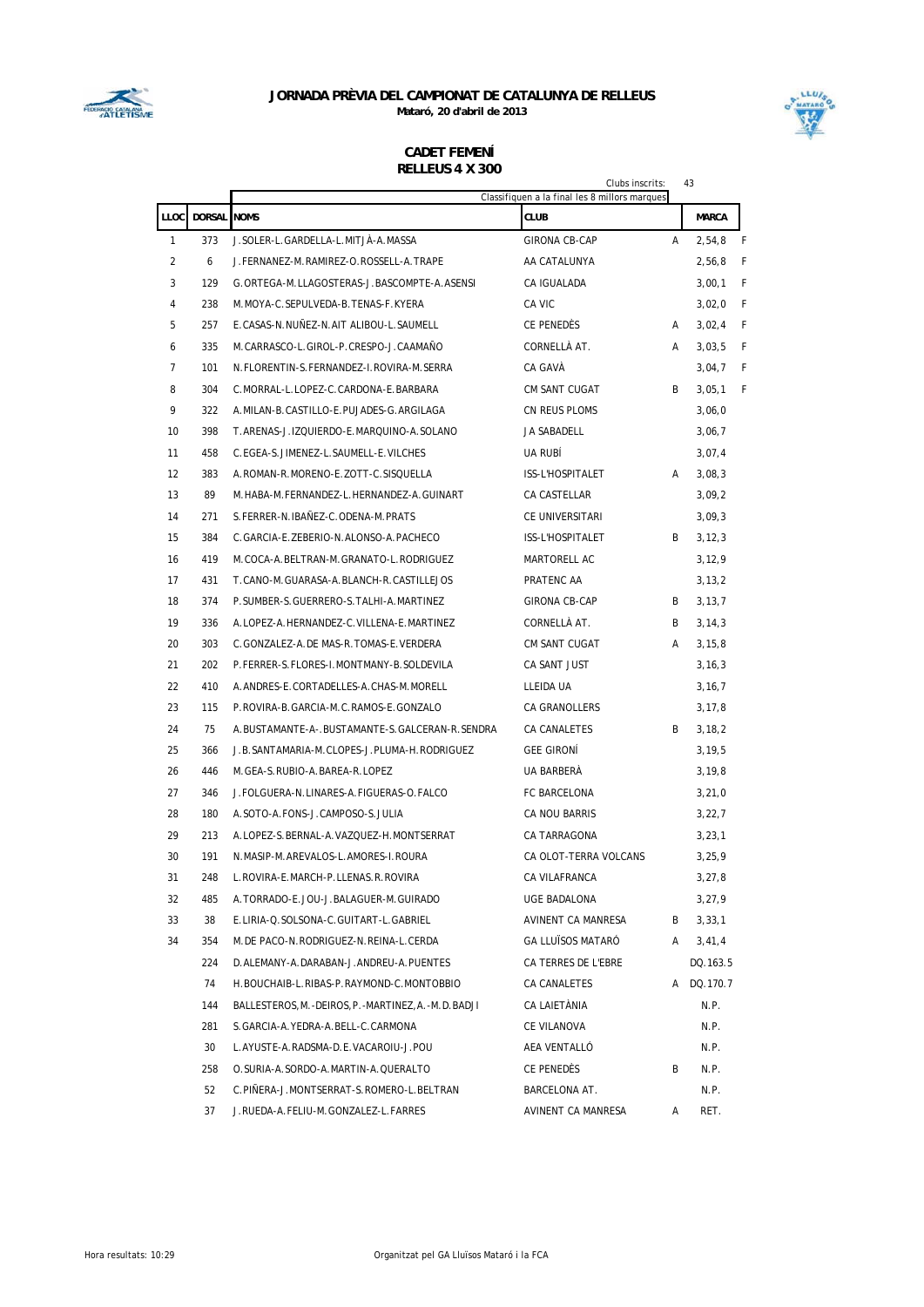



|                |                    |                                                        | Clubs inscrits:                               |   | 43           |   |
|----------------|--------------------|--------------------------------------------------------|-----------------------------------------------|---|--------------|---|
|                |                    |                                                        | Classifiquen a la final les 8 millors marques |   |              |   |
| LLOC           | <b>DORSAL NOMS</b> |                                                        | <b>CLUB</b>                                   |   | <b>MARCA</b> |   |
| 1              | 373                | J.SOLER-L.GARDELLA-L.MITJÀ-A.MASSA                     | <b>GIRONA CB-CAP</b>                          | A | 2,54,8       | F |
| $\overline{2}$ | 6                  | J.FERNANEZ-M.RAMIREZ-O.ROSSELL-A.TRAPE                 | AA CATALUNYA                                  |   | 2,56,8       | F |
| 3              | 129                | G.ORTEGA-M.LLAGOSTERAS-J.BASCOMPTE-A.ASENSI            | CA IGUALADA                                   |   | 3,00,1       | F |
| 4              | 238                | M.MOYA-C.SEPULVEDA-B.TENAS-F.KYERA                     | CA VIC                                        |   | 3,02,0       | F |
| 5              | 257                | E.CASAS-N.NUÑEZ-N.AIT ALIBOU-L.SAUMELL                 | CE PENEDÈS                                    | A | 3,02,4       | F |
| 6              | 335                | M.CARRASCO-L.GIROL-P.CRESPO-J.CAAMAÑO                  | CORNELLÀ AT.                                  | A | 3,03,5       | F |
| $\overline{7}$ | 101                | N. FLORENTIN-S. FERNANDEZ-I. ROVIRA-M. SERRA           | CA GAVA                                       |   | 3,04,7       | F |
| 8              | 304                | C.MORRAL-L.LOPEZ-C.CARDONA-E.BARBARA                   | CM SANT CUGAT                                 | B | 3,05,1       | F |
| 9              | 322                | A.MILAN-B.CASTILLO-E.PUJADES-G.ARGILAGA                | CN REUS PLOMS                                 |   | 3,06,0       |   |
| 10             | 398                | T.ARENAS-J.IZQUIERDO-E.MARQUINO-A.SOLANO               | JA SABADELL                                   |   | 3,06,7       |   |
| 11             | 458                | C.EGEA-S.JIMENEZ-L.SAUMELL-E.VILCHES                   | UA RUBI                                       |   | 3,07,4       |   |
| 12             | 383                | A.ROMAN-R.MORENO-E.ZOTT-C.SISQUELLA                    | ISS-L'HOSPITALET                              | A | 3,08,3       |   |
| 13             | 89                 | M.HABA-M.FERNANDEZ-L.HERNANDEZ-A.GUINART               | CA CASTELLAR                                  |   | 3,09,2       |   |
| 14             | 271                | S. FERRER-N. IBAÑEZ-C. ODENA-M. PRATS                  | CE UNIVERSITARI                               |   | 3,09,3       |   |
| 15             | 384                | C.GARCIA-E.ZEBERIO-N.ALONSO-A.PACHECO                  | ISS-L'HOSPITALET                              | B | 3, 12, 3     |   |
| 16             | 419                | M.COCA-A.BELTRAN-M.GRANATO-L.RODRIGUEZ                 | MARTORELL AC                                  |   | 3, 12, 9     |   |
| 17             | 431                | T.CANO-M.GUARASA-A.BLANCH-R.CASTILLEJOS                | PRATENC AA                                    |   | 3, 13, 2     |   |
| 18             | 374                | P.SUMBER-S.GUERRERO-S.TALHI-A.MARTINEZ                 | GIRONA CB-CAP                                 | B | 3, 13, 7     |   |
| 19             | 336                | A.LOPEZ-A.HERNANDEZ-C.VILLENA-E.MARTINEZ               | CORNELLA AT.                                  | B | 3, 14, 3     |   |
| 20             | 303                | C.GONZALEZ-A.DE MAS-R.TOMAS-E.VERDERA                  | CM SANT CUGAT                                 | A | 3, 15, 8     |   |
| 21             | 202                | P. FERRER-S. FLORES-I. MONTMANY-B. SOLDEVILA           | CA SANT JUST                                  |   | 3, 16, 3     |   |
| 22             | 410                | A.ANDRES-E.CORTADELLES-A.CHAS-M.MORELL                 | LLEIDA UA                                     |   | 3, 16, 7     |   |
| 23             | 115                | P.ROVIRA-B.GARCIA-M.C.RAMOS-E.GONZALO                  | CA GRANOLLERS                                 |   | 3, 17, 8     |   |
| 24             | 75                 | A.BUSTAMANTE-A-.BUSTAMANTE-S.GALCERAN-R.SENDRA         | CA CANALETES                                  | B | 3, 18, 2     |   |
| 25             | 366                | J.B. SANTAMARIA-M. CLOPES-J. PLUMA-H. RODRIGUEZ        | <b>GEE GIRONI</b>                             |   | 3, 19, 5     |   |
| 26             | 446                | M. GEA-S. RUBIO-A. BAREA-R. LOPEZ                      | UA BARBERA                                    |   | 3, 19, 8     |   |
| 27             | 346                | J.FOLGUERA-N.LINARES-A.FIGUERAS-O.FALCO                | FC BARCELONA                                  |   | 3,21,0       |   |
| 28             | 180                | A.SOTO-A.FONS-J.CAMPOSO-S.JULIA                        | <b>CA NOU BARRIS</b>                          |   | 3,22,7       |   |
| 29             | 213                | A.LOPEZ-S.BERNAL-A.VAZQUEZ-H.MONTSERRAT                | CA TARRAGONA                                  |   | 3,23,1       |   |
| 30             | 191                | N.MASIP-M.AREVALOS-L.AMORES-I.ROURA                    | CA OLOT-TERRA VOLCANS                         |   | 3, 25, 9     |   |
| 31             | 248                | L.ROVIRA-E.MARCH-P.LLENAS.R.ROVIRA                     | CA VILAFRANCA                                 |   | 3, 27, 8     |   |
| 32             | 485                | A. TORRADO-E. JOU-J. BALAGUER-M. GUIRADO               | UGE BADALONA                                  |   | 3,27,9       |   |
| 33             | 38                 | E.LIRIA-Q.SOLSONA-C.GUITART-L.GABRIEL                  | AVINENT CA MANRESA                            | В | 3,33,1       |   |
| 34             | 354                | M. DE PACO-N. RODRIGUEZ-N. REINA-L. CERDA              | GA LLUÏSOS MATARÓ                             | Α | 3,41,4       |   |
|                | 224                | D.ALEMANY-A.DARABAN-J.ANDREU-A.PUENTES                 | CA TERRES DE L'EBRE                           |   | DQ.163.5     |   |
|                | 74                 | H. BOUCHAIB-L. RIBAS-P. RAYMOND-C. MONTOBBIO           | CA CANALETES                                  |   | A DQ.170.7   |   |
|                | 144                | BALLESTEROS, M. -DEIROS, P. -MARTINEZ, A. -M. D. BADJI | CA LAIETÀNIA                                  |   | N.P.         |   |
|                | 281                | S. GARCIA-A. YEDRA-A. BELL-C. CARMONA                  | CE VILANOVA                                   |   | N.P.         |   |
|                | 30                 | L.AYUSTE-A.RADSMA-D.E.VACAROIU-J.POU                   | AEA VENTALLÓ                                  |   | N.P.         |   |
|                | 258                | O. SURIA-A. SORDO-A. MARTIN-A. QUERALTO                | CE PENEDÉS                                    | B | N.P.         |   |
|                | 52                 | C.PIÑERA-J.MONTSERRAT-S.ROMERO-L.BELTRAN               | BARCELONA AT.                                 |   | N.P.         |   |
|                | 37                 | J.RUEDA-A.FELIU-M.GONZALEZ-L.FARRES                    | AVINENT CA MANRESA                            | Α | RET.         |   |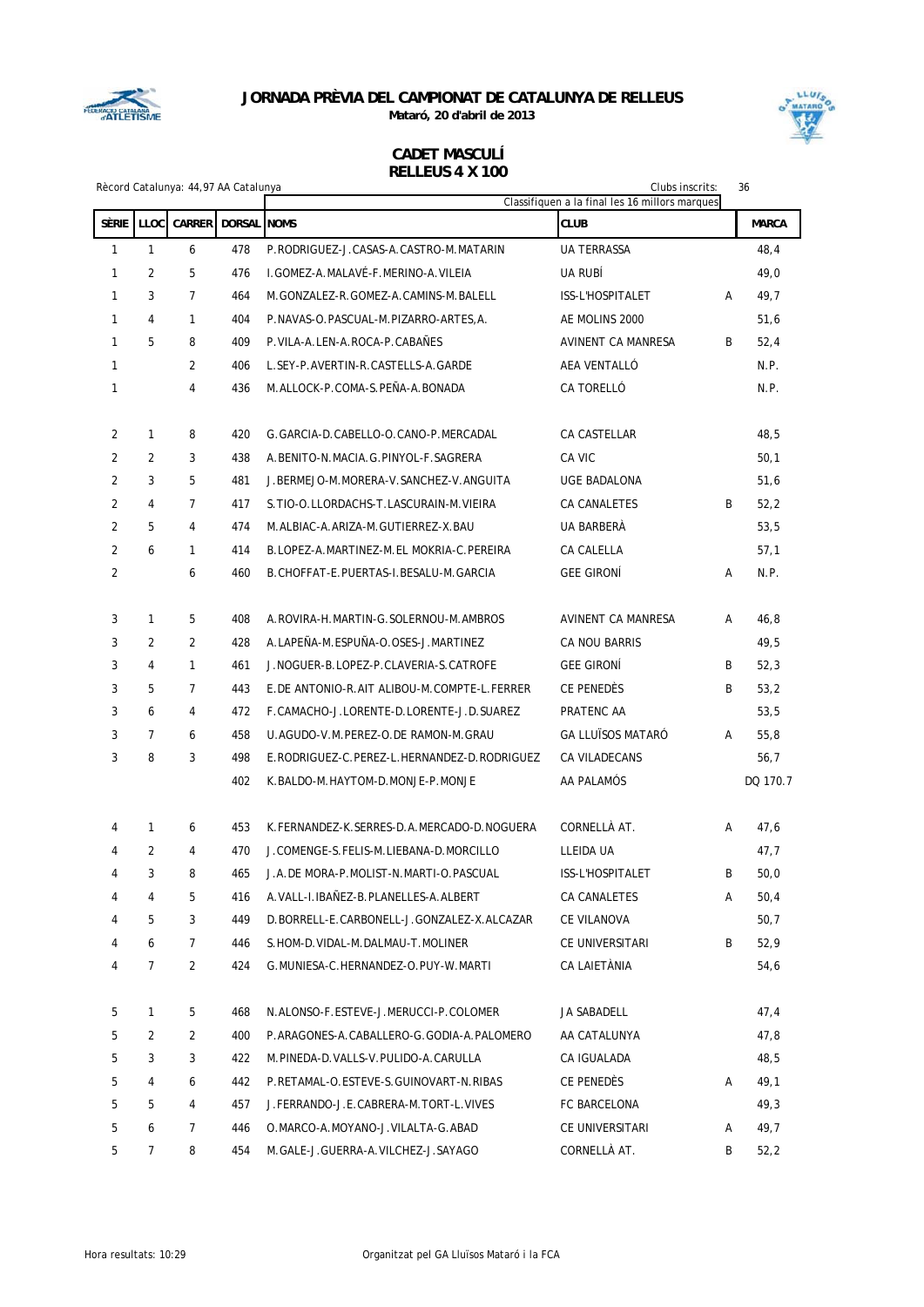

**Mataró, 20 d'abril de 2013**



|                |                | Rècord Catalunya: 44,97 AA Catalunya |                    |                                             | Clubs inscrits:<br>Classifiquen a la final les 16 millors marques |   | 36           |
|----------------|----------------|--------------------------------------|--------------------|---------------------------------------------|-------------------------------------------------------------------|---|--------------|
| Sèrie          | <b>LLOC</b>    | <b>CARRER</b>                        | <b>DORSAL NOMS</b> |                                             | <b>CLUB</b>                                                       |   | <b>MARCA</b> |
| 1              | $\mathbf{1}$   | 6                                    | 478                | P.RODRIGUEZ-J.CASAS-A.CASTRO-M.MATARIN      | <b>UA TERRASSA</b>                                                |   | 48,4         |
| 1              | 2              | 5                                    | 476                | I. GOMEZ-A. MALAVÉ-F. MERINO-A. VILEIA      | UA RUBÍ                                                           |   | 49,0         |
| 1              | 3              | $\overline{7}$                       | 464                | M.GONZALEZ-R.GOMEZ-A.CAMINS-M.BALELL        | ISS-L'HOSPITALET                                                  | Α | 49,7         |
| 1              | 4              | $\mathbf{1}$                         | 404                | P.NAVAS-O.PASCUAL-M.PIZARRO-ARTES, A.       | AE MOLINS 2000                                                    |   | 51,6         |
| 1              | 5              | 8                                    | 409                | P. VILA-A. LEN-A. ROCA-P. CABAÑES           | AVINENT CA MANRESA                                                | B | 52,4         |
| $\mathbf{1}$   |                | $\overline{2}$                       | 406                | L.SEY-P.AVERTIN-R.CASTELLS-A.GARDE          | AEA VENTALLÓ                                                      |   | N.P.         |
| 1              |                | 4                                    | 436                | M.ALLOCK-P.COMA-S.PEÑA-A.BONADA             | CA TORELLÓ                                                        |   | N.P.         |
|                |                |                                      |                    |                                             |                                                                   |   |              |
| 2              | 1              | 8                                    | 420                | G. GARCIA-D. CABELLO-O. CANO-P. MERCADAL    | CA CASTELLAR                                                      |   | 48,5         |
| $\overline{2}$ | $\overline{2}$ | 3                                    | 438                | A. BENITO-N. MACIA. G. PINYOL-F. SAGRERA    | CA VIC                                                            |   | 50,1         |
| 2              | 3              | 5                                    | 481                | J. BERMEJO-M. MORERA-V. SANCHEZ-V. ANGUITA  | <b>UGE BADALONA</b>                                               |   | 51,6         |
| 2              | 4              | $\overline{7}$                       | 417                | S. TIO-O. LLORDACHS-T. LASCURAIN-M. VIEIRA  | CA CANALETES                                                      | B | 52,2         |
| 2              | 5              | 4                                    | 474                | M.ALBIAC-A.ARIZA-M.GUTIERREZ-X.BAU          | UA BARBERÀ                                                        |   | 53,5         |
| 2              | 6              | 1                                    | 414                | B.LOPEZ-A.MARTINEZ-M.EL MOKRIA-C.PEREIRA    | <b>CA CALELLA</b>                                                 |   | 57,1         |
| 2              |                | 6                                    | 460                | B. CHOFFAT-E. PUERTAS-I. BESALU-M. GARCIA   | <b>GEE GIRONÍ</b>                                                 | Α | N.P.         |
|                |                |                                      |                    |                                             |                                                                   |   |              |
| 3              | 1              | 5                                    | 408                | A.ROVIRA-H.MARTIN-G.SOLERNOU-M.AMBROS       | AVINENT CA MANRESA                                                | A | 46,8         |
| 3              | 2              | $\overline{2}$                       | 428                | A.LAPEÑA-M.ESPUÑA-O.OSES-J.MARTINEZ         | CA NOU BARRIS                                                     |   | 49,5         |
| 3              | 4              | $\mathbf{1}$                         | 461                | J.NOGUER-B.LOPEZ-P.CLAVERIA-S.CATROFE       | <b>GEE GIRONÍ</b>                                                 | B | 52,3         |
| 3              | 5              | $\overline{7}$                       | 443                | E.DE ANTONIO-R.AIT ALIBOU-M.COMPTE-L.FERRER | CE PENEDÈS                                                        | B | 53,2         |
| 3              | 6              | 4                                    | 472                | F.CAMACHO-J.LORENTE-D.LORENTE-J.D.SUAREZ    | PRATENC AA                                                        |   | 53,5         |
| 3              | $\overline{7}$ | 6                                    | 458                | U.AGUDO-V.M.PEREZ-O.DE RAMON-M.GRAU         | <b>GA LLUÏSOS MATARÓ</b>                                          | A | 55,8         |
| 3              | 8              | 3                                    | 498                | E.RODRIGUEZ-C.PEREZ-L.HERNANDEZ-D.RODRIGUEZ | CA VILADECANS                                                     |   | 56,7         |
|                |                |                                      | 402                | K.BALDO-M.HAYTOM-D.MONJE-P.MONJE            | AA PALAMÓS                                                        |   | DQ 170.7     |
| 4              | 1              | 6                                    | 453                | K.FERNANDEZ-K.SERRES-D.A.MERCADO-D.NOGUERA  | CORNELLÀ AT.                                                      | Α | 47,6         |
| 4              | 2              | 4                                    | 470                | J.COMENGE-S.FELIS-M.LIEBANA-D.MORCILLO      | LLEIDA UA                                                         |   | 47,7         |
| 4              | 3              | 8                                    |                    | 465 J.A.DE MORA-P.MOLIST-N.MARTI-O.PASCUAL  | ISS-L'HOSPITALET                                                  | B | 50,0         |
| 4              | 4              | 5                                    | 416                | A. VALL-I. IBAÑEZ-B. PLANELLES-A. ALBERT    | CA CANALETES                                                      | Α | 50,4         |
| 4              | 5              | 3                                    | 449                | D.BORRELL-E.CARBONELL-J.GONZALEZ-X.ALCAZAR  | CE VILANOVA                                                       |   | 50,7         |
| 4              | 6              | $\overline{7}$                       | 446                | S. HOM-D. VIDAL-M. DALMAU-T. MOLINER        | CE UNIVERSITARI                                                   | B | 52,9         |
| 4              | 7              | 2                                    | 424                | G.MUNIESA-C.HERNANDEZ-O.PUY-W.MARTI         | CA LAIETÀNIA                                                      |   | 54,6         |
| 5              | 1              | 5                                    | 468                | N.ALONSO-F.ESTEVE-J.MERUCCI-P.COLOMER       | JA SABADELL                                                       |   | 47,4         |
| 5              | 2              | $\overline{2}$                       | 400                | P.ARAGONES-A.CABALLERO-G.GODIA-A.PALOMERO   | AA CATALUNYA                                                      |   | 47,8         |
| 5              | 3              | 3                                    | 422                | M.PINEDA-D.VALLS-V.PULIDO-A.CARULLA         | CA IGUALADA                                                       |   | 48,5         |
| 5              | 4              | 6                                    | 442                | P.RETAMAL-O.ESTEVE-S.GUINOVART-N.RIBAS      | CE PENEDES                                                        | Α | 49,1         |
| 5              | 5              | 4                                    | 457                | J.FERRANDO-J.E.CABRERA-M.TORT-L.VIVES       | FC BARCELONA                                                      |   | 49,3         |
| 5              | 6              | 7                                    | 446                | O.MARCO-A.MOYANO-J.VILALTA-G.ABAD           | CE UNIVERSITARI                                                   | A | 49,7         |
| 5              | 7              | 8                                    | 454                | M.GALE-J.GUERRA-A.VILCHEZ-J.SAYAGO          | CORNELLÀ AT.                                                      | B | 52,2         |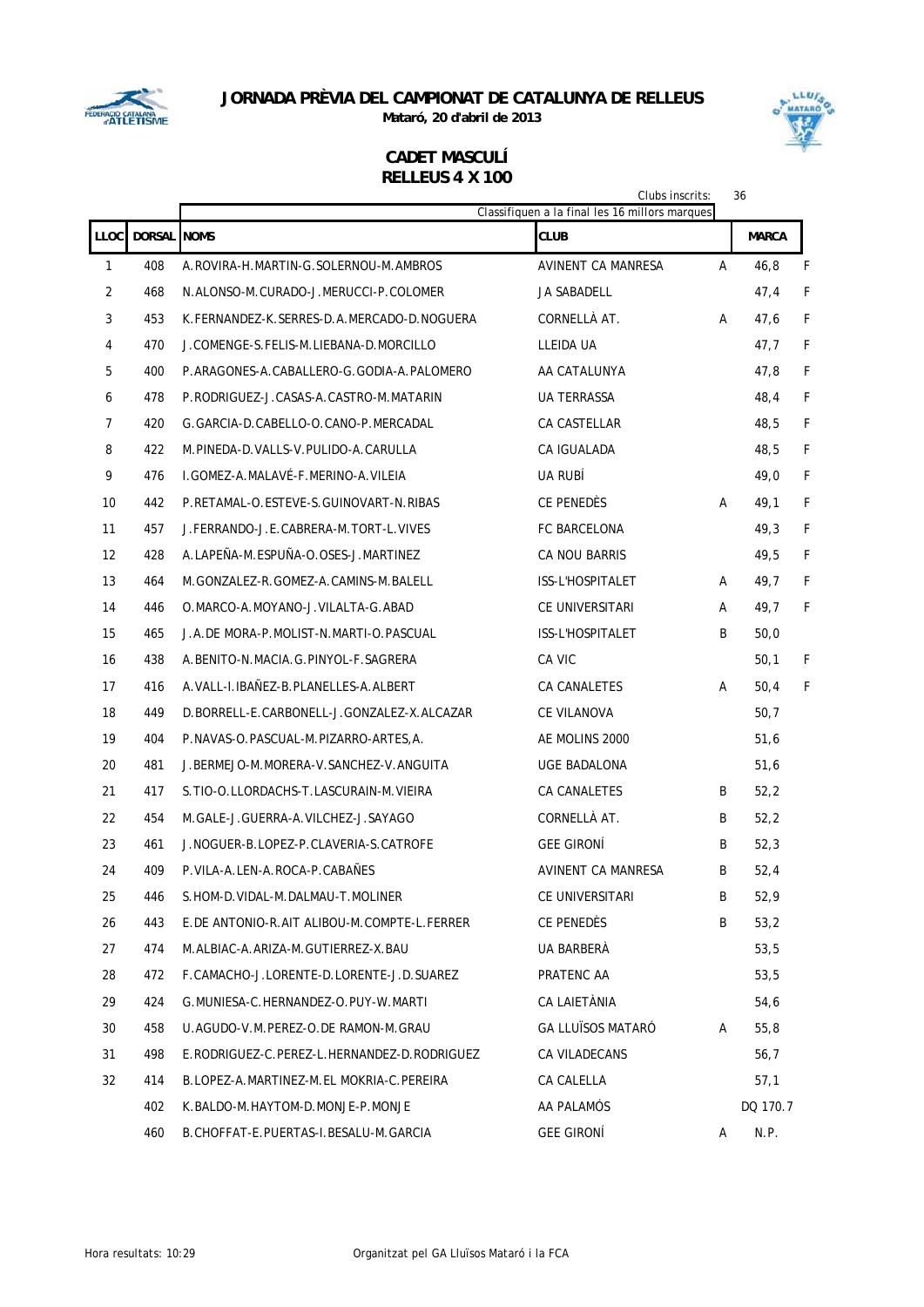

**Mataró, 20 d'abril de 2013**



|                   |             |                                             | Clubs inscrits:<br>Classifiquen a la final les 16 millors marques |   | 36           |   |
|-------------------|-------------|---------------------------------------------|-------------------------------------------------------------------|---|--------------|---|
| <b>LLOC</b>       | DORSAL NOMS |                                             | <b>CLUB</b>                                                       |   | <b>MARCA</b> |   |
| 1                 | 408         | A.ROVIRA-H.MARTIN-G.SOLERNOU-M.AMBROS       | <b>AVINENT CA MANRESA</b>                                         | A | 46,8         | F |
| 2                 | 468         | N.ALONSO-M.CURADO-J.MERUCCI-P.COLOMER       | <b>JA SABADELL</b>                                                |   | 47,4         | F |
| 3                 | 453         | K.FERNANDEZ-K.SERRES-D.A.MERCADO-D.NOGUERA  | CORNELLÀ AT.                                                      | A | 47,6         | F |
| 4                 | 470         | J.COMENGE-S.FELIS-M.LIEBANA-D.MORCILLO      | LLEIDA UA                                                         |   | 47,7         | F |
| 5                 | 400         | P.ARAGONES-A.CABALLERO-G.GODIA-A.PALOMERO   | AA CATALUNYA                                                      |   | 47,8         | F |
| 6                 | 478         | P.RODRIGUEZ-J.CASAS-A.CASTRO-M.MATARIN      | <b>UA TERRASSA</b>                                                |   | 48,4         | F |
| 7                 | 420         | G.GARCIA-D.CABELLO-O.CANO-P.MERCADAL        | CA CASTELLAR                                                      |   | 48,5         | F |
| 8                 | 422         | M.PINEDA-D.VALLS-V.PULIDO-A.CARULLA         | CA IGUALADA                                                       |   | 48,5         | F |
| 9                 | 476         | I.GOMEZ-A.MALAVÉ-F.MERINO-A.VILEIA          | UA RUBI                                                           |   | 49,0         | F |
| 10                | 442         | P.RETAMAL-O.ESTEVE-S.GUINOVART-N.RIBAS      | CE PENEDÈS                                                        | Α | 49,1         | F |
| 11                | 457         | J.FERRANDO-J.E.CABRERA-M.TORT-L.VIVES       | <b>FC BARCELONA</b>                                               |   | 49,3         | F |
| $12 \overline{ }$ | 428         | A.LAPEÑA-M.ESPUÑA-O.OSES-J.MARTINEZ         | CA NOU BARRIS                                                     |   | 49,5         | F |
| 13                | 464         | M.GONZALEZ-R.GOMEZ-A.CAMINS-M.BALELL        | ISS-L'HOSPITALET                                                  | A | 49,7         | F |
| 14                | 446         | O.MARCO-A.MOYANO-J.VILALTA-G.ABAD           | CE UNIVERSITARI                                                   | A | 49,7         | F |
| 15                | 465         | J.A.DE MORA-P.MOLIST-N.MARTI-O.PASCUAL      | ISS-L'HOSPITALET                                                  | B | 50,0         |   |
| 16                | 438         | A. BENITO-N. MACIA. G. PINYOL-F. SAGRERA    | CA VIC                                                            |   | 50,1         | F |
| 17                | 416         | A. VALL-I. IBAÑEZ-B. PLANELLES-A. ALBERT    | CA CANALETES                                                      | А | 50,4         | F |
| 18                | 449         | D.BORRELL-E.CARBONELL-J.GONZALEZ-X.ALCAZAR  | CE VILANOVA                                                       |   | 50,7         |   |
| 19                | 404         | P.NAVAS-O.PASCUAL-M.PIZARRO-ARTES,A.        | AE MOLINS 2000                                                    |   | 51,6         |   |
| 20                | 481         | J.BERMEJO-M.MORERA-V.SANCHEZ-V.ANGUITA      | UGE BADALONA                                                      |   | 51,6         |   |
| 21                | 417         | S. TIO-O. LLORDACHS-T. LASCURAIN-M. VIEIRA  | CA CANALETES                                                      | B | 52,2         |   |
| 22                | 454         | M.GALE-J.GUERRA-A.VILCHEZ-J.SAYAGO          | CORNELLÀ AT.                                                      | B | 52,2         |   |
| 23                | 461         | J. NOGUER-B. LOPEZ-P. CLAVERIA-S. CATROFE   | <b>GEE GIRONÍ</b>                                                 | B | 52,3         |   |
| 24                | 409         | P.VILA-A.LEN-A.ROCA-P.CABAÑES               | AVINENT CA MANRESA                                                | B | 52,4         |   |
| 25                | 446         | S.HOM-D.VIDAL-M.DALMAU-T.MOLINER            | CE UNIVERSITARI                                                   | В | 52,9         |   |
| 26                | 443         | E.DE ANTONIO-R.AIT ALIBOU-M.COMPTE-L.FERRER | CE PENEDÈS                                                        | B | 53,2         |   |
| 27                | 474         | M.ALBIAC-A.ARIZA-M.GUTIERREZ-X.BAU          | UA BARBERÀ                                                        |   | 53,5         |   |
| 28                | 472         | F.CAMACHO-J.LORENTE-D.LORENTE-J.D.SUAREZ    | PRATENC AA                                                        |   | 53,5         |   |
| 29                | 424         | G.MUNIESA-C.HERNANDEZ-O.PUY-W.MARTI         | CA LAIETÀNIA                                                      |   | 54,6         |   |
| 30                | 458         | U.AGUDO-V.M.PEREZ-O.DE RAMON-M.GRAU         | <b>GA LLUÏSOS MATARÓ</b>                                          | A | 55,8         |   |
| 31                | 498         | E.RODRIGUEZ-C.PEREZ-L.HERNANDEZ-D.RODRIGUEZ | CA VILADECANS                                                     |   | 56,7         |   |
| 32                | 414         | B.LOPEZ-A.MARTINEZ-M.EL MOKRIA-C.PEREIRA    | CA CALELLA                                                        |   | 57,1         |   |
|                   | 402         | K.BALDO-M.HAYTOM-D.MONJE-P.MONJE            | AA PALAMÓS                                                        |   | DQ 170.7     |   |
|                   | 460         | B.CHOFFAT-E.PUERTAS-I.BESALU-M.GARCIA       | <b>GEE GIRONÍ</b>                                                 | A | N.P.         |   |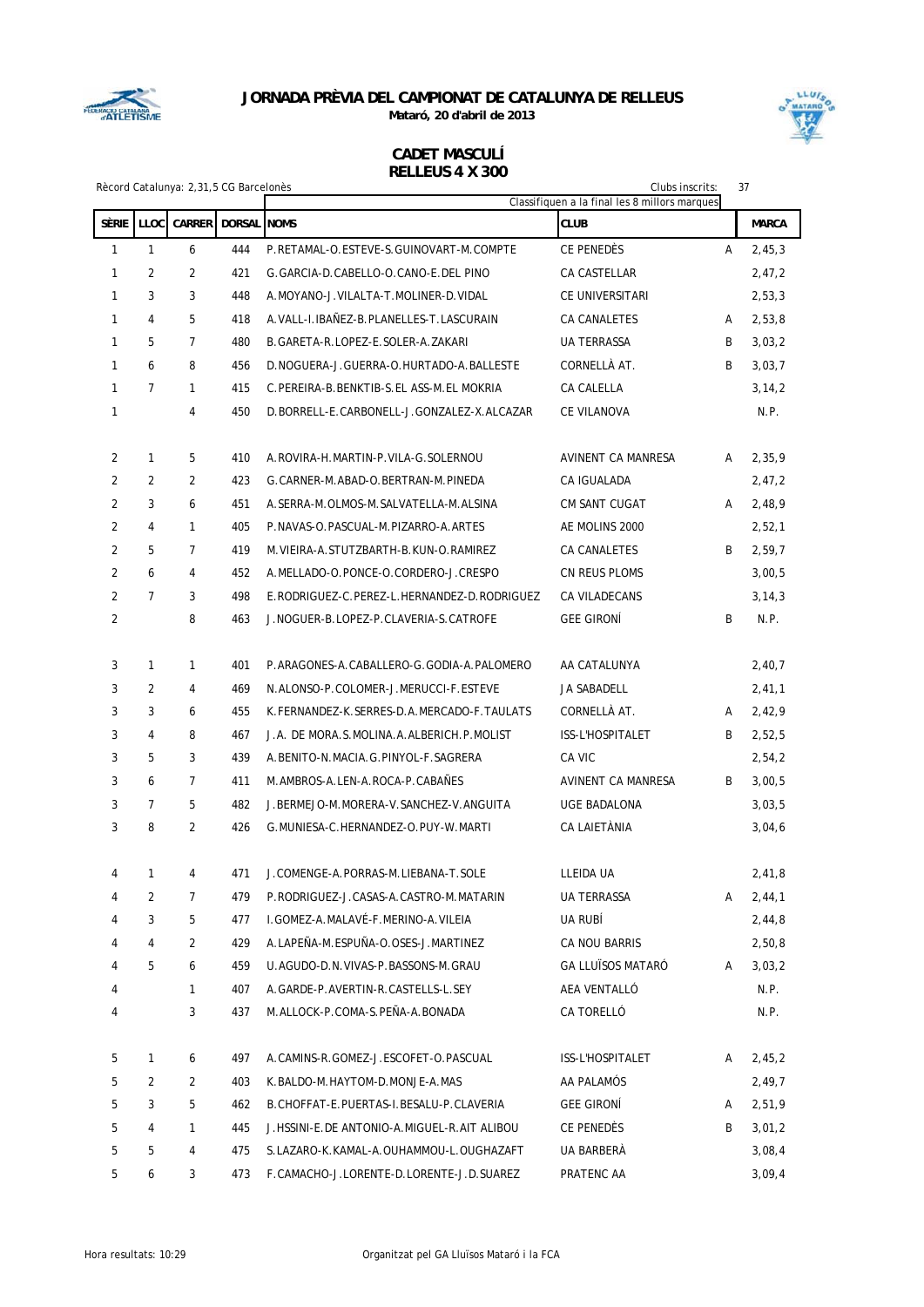

**Mataró, 20 d'abril de 2013**



|                |                | Rècord Catalunya: 2,31,5 CG Barcelonès |     |                                              | Clubs inscrits:                                              |   | 37           |
|----------------|----------------|----------------------------------------|-----|----------------------------------------------|--------------------------------------------------------------|---|--------------|
| Sèrie          | <b>LLOC</b>    | <b>CARRER DORSAL NOMS</b>              |     |                                              | Classifiquen a la final les 8 millors marques<br><b>CLUB</b> |   | <b>MARCA</b> |
| 1              | $\mathbf{1}$   | 6                                      | 444 | P.RETAMAL-O.ESTEVE-S.GUINOVART-M.COMPTE      | CE PENEDÈS                                                   | A | 2,45,3       |
| 1              | 2              | 2                                      | 421 | G.GARCIA-D.CABELLO-O.CANO-E.DEL PINO         | CA CASTELLAR                                                 |   | 2,47,2       |
| 1              | 3              | 3                                      | 448 | A. MOYANO-J. VILALTA-T. MOLINER-D. VIDAL     | CE UNIVERSITARI                                              |   | 2,53,3       |
| 1              | 4              | 5                                      | 418 | A. VALL-I. IBAÑEZ-B. PLANELLES-T. LASCURAIN  | CA CANALETES                                                 | A | 2,53,8       |
| 1              | 5              | $\overline{7}$                         | 480 | B. GARETA-R. LOPEZ-E. SOLER-A. ZAKARI        | UA TERRASSA                                                  | B | 3,03,2       |
| 1              | 6              | 8                                      | 456 | D.NOGUERA-J.GUERRA-O.HURTADO-A.BALLESTE      | CORNELLÀ AT.                                                 | B | 3,03,7       |
| 1              | $\overline{7}$ | 1                                      | 415 | C. PEREIRA-B. BENKTIB-S. EL ASS-M. EL MOKRIA | <b>CA CALELLA</b>                                            |   | 3, 14, 2     |
| 1              |                | 4                                      | 450 | D.BORRELL-E.CARBONELL-J.GONZALEZ-X.ALCAZAR   | CE VILANOVA                                                  |   | N.P.         |
|                |                |                                        |     |                                              |                                                              |   |              |
| 2              | 1              | 5                                      | 410 | A.ROVIRA-H.MARTIN-P.VILA-G.SOLERNOU          | AVINENT CA MANRESA                                           | A | 2,35,9       |
| 2              | 2              | 2                                      | 423 | G.CARNER-M.ABAD-O.BERTRAN-M.PINEDA           | CA IGUALADA                                                  |   | 2,47,2       |
| $\overline{2}$ | 3              | 6                                      | 451 | A. SERRA-M. OLMOS-M. SALVATELLA-M. ALSINA    | <b>CM SANT CUGAT</b>                                         | A | 2,48,9       |
| 2              | 4              | 1                                      | 405 | P.NAVAS-O.PASCUAL-M.PIZARRO-A.ARTES          | AE MOLINS 2000                                               |   | 2,52,1       |
| 2              | 5              | $\overline{7}$                         | 419 | M. VIEIRA-A. STUTZBARTH-B. KUN-O. RAMIREZ    | CA CANALETES                                                 | B | 2,59,7       |
| 2              | 6              | 4                                      | 452 | A.MELLADO-O.PONCE-O.CORDERO-J.CRESPO         | CN REUS PLOMS                                                |   | 3,00,5       |
| $\overline{2}$ | $\overline{7}$ | 3                                      | 498 | E.RODRIGUEZ-C.PEREZ-L.HERNANDEZ-D.RODRIGUEZ  | <b>CA VILADECANS</b>                                         |   | 3, 14, 3     |
| 2              |                | 8                                      | 463 | J.NOGUER-B.LOPEZ-P.CLAVERIA-S.CATROFE        | <b>GEE GIRONÍ</b>                                            | B | N.P.         |
|                |                |                                        |     |                                              |                                                              |   |              |
| 3              | 1              | $\mathbf{1}$                           | 401 | P.ARAGONES-A.CABALLERO-G.GODIA-A.PALOMERO    | AA CATALUNYA                                                 |   | 2,40,7       |
| 3              | 2              | 4                                      | 469 | N.ALONSO-P.COLOMER-J.MERUCCI-F.ESTEVE        | JA SABADELL                                                  |   | 2,41,1       |
| 3              | 3              | 6                                      | 455 | K.FERNANDEZ-K.SERRES-D.A.MERCADO-F.TAULATS   | CORNELLÀ AT.                                                 | A | 2,42,9       |
| 3              | 4              | 8                                      | 467 | J.A. DE MORA.S.MOLINA.A.ALBERICH.P.MOLIST    | ISS-L'HOSPITALET                                             | B | 2,52,5       |
| 3              | 5              | 3                                      | 439 | A. BENITO-N. MACIA. G. PINYOL-F. SAGRERA     | CA VIC                                                       |   | 2,54,2       |
| 3              | 6              | 7                                      | 411 | M.AMBROS-A.LEN-A.ROCA-P.CABAÑES              | AVINENT CA MANRESA                                           | B | 3,00,5       |
| 3              | 7              | 5                                      | 482 | J.BERMEJO-M.MORERA-V.SANCHEZ-V.ANGUITA       | UGE BADALONA                                                 |   | 3,03,5       |
| 3              | 8              | $\overline{2}$                         | 426 | G.MUNIESA-C.HERNANDEZ-O.PUY-W.MARTI          | CA LAIETÀNIA                                                 |   | 3,04,6       |
|                |                |                                        |     |                                              |                                                              |   |              |
|                |                |                                        | 471 | J.COMENGE-A.PORRAS-M.LIEBANA-T.SOLE          | LLEIDA UA                                                    |   | 2,41,8       |
| 4              | 2              | 7                                      | 479 | P.RODRIGUEZ-J.CASAS-A.CASTRO-M.MATARIN       | UA TERRASSA                                                  | A | 2,44,1       |
| 4              | 3              | 5                                      | 477 | I. GOMEZ-A. MALAVÉ-F. MERINO-A. VILEIA       | UA RUBÍ                                                      |   | 2,44,8       |
| 4              | 4              | 2                                      | 429 | A.LAPEÑA-M.ESPUÑA-O.OSES-J.MARTINEZ          | CA NOU BARRIS                                                |   | 2,50,8       |
| 4              | 5              | 6                                      | 459 | U.AGUDO-D.N.VIVAS-P.BASSONS-M.GRAU           | <b>GA LLUÏSOS MATARÓ</b>                                     | A | 3,03,2       |
| 4              |                | 1                                      | 407 | A.GARDE-P.AVERTIN-R.CASTELLS-L.SEY           | AEA VENTALLÓ                                                 |   | N.P.         |
| 4              |                | 3                                      | 437 | M.ALLOCK-P.COMA-S.PEÑA-A.BONADA              | CA TORELLÓ                                                   |   | N.P.         |
|                |                |                                        |     |                                              |                                                              |   |              |
| 5              | 1              | 6                                      | 497 | A.CAMINS-R.GOMEZ-J.ESCOFET-O.PASCUAL         | ISS-L'HOSPITALET                                             | A | 2,45,2       |
| 5              | 2              | 2                                      | 403 | K.BALDO-M.HAYTOM-D.MONJE-A.MAS               | AA PALAMÓS                                                   |   | 2,49,7       |
| 5              | 3              | 5                                      | 462 | B. CHOFFAT-E. PUERTAS-I. BESALU-P. CLAVERIA  | <b>GEE GIRONÍ</b>                                            | A | 2,51,9       |
| 5              | 4              | $\mathbf{1}$                           | 445 | J.HSSINI-E.DE ANTONIO-A.MIGUEL-R.AIT ALIBOU  | CE PENEDES                                                   | B | 3,01,2       |
| 5              | 5              | 4<br>3                                 | 475 | S.LAZARO-K.KAMAL-A.OUHAMMOU-L.OUGHAZAFT      | UA BARBERÀ                                                   |   | 3,08,4       |
| 5              | 6              |                                        | 473 | F.CAMACHO-J.LORENTE-D.LORENTE-J.D.SUAREZ     | PRATENC AA                                                   |   | 3,09,4       |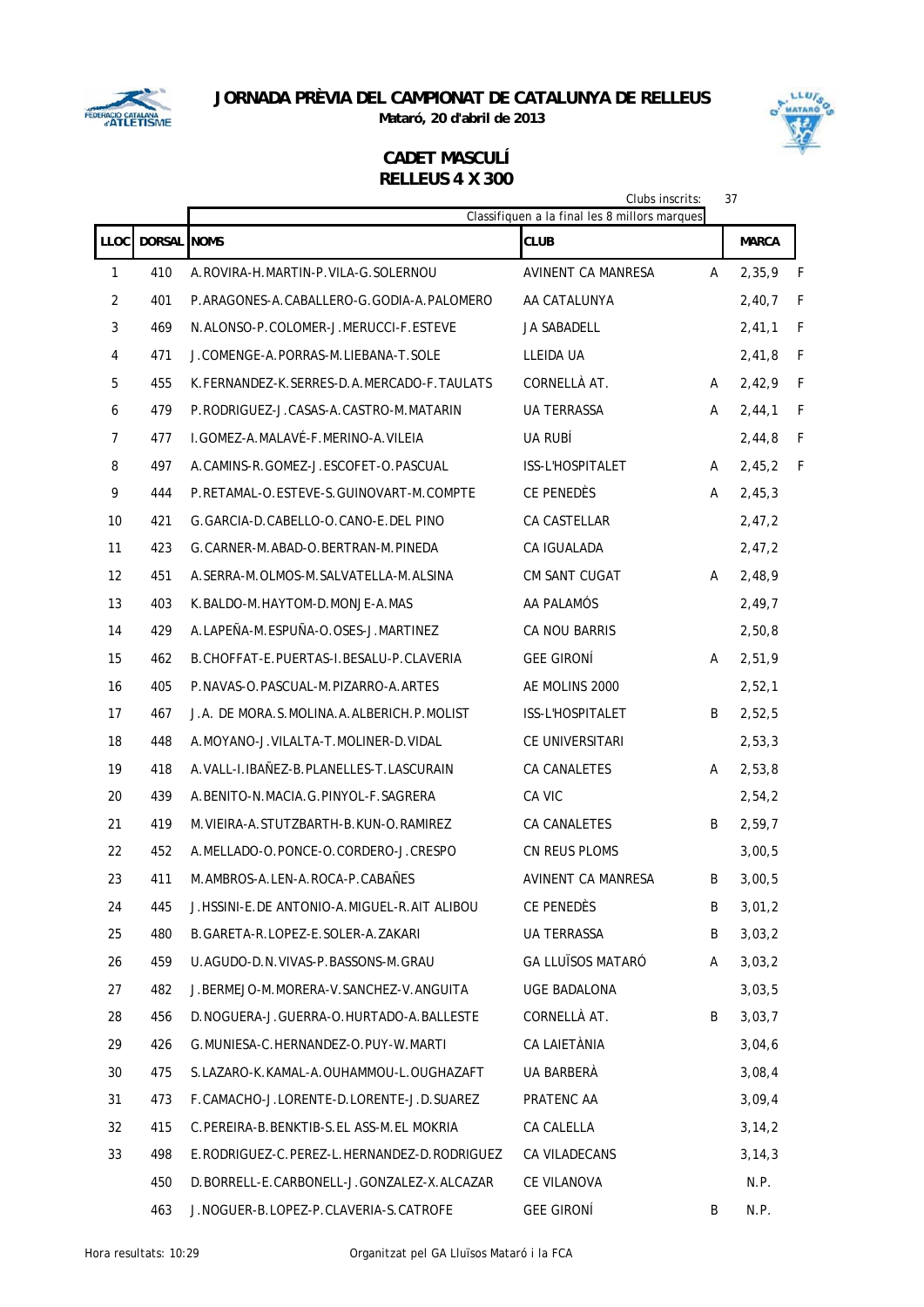

**Mataró, 20 d'abril de 2013**

# LLUIS MATARO

|                |                    |                                              | Clubs inscrits:<br>Classifiquen a la final les 8 millors marques |   | 37           |              |
|----------------|--------------------|----------------------------------------------|------------------------------------------------------------------|---|--------------|--------------|
| <b>LLOC</b>    | <b>DORSAL NOMS</b> |                                              | <b>CLUB</b>                                                      |   | <b>MARCA</b> |              |
| 1              | 410                | A.ROVIRA-H.MARTIN-P.VILA-G.SOLERNOU          | AVINENT CA MANRESA                                               | A | 2,35,9       | F            |
| $\overline{2}$ | 401                | P.ARAGONES-A.CABALLERO-G.GODIA-A.PALOMERO    | AA CATALUNYA                                                     |   | 2,40,7       | F            |
| 3              | 469                | N.ALONSO-P.COLOMER-J.MERUCCI-F.ESTEVE        | <b>JA SABADELL</b>                                               |   | 2,41,1       | F            |
| 4              | 471                | J.COMENGE-A.PORRAS-M.LIEBANA-T.SOLE          | LLEIDA UA                                                        |   | 2,41,8       | F            |
| 5              | 455                | K.FERNANDEZ-K.SERRES-D.A.MERCADO-F.TAULATS   | CORNELLÀ AT.                                                     | A | 2,42,9       | F            |
| 6              | 479                | P.RODRIGUEZ-J.CASAS-A.CASTRO-M.MATARIN       | <b>UA TERRASSA</b>                                               | А | 2,44,1       | F            |
| 7              | 477                | I. GOMEZ-A. MALAVÉ-F. MERINO-A. VILEIA       | UA RUBÍ                                                          |   | 2,44,8       | $\mathsf{F}$ |
| 8              | 497                | A.CAMINS-R.GOMEZ-J.ESCOFET-O.PASCUAL         | ISS-L'HOSPITALET                                                 | A | 2,45,2       | F            |
| 9              | 444                | P.RETAMAL-O.ESTEVE-S.GUINOVART-M.COMPTE      | CE PENEDÈS                                                       | Α | 2,45,3       |              |
| 10             | 421                | G.GARCIA-D.CABELLO-O.CANO-E.DEL PINO         | CA CASTELLAR                                                     |   | 2,47,2       |              |
| 11             | 423                | G.CARNER-M.ABAD-O.BERTRAN-M.PINEDA           | CA IGUALADA                                                      |   | 2,47,2       |              |
| 12             | 451                | A. SERRA-M. OLMOS-M. SALVATELLA-M. ALSINA    | CM SANT CUGAT                                                    | A | 2,48,9       |              |
| 13             | 403                | K.BALDO-M.HAYTOM-D.MONJE-A.MAS               | AA PALAMÓS                                                       |   | 2,49,7       |              |
| 14             | 429                | A.LAPEÑA-M.ESPUÑA-O.OSES-J.MARTINEZ          | CA NOU BARRIS                                                    |   | 2,50,8       |              |
| 15             | 462                | B.CHOFFAT-E.PUERTAS-I.BESALU-P.CLAVERIA      | <b>GEE GIRONÍ</b>                                                | Α | 2,51,9       |              |
| 16             | 405                | P.NAVAS-O.PASCUAL-M.PIZARRO-A.ARTES          | AE MOLINS 2000                                                   |   | 2,52,1       |              |
| 17             | 467                | J.A. DE MORA.S.MOLINA.A.ALBERICH.P.MOLIST    | ISS-L'HOSPITALET                                                 | B | 2,52,5       |              |
| 18             | 448                | A.MOYANO-J.VILALTA-T.MOLINER-D.VIDAL         | CE UNIVERSITARI                                                  |   | 2,53,3       |              |
| 19             | 418                | A. VALL-I. IBAÑEZ-B. PLANELLES-T. LASCURAIN  | CA CANALETES                                                     | А | 2,53,8       |              |
| 20             | 439                | A. BENITO-N. MACIA. G. PINYOL-F. SAGRERA     | CA VIC                                                           |   | 2,54,2       |              |
| 21             | 419                | M. VIEIRA-A. STUTZBARTH-B. KUN-O. RAMIREZ    | CA CANALETES                                                     | B | 2,59,7       |              |
| 22             | 452                | A.MELLADO-O.PONCE-O.CORDERO-J.CRESPO         | CN REUS PLOMS                                                    |   | 3,00,5       |              |
| 23             | 411                | M.AMBROS-A.LEN-A.ROCA-P.CABAÑES              | AVINENT CA MANRESA                                               | B | 3,00,5       |              |
| 24             | 445                | J.HSSINI-E.DE ANTONIO-A.MIGUEL-R.AIT ALIBOU  | CE PENEDÈS                                                       | B | 3,01,2       |              |
| 25             | 480                | B.GARETA-R.LOPEZ-E.SOLER-A.ZAKARI            | UA TERRASSA                                                      | B | 3,03,2       |              |
| 26             | 459                | U.AGUDO-D.N.VIVAS-P.BASSONS-M.GRAU           | <b>GA LLUÏSOS MATARÓ</b>                                         | A | 3,03,2       |              |
| 27             | 482                | J.BERMEJO-M.MORERA-V.SANCHEZ-V.ANGUITA       | UGE BADALONA                                                     |   | 3,03,5       |              |
| 28             | 456                | D.NOGUERA-J.GUERRA-O.HURTADO-A.BALLESTE      | CORNELLÀ AT.                                                     | B | 3,03,7       |              |
| 29             | 426                | G.MUNIESA-C.HERNANDEZ-O.PUY-W.MARTI          | CA LAIETÀNIA                                                     |   | 3,04,6       |              |
| 30             | 475                | S.LAZARO-K.KAMAL-A.OUHAMMOU-L.OUGHAZAFT      | UA BARBERÀ                                                       |   | 3,08,4       |              |
| 31             | 473                | F.CAMACHO-J.LORENTE-D.LORENTE-J.D.SUAREZ     | PRATENC AA                                                       |   | 3,09,4       |              |
| 32             | 415                | C. PEREIRA-B. BENKTIB-S. EL ASS-M. EL MOKRIA | CA CALELLA                                                       |   | 3, 14, 2     |              |
| 33             | 498                | E.RODRIGUEZ-C.PEREZ-L.HERNANDEZ-D.RODRIGUEZ  | CA VILADECANS                                                    |   | 3, 14, 3     |              |
|                | 450                | D.BORRELL-E.CARBONELL-J.GONZALEZ-X.ALCAZAR   | CE VILANOVA                                                      |   | N.P.         |              |
|                | 463                | J.NOGUER-B.LOPEZ-P.CLAVERIA-S.CATROFE        | <b>GEE GIRONÍ</b>                                                | B | N.P.         |              |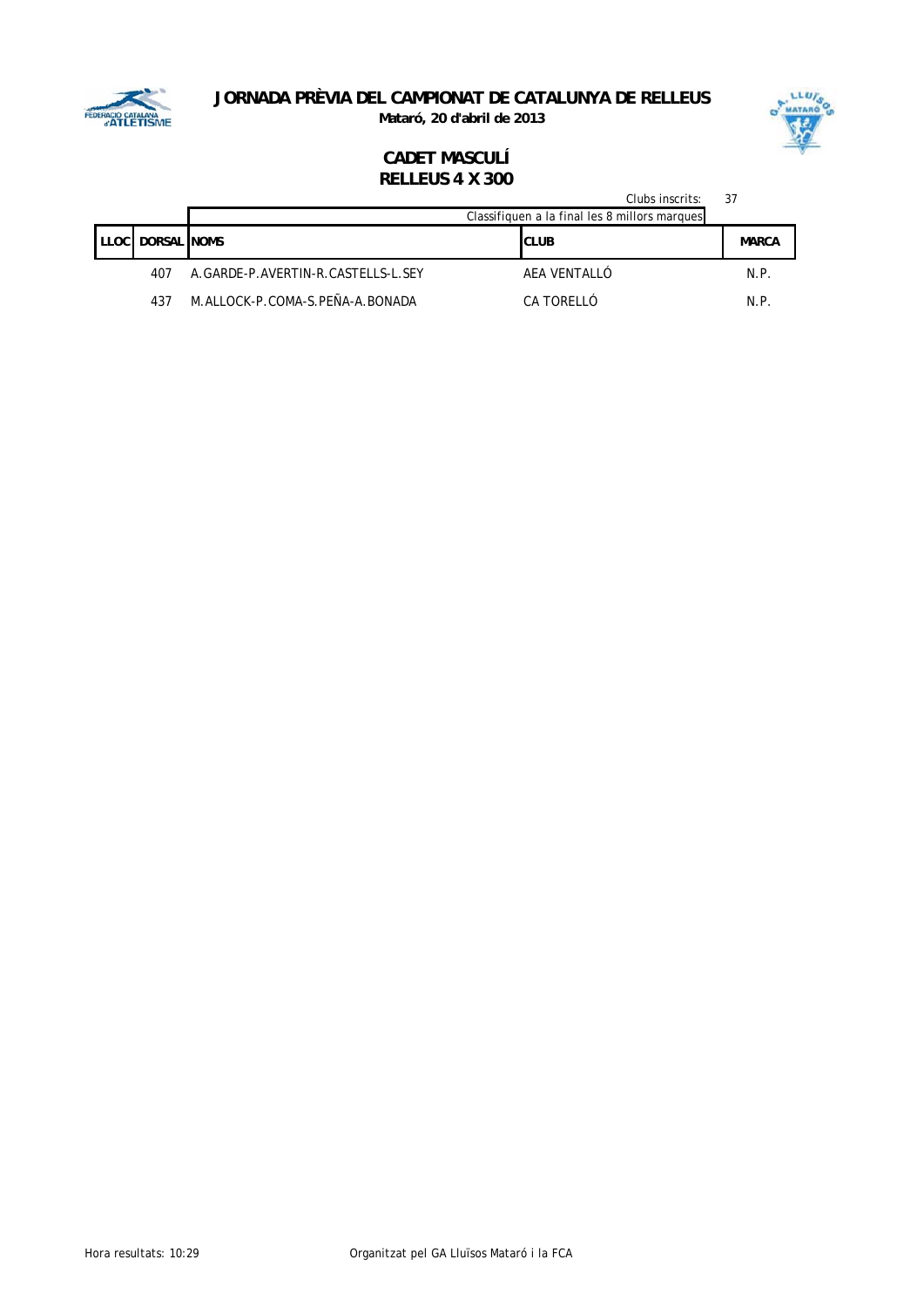

**Mataró, 20 d'abril de 2013**



|        |                     |                                    | Clubs inscrits:<br>Classifiquen a la final les 8 millors marques | 37           |
|--------|---------------------|------------------------------------|------------------------------------------------------------------|--------------|
| LLOC I | <b>DORSAL INOMS</b> |                                    | <b>CLUB</b>                                                      | <b>MARCA</b> |
|        | 407                 | A.GARDE-P.AVERTIN-R.CASTELLS-L.SEY | AEA VENTALLÓ                                                     | N.P.         |
|        | 437                 | M.ALLOCK-P.COMA-S.PEÑA-A.BONADA    | CA TORFIIÓ                                                       | N.P.         |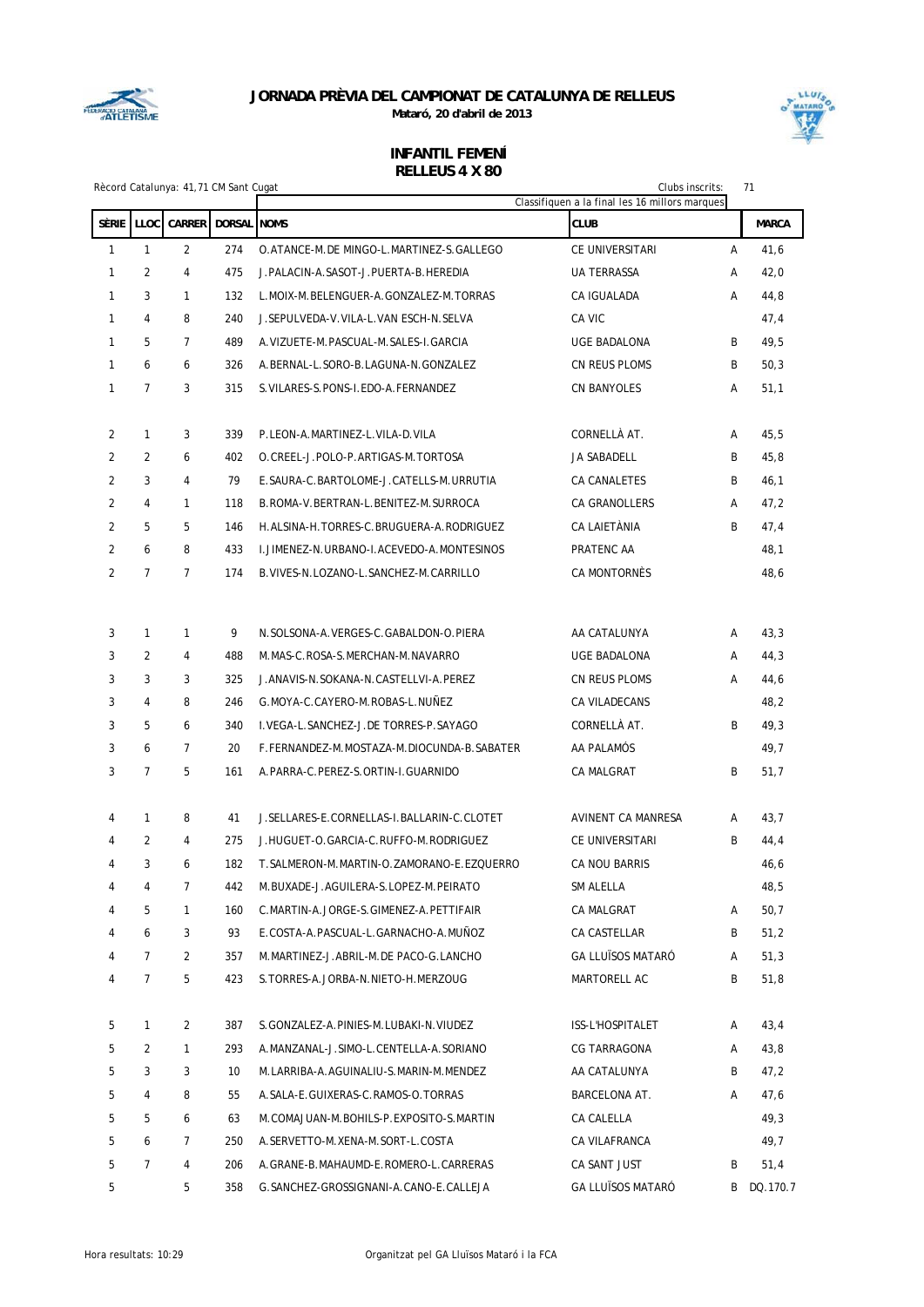



|                | 71<br>Rècord Catalunya: 41,71 CM Sant Cugat<br>Clubs inscrits:<br>Classifiquen a la final les 16 millors marques |                |                    |                                                |                          |   |              |
|----------------|------------------------------------------------------------------------------------------------------------------|----------------|--------------------|------------------------------------------------|--------------------------|---|--------------|
| SÈRIE          | LLOC                                                                                                             | <b>CARRER</b>  | <b>DORSAL NOMS</b> |                                                | <b>CLUB</b>              |   | <b>MARCA</b> |
| 1              | $\mathbf{1}$                                                                                                     | $\overline{2}$ | 274                | O.ATANCE-M.DE MINGO-L.MARTINEZ-S.GALLEGO       | CE UNIVERSITARI          | Α | 41,6         |
| 1              | 2                                                                                                                | 4              | 475                | J. PALACIN-A. SASOT-J. PUERTA-B. HEREDIA       | <b>UA TERRASSA</b>       | A | 42,0         |
| 1              | 3                                                                                                                | $\mathbf{1}$   | 132                | L.MOIX-M.BELENGUER-A.GONZALEZ-M.TORRAS         | CA IGUALADA              | Α | 44,8         |
| $\mathbf{1}$   | 4                                                                                                                | 8              | 240                | J.SEPULVEDA-V.VILA-L.VAN ESCH-N.SELVA          | CA VIC                   |   | 47,4         |
| 1              | 5                                                                                                                | $\overline{7}$ | 489                | A. VIZUETE-M. PASCUAL-M. SALES-I. GARCIA       | <b>UGE BADALONA</b>      | B | 49,5         |
| 1              | 6                                                                                                                | 6              | 326                | A.BERNAL-L.SORO-B.LAGUNA-N.GONZALEZ            | CN REUS PLOMS            | B | 50,3         |
| 1              | $\overline{7}$                                                                                                   | 3              | 315                | S. VILARES-S. PONS-I. EDO-A. FERNANDEZ         | CN BANYOLES              | Α | 51,1         |
| 2              | $\mathbf{1}$                                                                                                     | 3              | 339                | P.LEON-A.MARTINEZ-L.VILA-D.VILA                | CORNELLÀ AT.             | Α | 45,5         |
| $\overline{2}$ | 2                                                                                                                | 6              | 402                | O. CREEL-J. POLO-P. ARTIGAS-M. TORTOSA         | JA SABADELL              | B | 45,8         |
| $\overline{2}$ | 3                                                                                                                | 4              | 79                 | E.SAURA-C.BARTOLOME-J.CATELLS-M.URRUTIA        | CA CANALETES             | B | 46,1         |
| 2              | $\overline{4}$                                                                                                   | $\mathbf{1}$   | 118                | B.ROMA-V.BERTRAN-L.BENITEZ-M.SURROCA           | <b>CA GRANOLLERS</b>     | A | 47,2         |
| $\overline{2}$ | 5                                                                                                                | 5              | 146                | H.ALSINA-H.TORRES-C.BRUGUERA-A.RODRIGUEZ       | CA LAIETÀNIA             | B | 47,4         |
| $\overline{2}$ | 6                                                                                                                | 8              | 433                | I. JIMENEZ-N. URBANO-I. ACEVEDO-A. MONTESINOS  | PRATENC AA               |   | 48,1         |
| $\overline{2}$ | $\overline{7}$                                                                                                   | $\overline{7}$ | 174                | B. VIVES-N. LOZANO-L. SANCHEZ-M. CARRILLO      | CA MONTORNÈS             |   | 48,6         |
| 3              | $\mathbf{1}$                                                                                                     | 1              | 9                  | N.SOLSONA-A.VERGES-C.GABALDON-O.PIERA          | AA CATALUNYA             | A | 43,3         |
| 3              | $\overline{2}$                                                                                                   | 4              | 488                | M. MAS-C. ROSA-S. MERCHAN-M. NAVARRO           | <b>UGE BADALONA</b>      | Α | 44,3         |
| 3              | 3                                                                                                                | 3              | 325                | J. ANAVIS-N. SOKANA-N. CASTELLVI-A. PEREZ      | CN REUS PLOMS            | Α | 44,6         |
| 3              | 4                                                                                                                | 8              | 246                | G. MOYA-C. CAYERO-M. ROBAS-L. NUÑEZ            | CA VILADECANS            |   | 48,2         |
| 3              | 5                                                                                                                | 6              | 340                | I.VEGA-L.SANCHEZ-J.DE TORRES-P.SAYAGO          | CORNELLÀ AT.             | B | 49,3         |
| 3              | 6                                                                                                                | $\overline{7}$ | 20                 | F.FERNANDEZ-M.MOSTAZA-M.DIOCUNDA-B.SABATER     | aa palamós               |   | 49,7         |
| 3              | $\overline{7}$                                                                                                   | 5              | 161                | A.PARRA-C.PEREZ-S.ORTIN-I.GUARNIDO             | CA MALGRAT               | B | 51,7         |
|                |                                                                                                                  |                |                    |                                                |                          |   |              |
| 4              | $\mathbf{1}$                                                                                                     | 8              | 41                 | J. SELLARES-E. CORNELLAS-I. BALLARIN-C. CLOTET | AVINENT CA MANRESA       | Α | 43,7         |
| 4              | 2                                                                                                                | $\overline{4}$ | 275                | J.HUGUET-O.GARCIA-C.RUFFO-M.RODRIGUEZ          | CE UNIVERSITARI          | B | 44,4         |
| 4              | 3                                                                                                                | 6              | 182                | T. SALMERON-M. MARTIN-O. ZAMORANO-E. EZOUERRO  | CA NOU BARRIS            |   | 46,6         |
| 4              | 4                                                                                                                | 7              | 442                | M.BUXADE-J.AGUILERA-S.LOPEZ-M.PEIRATO          | SM ALELLA                |   | 48,5         |
| 4              | 5                                                                                                                | 1              | 160                | C.MARTIN-A.JORGE-S.GIMENEZ-A.PETTIFAIR         | CA MALGRAT               | Α | 50,7         |
| 4              | 6                                                                                                                | 3              | 93                 | E.COSTA-A.PASCUAL-L.GARNACHO-A.MUÑOZ           | CA CASTELLAR             | B | 51,2         |
| 4              | $\overline{7}$                                                                                                   | $\overline{2}$ | 357                | M.MARTINEZ-J.ABRIL-M.DE PACO-G.LANCHO          | <b>GA LLUÏSOS MATARÓ</b> | Α | 51,3         |
| 4              | $7\overline{ }$                                                                                                  | 5              | 423                | S.TORRES-A.JORBA-N.NIETO-H.MERZOUG             | MARTORELL AC             | В | 51,8         |
| 5              | $\mathbf{1}$                                                                                                     | 2              | 387                | S.GONZALEZ-A.PINIES-M.LUBAKI-N.VIUDEZ          | ISS-L'HOSPITALET         | Α | 43,4         |
| 5              | 2                                                                                                                | 1              | 293                | A.MANZANAL-J.SIMO-L.CENTELLA-A.SORIANO         | CG TARRAGONA             | Α | 43,8         |
| 5              | 3                                                                                                                | 3              | 10                 | M.LARRIBA-A.AGUINALIU-S.MARIN-M.MENDEZ         | AA CATALUNYA             | B | 47,2         |
| 5              | 4                                                                                                                | 8              | 55                 | A. SALA-E. GUIXERAS-C. RAMOS-O. TORRAS         | BARCELONA AT.            | A | 47,6         |
| 5              | 5                                                                                                                | 6              | 63                 | M.COMAJUAN-M.BOHILS-P.EXPOSITO-S.MARTIN        | CA CALELLA               |   | 49,3         |
| 5              | 6                                                                                                                | 7              | 250                | A.SERVETTO-M.XENA-M.SORT-L.COSTA               | CA VILAFRANCA            |   | 49,7         |
| 5              | 7                                                                                                                | 4              | 206                | A.GRANE-B.MAHAUMD-E.ROMERO-L.CARRERAS          | CA SANT JUST             | B | 51,4         |
| 5              |                                                                                                                  | 5              | 358                | G. SANCHEZ-GROSSIGNANI-A. CANO-E. CALLEJA      | <b>GA LLUÏSOS MATARÓ</b> | B | DQ.170.7     |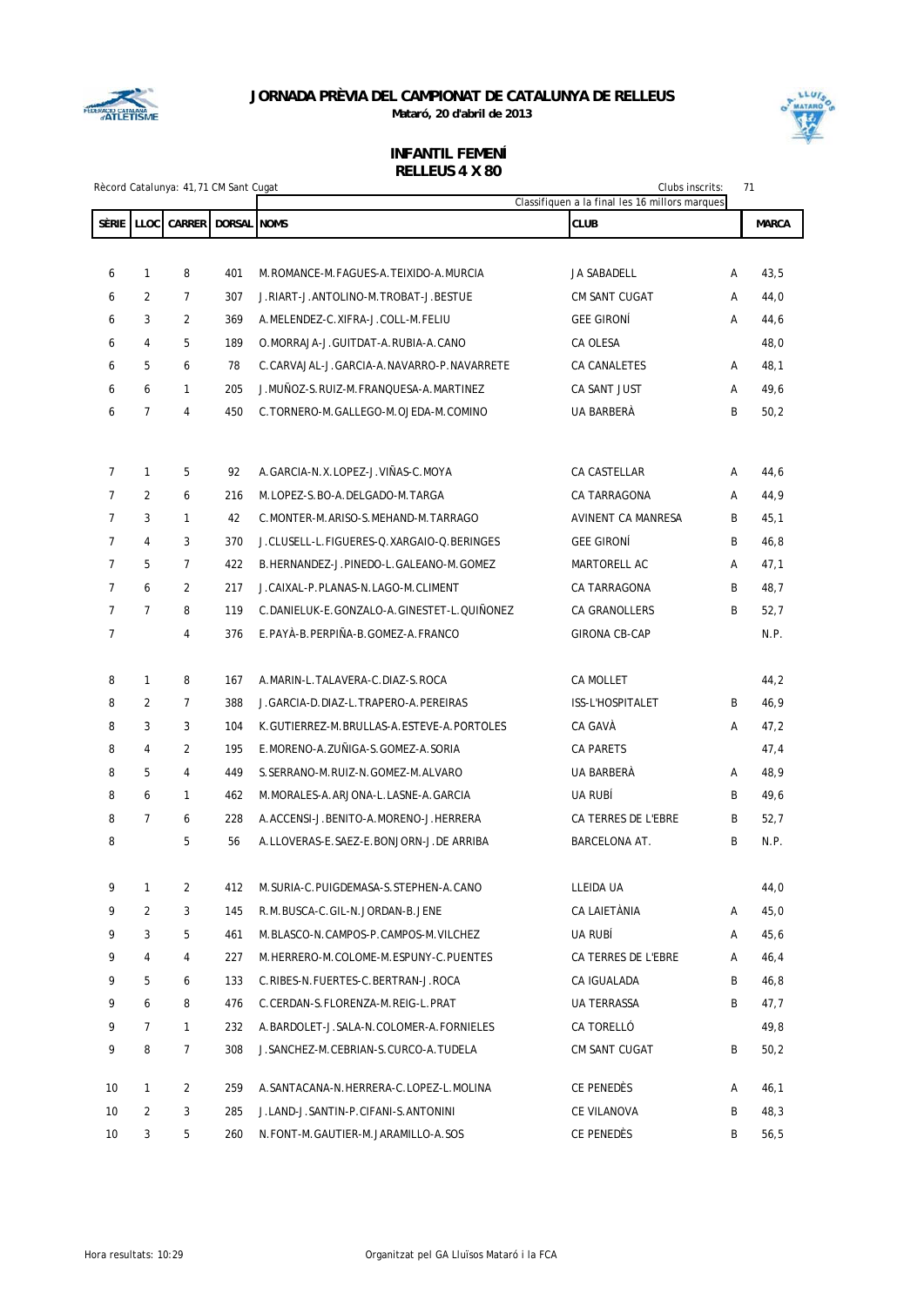



|                | Clubs inscrits:<br>71<br>Rècord Catalunya: 41,71 CM Sant Cugat<br>Classifiquen a la final les 16 millors marques |                |             |                                                                     |                              |        |              |
|----------------|------------------------------------------------------------------------------------------------------------------|----------------|-------------|---------------------------------------------------------------------|------------------------------|--------|--------------|
| <b>SÈRIE</b>   | LLOC                                                                                                             | <b>CARRER</b>  | DORSAL NOMS |                                                                     | <b>CLUB</b>                  |        | <b>MARCA</b> |
|                |                                                                                                                  |                |             |                                                                     |                              |        |              |
| 6              | $\mathbf{1}$                                                                                                     | 8              | 401         | M.ROMANCE-M.FAGUES-A.TEIXIDO-A.MURCIA                               | JA SABADELL                  | А      | 43,5         |
| 6              | 2                                                                                                                | $\overline{7}$ | 307         | J.RIART-J.ANTOLINO-M.TROBAT-J.BESTUE                                | <b>CM SANT CUGAT</b>         | А      | 44,0         |
| 6              | 3                                                                                                                | 2              | 369         | A.MELENDEZ-C.XIFRA-J.COLL-M.FELIU                                   | <b>GEE GIRONÍ</b>            | А      | 44,6         |
| 6              | 4                                                                                                                | 5              | 189         | O. MORRAJA-J. GUITDAT-A. RUBIA-A. CANO                              | CA OLESA                     |        | 48,0         |
| 6              | 5                                                                                                                | 6              | 78          | C.CARVAJAL-J.GARCIA-A.NAVARRO-P.NAVARRETE                           | CA CANALETES                 | А      | 48,1         |
| 6              | 6                                                                                                                | $\mathbf{1}$   | 205         | J.MUÑOZ-S.RUIZ-M.FRANQUESA-A.MARTINEZ                               | CA SANT JUST                 | А      | 49,6         |
| 6              | $\overline{7}$                                                                                                   | $\overline{4}$ | 450         | C. TORNERO-M. GALLEGO-M. OJEDA-M. COMINO                            | UA BARBERÀ                   | B      | 50,2         |
|                |                                                                                                                  |                |             |                                                                     |                              |        |              |
| $\overline{7}$ | $\mathbf{1}$                                                                                                     |                | 92          |                                                                     |                              |        |              |
| $\overline{7}$ | 2                                                                                                                | 5<br>6         | 216         | A.GARCIA-N.X.LOPEZ-J.VIÑAS-C.MOYA<br>M.LOPEZ-S.BO-A.DELGADO-M.TARGA | CA CASTELLAR<br>CA TARRAGONA | А<br>А | 44,6         |
| $\overline{7}$ | 3                                                                                                                | $\mathbf{1}$   |             |                                                                     |                              |        | 44,9         |
|                | 4                                                                                                                |                | 42          | C.MONTER-M.ARISO-S.MEHAND-M.TARRAGO                                 | AVINENT CA MANRESA           | B      | 45,1         |
| $\overline{7}$ |                                                                                                                  | 3              | 370         | J.CLUSELL-L.FIGUERES-Q.XARGAIO-Q.BERINGES                           | <b>GEE GIRONÍ</b>            | B      | 46,8         |
| $\overline{7}$ | 5                                                                                                                | $\overline{7}$ | 422         | B.HERNANDEZ-J.PINEDO-L.GALEANO-M.GOMEZ                              | MARTORELL AC                 | Α      | 47,1         |
| $\overline{7}$ | 6                                                                                                                | 2              | 217         | J.CAIXAL-P.PLANAS-N.LAGO-M.CLIMENT                                  | CA TARRAGONA                 | B      | 48,7         |
| $\overline{7}$ | $\overline{7}$                                                                                                   | 8              | 119         | C.DANIELUK-E.GONZALO-A.GINESTET-L.QUIÑONEZ                          | <b>CA GRANOLLERS</b>         | B      | 52,7         |
| $\overline{7}$ |                                                                                                                  | $\overline{4}$ | 376         | E.PAYÀ-B.PERPIÑA-B.GOMEZ-A.FRANCO                                   | <b>GIRONA CB-CAP</b>         |        | N.P.         |
| 8              | $\mathbf{1}$                                                                                                     | 8              | 167         | A.MARIN-L.TALAVERA-C.DIAZ-S.ROCA                                    | CA MOLLET                    |        | 44,2         |
| 8              | 2                                                                                                                | $\overline{7}$ | 388         | J. GARCIA-D. DIAZ-L. TRAPERO-A. PEREIRAS                            | ISS-L'HOSPITALET             | B      | 46,9         |
| 8              | 3                                                                                                                | 3              | 104         | K.GUTIERREZ-M.BRULLAS-A.ESTEVE-A.PORTOLES                           | CA GAVÀ                      | А      | 47,2         |
| 8              | $\overline{4}$                                                                                                   | 2              | 195         | E.MORENO-A.ZUÑIGA-S.GOMEZ-A.SORIA                                   | <b>CA PARETS</b>             |        | 47,4         |
| 8              | 5                                                                                                                | $\overline{4}$ | 449         | S. SERRANO-M. RUIZ-N. GOMEZ-M. ALVARO                               | UA BARBERÀ                   | А      | 48,9         |
| 8              | 6                                                                                                                | 1              | 462         | M.MORALES-A.ARJONA-L.LASNE-A.GARCIA                                 | UA RUBÍ                      | B      | 49,6         |
| 8              | $\overline{7}$                                                                                                   | 6              | 228         | A.ACCENSI-J.BENITO-A.MORENO-J.HERRERA                               | CA TERRES DE L'EBRE          | B      | 52,7         |
| 8              |                                                                                                                  | 5              | 56          | A.LLOVERAS-E.SAEZ-E.BONJORN-J.DE ARRIBA                             | BARCELONA AT.                | B      | N.P.         |
|                |                                                                                                                  |                |             |                                                                     |                              |        |              |
| 9              | $\mathbf{1}$                                                                                                     | $\overline{2}$ | 412         | M. SURIA-C. PUIGDEMASA-S. STEPHEN-A. CANO                           | LLEIDA UA                    |        | 44,0         |
| 9              | 2                                                                                                                | 3              | 145         | R.M.BUSCA-C.GIL-N.JORDAN-B.JENE                                     | CA LAIETÀNIA                 | Α      | 45,0         |
| 9              | 3                                                                                                                | 5              | 461         | M.BLASCO-N.CAMPOS-P.CAMPOS-M.VILCHEZ                                | UA RUBÍ                      | Α      | 45,6         |
| 9              | 4                                                                                                                | 4              | 227         | M.HERRERO-M.COLOME-M.ESPUNY-C.PUENTES                               | CA TERRES DE L'EBRE          | Α      | 46,4         |
| 9              | 5                                                                                                                | 6              | 133         | C.RIBES-N.FUERTES-C.BERTRAN-J.ROCA                                  | CA IGUALADA                  | B      | 46,8         |
| 9              | 6                                                                                                                | 8              | 476         | C.CERDAN-S.FLORENZA-M.REIG-L.PRAT                                   | UA TERRASSA                  | B      | 47,7         |
| 9              | $\overline{7}$                                                                                                   | $\mathbf{1}$   | 232         | A.BARDOLET-J.SALA-N.COLOMER-A.FORNIELES                             | CA TORELLÓ                   |        | 49,8         |
| 9              | 8                                                                                                                | 7              | 308         | J. SANCHEZ-M. CEBRIAN-S. CURCO-A. TUDELA                            | CM SANT CUGAT                | B      | 50,2         |
| 10             | $\mathbf{1}$                                                                                                     | 2              | 259         | A.SANTACANA-N.HERRERA-C.LOPEZ-L.MOLINA                              | CE PENEDÈS                   | Α      | 46,1         |
| 10             | $\overline{2}$                                                                                                   | 3              | 285         | J.LAND-J.SANTIN-P.CIFANI-S.ANTONINI                                 | CE VILANOVA                  | B      | 48,3         |
| 10             | 3                                                                                                                | 5              | 260         | N.FONT-M.GAUTIER-M.JARAMILLO-A.SOS                                  | CE PENEDÈS                   | B      | 56,5         |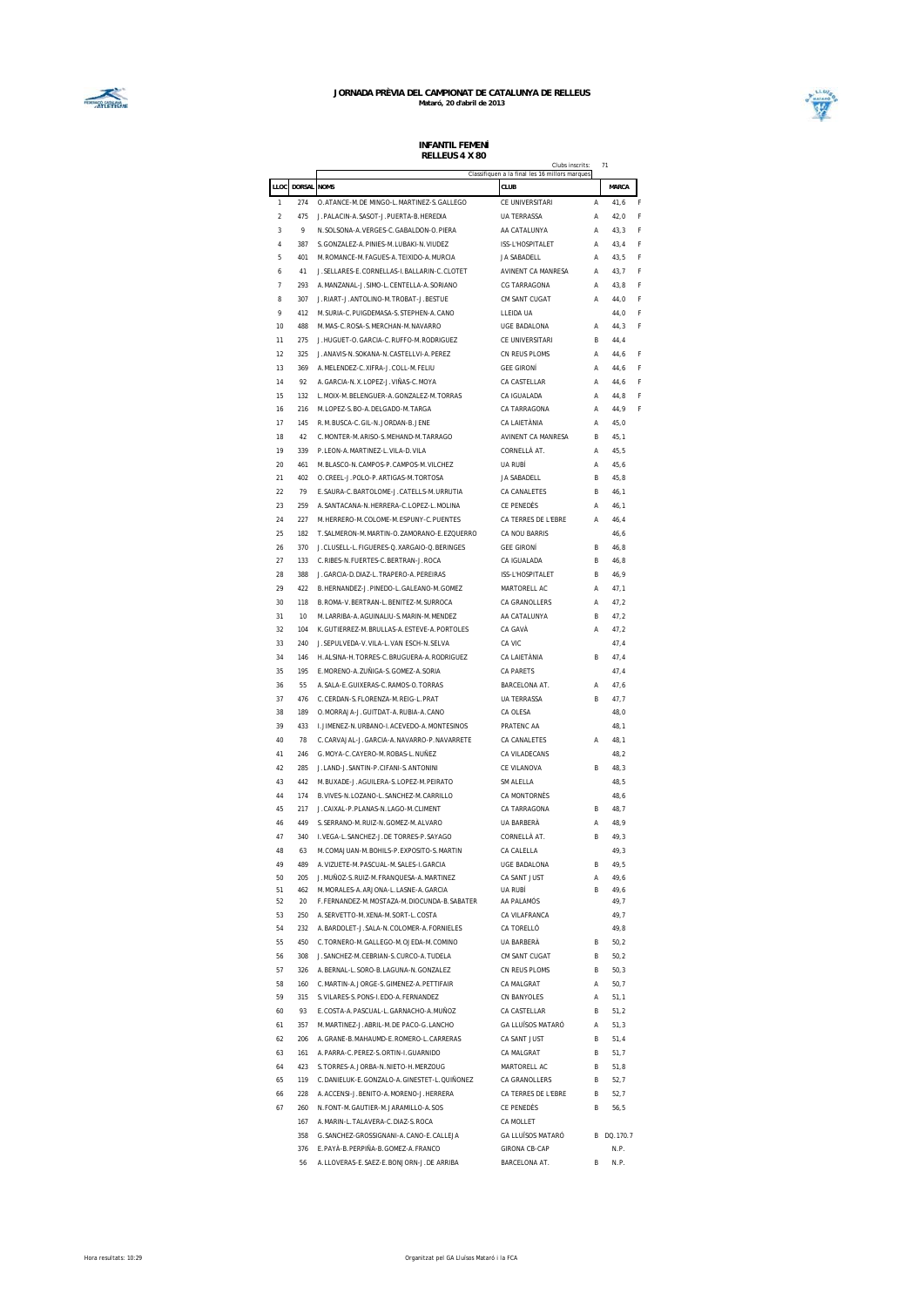



|                |            |                                                                              | Clubs inscrits:<br>Classifiquen a la final les 16 millors marques |        | 71           |
|----------------|------------|------------------------------------------------------------------------------|-------------------------------------------------------------------|--------|--------------|
| LLOC           | DORSAL     | <b>NOMS</b>                                                                  | CLUB                                                              |        | MARCA        |
| 1              | 274        | O.ATANCE-M.DE MINGO-L.MARTINEZ-S.GALLEGO                                     | CE UNIVERSITARI                                                   | A      | 41,6         |
| $\mathfrak{p}$ | 475        | J. PALACIN-A. SASOT-J. PUERTA-B. HEREDIA                                     | <b>UA TERRASSA</b>                                                | A      | 42,0         |
| 3              | 9          | N.SOLSONA-A.VERGES-C.GABALDON-O.PIERA                                        | AA CATALUNYA                                                      | A      | 43,3         |
| 4              | 387        | S. GONZALEZ-A. PINIES-M. LUBAKI-N. VIUDEZ                                    | ISS-L'HOSPITALET                                                  | А      | 43.4         |
| 5              | 401        | M.ROMANCE-M.FAGUES-A.TEIXIDO-A.MURCIA                                        | <b>JA SABADELL</b>                                                | Α      | 43,5         |
| 6              | 41         | J. SELLARES-E. CORNELLAS-I. BALLARIN-C. CLOTET                               | AVINENT CA MANRESA                                                | Α      | 43,7         |
|                |            |                                                                              |                                                                   |        |              |
| $\overline{1}$ | 293        | A. MANZANAL-J. SIMO-L. CENTELLA-A. SORIANO                                   | CG TARRAGONA                                                      | Α      | 43,8         |
| 8              | 307        | J.RIART-J.ANTOLINO-M.TROBAT-J.BESTUE                                         | CM SANT CUGAT                                                     | Α      | 44,0         |
| 9              | 412        | M. SURIA-C. PUIGDEMASA-S. STEPHEN-A. CANO                                    | LLEIDA UA                                                         |        | 44,0         |
| 10             | 488        | M.MAS-C.ROSA-S.MERCHAN-M.NAVARRO                                             | <b>UGE BADALONA</b>                                               | Α      | 44,3         |
| 11             | 275        | J.HUGUET-O.GARCIA-C.RUFFO-M.RODRIGUEZ                                        | CE UNIVERSITARI                                                   | B      | 44,4         |
| 12             | 325        | J.ANAVIS-N.SOKANA-N.CASTELLVI-A.PEREZ                                        | CN REUS PLOMS                                                     | Α      | 44,6         |
| 13             | 369        | A. MELENDEZ-C. XIFRA-J. COLL-M. FELIU                                        | <b>GEE GIRONÍ</b>                                                 | Α      | 44,6         |
| 14             | 92         | A. GARCIA-N.X.LOPEZ-J.VIÑAS-C.MOYA                                           | CA CASTELLAR                                                      | Α      | 44,6         |
| 15             | 132        | L. MOIX-M. BELENGUER-A. GONZALEZ-M. TORRAS                                   | CA IGUALADA                                                       | Α      | 44.8         |
| 16             | 216        | M.LOPEZ-S.BO-A.DELGADO-M.TARGA                                               | CA TARRAGONA                                                      | А      | 44.9         |
| 17             | 145        | R.M. BUSCA-C. GIL-N.JORDAN-B.JENE                                            | CA I AIFTÀNIA                                                     | А      | 45.0         |
| 18             | 42         | C.MONTER-M.ARISO-S.MEHAND-M.TARRAGO                                          | AVINENT CA MANRESA                                                | B      | 45,1         |
| 19             | 339        | P.LEON-A.MARTINEZ-L.VILA-D.VILA                                              | CORNELLÀ AT.                                                      | Α      | 45,5         |
| 20             | 461        | M.BLASCO-N.CAMPOS-P.CAMPOS-M.VILCHEZ                                         | UA RUBÍ                                                           | Α      | 45,6         |
| 21             | 402        | O.CREEL-J.POLO-P.ARTIGAS-M.TORTOSA                                           | <b>JA SABADELL</b>                                                | B      | 45,8         |
| 22             | 79         | E. SAURA-C. BARTOLOME-J. CATELLS-M. URRUTIA                                  | CA CANALETES                                                      | B      |              |
|                |            |                                                                              |                                                                   |        | 46,1         |
| 23             | 259        | A.SANTACANA-N.HERRERA-C.LOPEZ-L.MOLINA                                       | CE PENEDÈS                                                        | Α      | 46,1         |
| 24             | 227        | M.HERRERO-M.COLOME-M.ESPUNY-C.PUENTES                                        | CA TERRES DE L'EBRE                                               | Α      | 46,4         |
| 25             | 182        | T. SALMERON-M. MARTIN-O. ZAMORANO-E. EZQUERRO                                | CA NOU BARRIS                                                     |        | 46,6         |
| 26             | 370        | J.CLUSELL-L.FIGUERES-Q.XARGAIO-Q.BERINGES                                    | <b>GFF GIRONÍ</b>                                                 | B      | 46,8         |
| 27             | 133        | C.RIBES-N.FUERTES-C.BERTRAN-J.ROCA                                           | CA IGUALADA                                                       | B      | 46,8         |
| 28             | 388        | J. GARCIA-D. DIAZ-L. TRAPERO-A. PEREIRAS                                     | ISS-L'HOSPITALET                                                  | R      | 46,9         |
| 29             | 422        | B. HERNANDEZ-J. PINEDO-L. GALEANO-M. GOMEZ                                   | MARTORELL AC                                                      | А      | 47,1         |
| 30             | 118        | B. ROMA-V. BERTRAN-L. BENITEZ-M. SURROCA                                     | CA GRANOLLERS                                                     | А      | 47,2         |
| 31             | 10         | M. LARRIBA-A. AGUINALIU-S. MARIN-M. MENDEZ                                   | AA CATALUNYA                                                      | B      | 47,2         |
| 32             | 104        | K. GUTIERREZ-M. BRULLAS-A. ESTEVE-A. PORTOLES                                | CA GAVÀ                                                           | А      | 47,2         |
| 33             | 240        | J.SEPULVEDA-V.VILA-L.VAN ESCH-N.SELVA                                        | CA VIC                                                            |        | 47,4         |
| 34             | 146        | H.ALSINA-H.TORRES-C.BRUGUERA-A.RODRIGUEZ                                     | CA LAIETÀNIA                                                      | B      | 47,4         |
| 35             | 195        | E.MORENO-A.ZUÑIGA-S.GOMEZ-A.SORIA                                            | CA PARETS                                                         |        | 47,4         |
|                |            |                                                                              |                                                                   |        |              |
| 36             | 55         | A. SALA-E. GUIXERAS-C. RAMOS-O. TORRAS                                       | BARCELONA AT.                                                     | Α      | 47,6         |
| 37             | 476        | C.CERDAN-S.FLORENZA-M.REIG-L.PRAT                                            | <b>UA TERRASSA</b>                                                | R      | 47,7         |
| 38             | 189        | O.MORRAJA-J.GUITDAT-A.RUBIA-A.CANO                                           | CA OLESA                                                          |        | 48,0         |
| 39             | 433        | I.JIMENEZ-N.URBANO-I.ACEVEDO-A.MONTESINOS                                    | PRATENC AA                                                        |        | 48,1         |
| 40             | 78         | C.CARVAJAL-J.GARCIA-A.NAVARRO-P.NAVARRETE                                    | CA CANALETES                                                      | Α      | 48,1         |
| 41             | 246        | G.MOYA-C.CAYERO-M.ROBAS-L.NUÑEZ                                              | CA VILADECANS                                                     |        | 48,2         |
| 42             | 285        | J. LAND-J. SANTIN-P. CIFANI-S. ANTONINI                                      | CE VII ANOVA                                                      | R      | 48,3         |
| 43             | 442        | M.BUXADE-J.AGUILERA-S.LOPEZ-M.PEIRATO                                        | SM ALELLA                                                         |        | 48,5         |
| 44             | 174        | B. VIVES-N. LOZANO-L. SANCHEZ-M. CARRILLO                                    | CA MONTORNÈS                                                      |        | 48,6         |
| 45             | 217        | J.CAIXAL-P.PLANAS-N.LAGO-M.CLIMENT                                           | CA TARRAGONA                                                      | B      | 48,7         |
| 46             | 449        | S. SERRANO-M. RUIZ-N. GOMEZ-M. ALVARO                                        | UA BARBERÀ                                                        | Α      | 48,9         |
| 47             | 340        | I.VEGA-L.SANCHEZ-J.DE TORRES-P.SAYAGO                                        | CORNELLÀ AT.                                                      | R      | 49,3         |
| 48             | 63         | M. COMAJUAN-M. BOHILS-P. EXPOSITO-S. MARTIN                                  | CA CALELLA                                                        |        | 49,3         |
| 49             | 489        | A.VIZUETE-M.PASCUAL-M.SALES-I.GARCIA                                         | <b>UGE BADALONA</b>                                               | B      | 49,5         |
|                |            |                                                                              |                                                                   |        |              |
| 50<br>51       | 205<br>462 | J.MUÑOZ-S.RUIZ-M.FRANQUESA-A.MARTINEZ<br>M.MORALES-A.ARJONA-L.LASNE-A.GARCIA | CA SANT JUST<br>UA RUBÍ                                           | А<br>B | 49,6<br>49,6 |
| 52             | 20         | F. FERNANDEZ-M. MOSTAZA-M. DIOCUNDA-B. SABATER                               | AA PALAMÓS                                                        |        | 49,7         |
| 53             | 250        | A.SERVETTO-M.XENA-M.SORT-L.COSTA                                             | CA VILAFRANCA                                                     |        | 49,7         |
| 54             | 232        | A.BARDOLET-J.SALA-N.COLOMER-A.FORNIELES                                      | CA TORELLÓ                                                        |        | 49,8         |
|                | 450        |                                                                              | UA BARBERÀ                                                        | R      |              |
| 55             |            | C. TORNERO-M. GALLEGO-M. OJEDA-M. COMINO                                     |                                                                   |        | 50,2         |
| 56             | 308        | J. SANCHEZ-M. CEBRIAN-S. CURCO-A. TUDELA                                     | CM SANT CUGAT                                                     | R      | 50.2         |
| 57             | 326        | A.BERNAL-L.SORO-B.LAGUNA-N.GONZALEZ                                          | CN REUS PLOMS                                                     | R      | 50,3         |
| 58             | 160        | C.MARTIN-A.JORGE-S.GIMENEZ-A.PETTIFAIR                                       | CA MALGRAT                                                        | Α      | 50,7         |
| 59             | 315        | S. VILARES-S. PONS-I. EDO-A. FERNANDEZ                                       | CN BANYOLES                                                       | Α      | 51,1         |
| 60             | 93         | E.COSTA-A.PASCUAL-L.GARNACHO-A.MUÑOZ                                         | CA CASTELLAR                                                      | B      | 51,2         |
| 61             | 357        | M.MARTINEZ-J.ABRIL-M.DE PACO-G.LANCHO                                        | <b>GA LLUÏSOS MATARÓ</b>                                          | Α      | 51,3         |
| 62             | 206        | A.GRANE-B.MAHAUMD-E.ROMERO-L.CARRERAS                                        | CA SANT JUST                                                      | B      | 51.4         |
| 63             | 161        | A. PARRA-C. PEREZ-S. ORTIN-I. GUARNIDO                                       | CA MALGRAT                                                        | B      | 51,7         |
| 64             | 423        | S. TORRES-A. JORBA-N. NIETO-H. MERZOUG                                       | MARTORELL AC                                                      | B      | 51,8         |
| 65             | 119        | C. DANIELUK-E. GONZALO-A. GINESTET-L. QUIÑONEZ                               | CA GRANOLLERS                                                     | B      | 52,7         |
| 66             | 228        | A.ACCENSI-J.BENITO-A.MORENO-J.HERRERA                                        | CA TERRES DE L'EBRE                                               | B      | 52,7         |
| 67             | 260        | N.FONT-M.GAUTIER-M.JARAMILLO-A.SOS                                           | CE PENEDÈS                                                        | R      | 56.5         |
|                |            |                                                                              |                                                                   |        |              |
|                | 167        | A. MARIN-L. TALAVERA-C. DIAZ-S. ROCA                                         | CA MOLLET                                                         |        |              |
|                | 358        | G.SANCHEZ-GROSSIGNANI-A.CANO-E.CALLEJA                                       | GA LLUÏSOS MATARÓ                                                 |        | B DQ.170.7   |
|                | 376        | E.PAYÀ-B.PERPIÑA-B.GOMEZ-A.FRANCO                                            | <b>GIRONA CB-CAP</b>                                              |        | N.P.         |
|                | 56         | A.LLOVERAS-E.SAEZ-E.BONJORN-J.DE ARRIBA                                      | BARCELONA AT.                                                     | R      | N.P.         |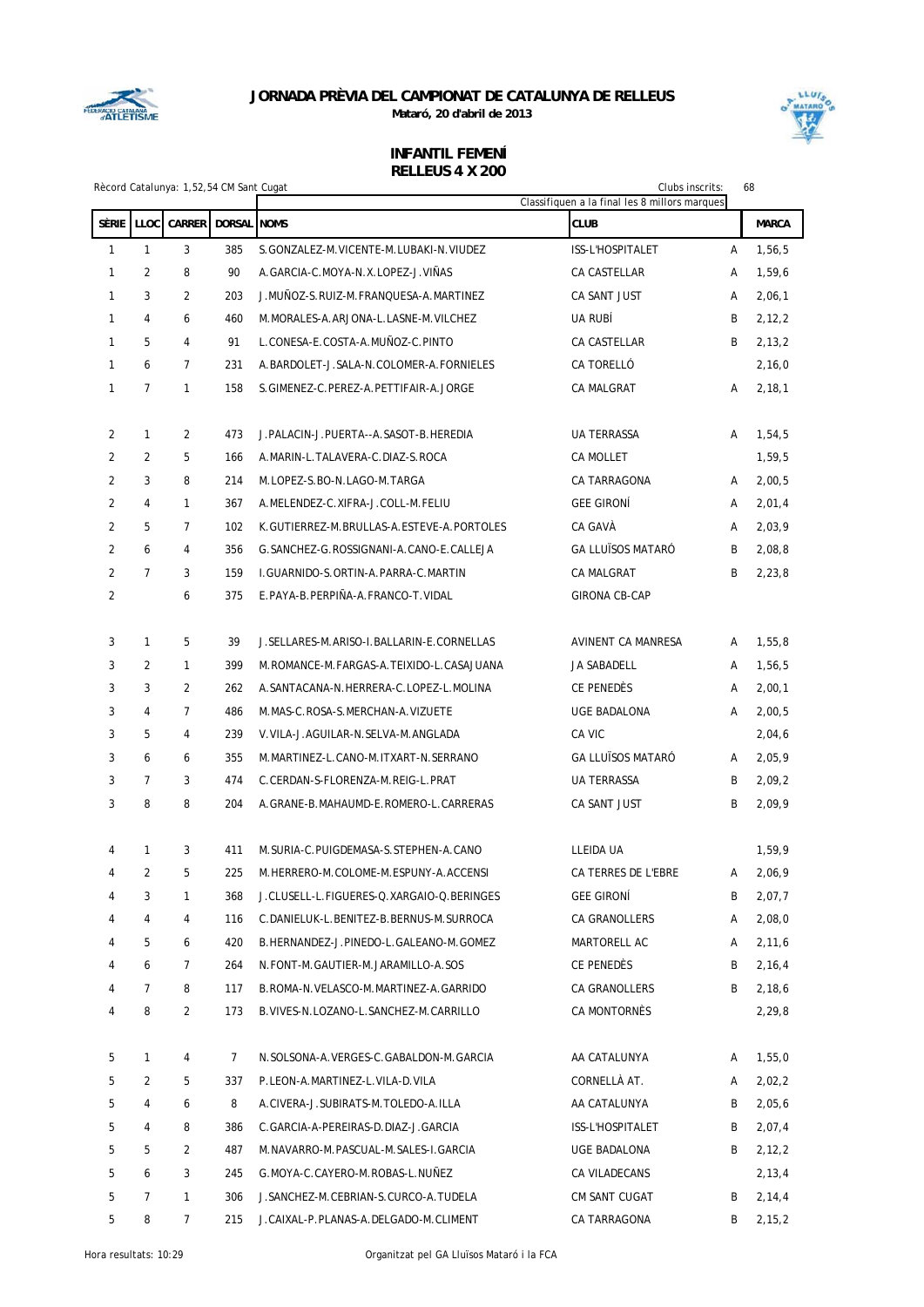

**Mataró, 20 d'abril de 2013**



|                |                | Rècord Catalunya: 1,52,54 CM Sant Cugat |               | 68<br>Clubs inscrits:<br>Classifiquen a la final les 8 millors marques |                          |   |              |
|----------------|----------------|-----------------------------------------|---------------|------------------------------------------------------------------------|--------------------------|---|--------------|
| <b>SÈRIE</b>   | <b>LLOC</b>    | <b>CARRER</b>                           | DORSAL NOMS   |                                                                        | <b>CLUB</b>              |   | <b>MARCA</b> |
| $\mathbf{1}$   | $\mathbf{1}$   | 3                                       | 385           | S. GONZALEZ-M. VICENTE-M. LUBAKI-N. VIUDEZ                             | ISS-L'HOSPITALET         | A | 1,56,5       |
| $\mathbf{1}$   | $\overline{2}$ | 8                                       | 90            | A.GARCIA-C.MOYA-N.X.LOPEZ-J.VIÑAS                                      | CA CASTELLAR             | A | 1,59,6       |
| 1              | 3              | $\overline{2}$                          | 203           | J.MUÑOZ-S.RUIZ-M.FRANQUESA-A.MARTINEZ                                  | CA SANT JUST             | A | 2,06,1       |
| $\mathbf{1}$   | $\overline{4}$ | 6                                       | 460           | M. MORALES-A. ARJONA-L. LASNE-M. VILCHEZ                               | UA RUBÍ                  | B | 2,12,2       |
| $\mathbf{1}$   | 5              | 4                                       | 91            | L.CONESA-E.COSTA-A.MUÑOZ-C.PINTO                                       | CA CASTELLAR             | B | 2,13,2       |
| 1              | 6              | $\overline{7}$                          | 231           | A.BARDOLET-J.SALA-N.COLOMER-A.FORNIELES                                | CA TORELLÓ               |   | 2,16,0       |
| 1              | $\overline{7}$ | $\mathbf{1}$                            | 158           | S.GIMENEZ-C.PEREZ-A.PETTIFAIR-A.JORGE                                  | <b>CA MALGRAT</b>        | Α | 2,18,1       |
|                |                |                                         |               |                                                                        |                          |   |              |
| 2              | $\mathbf{1}$   | 2                                       | 473           | J. PALACIN-J. PUERTA--A. SASOT-B. HEREDIA                              | <b>UA TERRASSA</b>       | Α | 1,54,5       |
| $\overline{2}$ | 2              | 5                                       | 166           | A.MARIN-L.TALAVERA-C.DIAZ-S.ROCA                                       | CA MOLLET                |   | 1,59,5       |
| $\overline{2}$ | 3              | 8                                       | 214           | M.LOPEZ-S.BO-N.LAGO-M.TARGA                                            | CA TARRAGONA             | Α | 2,00,5       |
| $\overline{2}$ | $\overline{4}$ | $\mathbf{1}$                            | 367           | A.MELENDEZ-C.XIFRA-J.COLL-M.FELIU                                      | <b>GEE GIRONÍ</b>        | A | 2,01,4       |
| $\overline{2}$ | 5              | $\overline{7}$                          | 102           | K.GUTIERREZ-M.BRULLAS-A.ESTEVE-A.PORTOLES                              | CA GAVÀ                  | A | 2,03,9       |
| $\overline{2}$ | 6              | 4                                       | 356           | G. SANCHEZ-G. ROSSIGNANI-A. CANO-E. CALLEJA                            | <b>GA LLUÏSOS MATARÓ</b> | B | 2,08,8       |
| $\overline{2}$ | $\overline{7}$ | 3                                       | 159           | I.GUARNIDO-S.ORTIN-A.PARRA-C.MARTIN                                    | CA MALGRAT               | B | 2,23,8       |
| $\overline{2}$ |                | 6                                       | 375           | E.PAYA-B.PERPIÑA-A.FRANCO-T.VIDAL                                      | <b>GIRONA CB-CAP</b>     |   |              |
| 3              | $\mathbf{1}$   | 5                                       | 39            | J. SELLARES-M. ARISO-I. BALLARIN-E. CORNELLAS                          | AVINENT CA MANRESA       | A | 1,55,8       |
| 3              | 2              | $\mathbf{1}$                            | 399           | M.ROMANCE-M.FARGAS-A.TEIXIDO-L.CASAJUANA                               | JA SABADELL              | A | 1,56,5       |
| 3              | 3              | 2                                       | 262           | A.SANTACANA-N.HERRERA-C.LOPEZ-L.MOLINA                                 | CE PENEDÈS               | A | 2,00,1       |
| 3              | $\overline{4}$ | $\overline{7}$                          | 486           | M. MAS-C. ROSA-S. MERCHAN-A. VIZUETE                                   | UGE BADALONA             | A | 2,00,5       |
| 3              | 5              | 4                                       | 239           | V.VILA-J.AGUILAR-N.SELVA-M.ANGLADA                                     | CA VIC                   |   | 2,04,6       |
| 3              | 6              | 6                                       | 355           | M.MARTINEZ-L.CANO-M.ITXART-N.SERRANO                                   | <b>GA LLUÏSOS MATARÓ</b> | A | 2,05,9       |
| 3              | $\overline{7}$ | 3                                       | 474           | C.CERDAN-S-FLORENZA-M.REIG-L.PRAT                                      | <b>UA TERRASSA</b>       | B | 2,09,2       |
| 3              | 8              | 8                                       | 204           | A.GRANE-B.MAHAUMD-E.ROMERO-L.CARRERAS                                  | CA SANT JUST             | B | 2,09,9       |
|                |                |                                         |               |                                                                        |                          |   |              |
| 4              | $\mathbf{1}$   | 3                                       | 411           | M. SURIA-C. PUIGDEMASA-S. STEPHEN-A. CANO                              | <b>LLEIDA UA</b>         |   | 1.59.9       |
| 4              | $\mathbf{2}$   | 5                                       | 225           | M.HERRERO-M.COLOME-M.ESPUNY-A.ACCENSI                                  | CA TERRES DE L'EBRE      | A | 2,06,9       |
| 4              | 3              | $\mathbf{1}$                            | 368           | J.CLUSELL-L.FIGUERES-Q.XARGAIO-Q.BERINGES                              | GEE GIRONÍ               | B | 2,07,7       |
| 4              | 4              | 4                                       | 116           | C.DANIELUK-L.BENITEZ-B.BERNUS-M.SURROCA                                | CA GRANOLLERS            | Α | 2,08,0       |
| 4              | 5              | 6                                       | 420           | B.HERNANDEZ-J.PINEDO-L.GALEANO-M.GOMEZ                                 | MARTORELL AC             | Α | 2,11,6       |
| 4              | 6              | 7                                       | 264           | N.FONT-M.GAUTIER-M.JARAMILLO-A.SOS                                     | CE PENEDÈS               | B | 2,16,4       |
| 4              | 7              | 8                                       | 117           | B.ROMA-N.VELASCO-M.MARTINEZ-A.GARRIDO                                  | CA GRANOLLERS            | B | 2,18,6       |
| 4              | 8              | 2                                       | 173           | B. VIVES-N. LOZANO-L. SANCHEZ-M. CARRILLO                              | CA MONTORNÈS             |   | 2,29,8       |
| 5              | 1              | 4                                       | $\mathcal{I}$ | N.SOLSONA-A.VERGES-C.GABALDON-M.GARCIA                                 | AA CATALUNYA             | A | 1,55,0       |
| 5              | 2              | 5                                       | 337           | P.LEON-A.MARTINEZ-L.VILA-D.VILA                                        | CORNELLÀ AT.             | Α | 2,02,2       |
| 5              | 4              | 6                                       | 8             | A.CIVERA-J.SUBIRATS-M.TOLEDO-A.ILLA                                    | AA CATALUNYA             | B | 2,05,6       |
| 5              | 4              | 8                                       | 386           | C.GARCIA-A-PEREIRAS-D.DIAZ-J.GARCIA                                    | ISS-L'HOSPITALET         | B | 2,07,4       |
| 5              | 5              | 2                                       | 487           | M. NAVARRO-M. PASCUAL-M. SALES-I. GARCIA                               | UGE BADALONA             | B | 2,12,2       |
| 5              | 6              | 3                                       | 245           | G.MOYA-C.CAYERO-M.ROBAS-L.NUÑEZ                                        | CA VILADECANS            |   | 2,13,4       |
| 5              | 7              | $\mathbf{1}$                            | 306           | J. SANCHEZ-M. CEBRIAN-S. CURCO-A. TUDELA                               | CM SANT CUGAT            | B | 2,14,4       |
| 5              | 8              | $7\overline{ }$                         | 215           | J.CAIXAL-P.PLANAS-A.DELGADO-M.CLIMENT                                  | CA TARRAGONA             | B | 2, 15, 2     |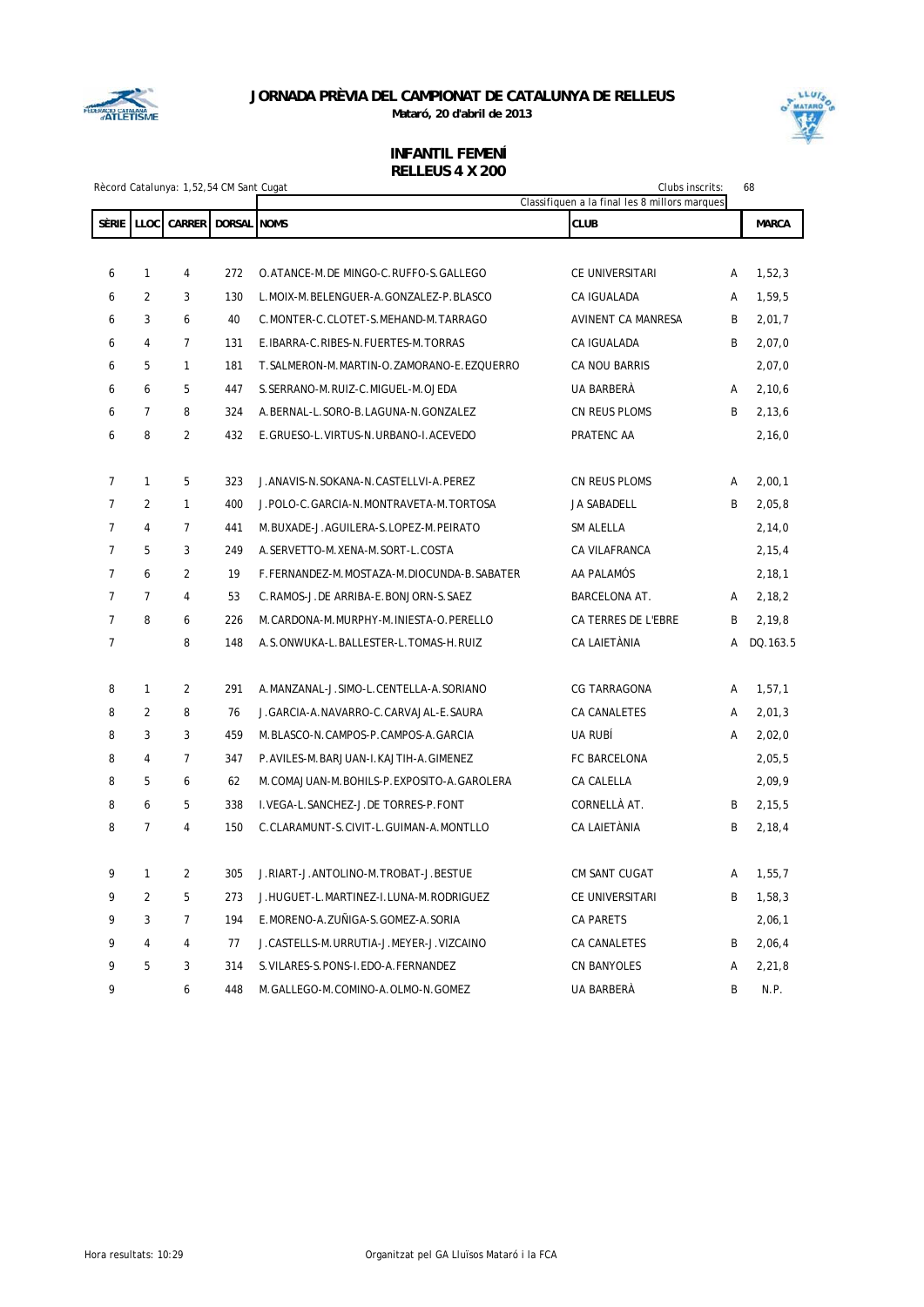

**Mataró, 20 d'abril de 2013**



|                |                | Rècord Catalunya: 1,52,54 CM Sant Cugat |                    | Clubs inscrits:<br>Classifiquen a la final les 8 millors marques |                     |   | 68           |
|----------------|----------------|-----------------------------------------|--------------------|------------------------------------------------------------------|---------------------|---|--------------|
| <b>SÈRIE</b>   | <b>LLOC</b>    | <b>CARRER</b>                           | <b>DORSAL NOMS</b> |                                                                  | <b>CLUB</b>         |   | <b>MARCA</b> |
|                |                |                                         |                    |                                                                  |                     |   |              |
| 6              | $\mathbf{1}$   | $\overline{\mathbf{4}}$                 | 272                | O.ATANCE-M.DE MINGO-C.RUFFO-S.GALLEGO                            | CE UNIVERSITARI     | A | 1,52,3       |
| 6              | $\overline{2}$ | 3                                       | 130                | L.MOIX-M.BELENGUER-A.GONZALEZ-P.BLASCO                           | CA IGUALADA         | A | 1,59,5       |
| 6              | 3              | 6                                       | 40                 | C.MONTER-C.CLOTET-S.MEHAND-M.TARRAGO                             | AVINENT CA MANRESA  | B | 2,01,7       |
| 6              | $\overline{4}$ | $\overline{7}$                          | 131                | E.IBARRA-C.RIBES-N.FUERTES-M.TORRAS                              | CA IGUALADA         | B | 2,07,0       |
| 6              | 5              | $\mathbf{1}$                            | 181                | T.SALMERON-M.MARTIN-O.ZAMORANO-E.EZQUERRO                        | CA NOU BARRIS       |   | 2,07,0       |
| 6              | 6              | 5                                       | 447                | S. SERRANO-M. RUIZ-C. MIGUEL-M. OJEDA                            | UA BARBERÀ          | A | 2,10,6       |
| 6              | $\overline{7}$ | 8                                       | 324                | A.BERNAL-L.SORO-B.LAGUNA-N.GONZALEZ                              | CN REUS PLOMS       | B | 2,13,6       |
| 6              | 8              | $\overline{2}$                          | 432                | E.GRUESO-L.VIRTUS-N.URBANO-I.ACEVEDO                             | PRATENC AA          |   | 2,16,0       |
|                |                |                                         |                    |                                                                  |                     |   |              |
| $\overline{7}$ | $\mathbf{1}$   | 5                                       | 323                | J. ANAVIS-N. SOKANA-N. CASTELLVI-A. PEREZ                        | CN REUS PLOMS       | A | 2,00,1       |
| $\overline{7}$ | $\overline{2}$ | $\mathbf{1}$                            | 400                | J.POLO-C.GARCIA-N.MONTRAVETA-M.TORTOSA                           | JA SABADELL         | B | 2,05,8       |
| $\overline{7}$ | $\overline{4}$ | $\overline{7}$                          | 441                | M.BUXADE-J.AGUILERA-S.LOPEZ-M.PEIRATO                            | <b>SM ALELLA</b>    |   | 2,14,0       |
| $\overline{7}$ | 5              | 3                                       | 249                | A.SERVETTO-M.XENA-M.SORT-L.COSTA                                 | CA VILAFRANCA       |   | 2,15,4       |
| $\overline{7}$ | 6              | $\overline{2}$                          | 19                 | F.FERNANDEZ-M.MOSTAZA-M.DIOCUNDA-B.SABATER                       | AA PALAMÓS          |   | 2,18,1       |
| $\overline{7}$ | $\overline{7}$ | $\overline{4}$                          | 53                 | C.RAMOS-J.DE ARRIBA-E.BONJORN-S.SAEZ                             | BARCELONA AT.       | A | 2,18,2       |
| $\overline{7}$ | 8              | 6                                       | 226                | M. CARDONA-M. MURPHY-M. INIESTA-O. PERELLO                       | CA TERRES DE L'EBRE | B | 2,19,8       |
| $\overline{7}$ |                | 8                                       | 148                | A.S.ONWUKA-L.BALLESTER-L.TOMAS-H.RUIZ                            | CA LAIETÀNIA        | А | DQ.163.5     |
|                |                |                                         |                    |                                                                  |                     |   |              |
| 8              | $\mathbf{1}$   | $\overline{2}$                          | 291                | A.MANZANAL-J.SIMO-L.CENTELLA-A.SORIANO                           | <b>CG TARRAGONA</b> | A | 1,57,1       |
| 8              | $\overline{2}$ | 8                                       | 76                 | J.GARCIA-A.NAVARRO-C.CARVAJAL-E.SAURA                            | <b>CA CANALETES</b> | A | 2,01,3       |
| 8              | 3              | 3                                       | 459                | M.BLASCO-N.CAMPOS-P.CAMPOS-A.GARCIA                              | UA RUBÍ             | A | 2,02,0       |
| 8              | $\overline{4}$ | $\overline{7}$                          | 347                | P.AVILES-M.BARJUAN-I.KAJTIH-A.GIMENEZ                            | FC BARCELONA        |   | 2,05,5       |
| 8              | 5              | 6                                       | 62                 | M.COMAJUAN-M.BOHILS-P.EXPOSITO-A.GAROLERA                        | CA CALELLA          |   | 2,09,9       |
| 8              | 6              | 5                                       | 338                | I.VEGA-L.SANCHEZ-J.DE TORRES-P.FONT                              | CORNELLÀ AT.        | B | 2,15,5       |
| 8              | $\overline{7}$ | $\overline{4}$                          | 150                | C.CLARAMUNT-S.CIVIT-L.GUIMAN-A.MONTLLO                           | CA LAIETÀNIA        | B | 2,18,4       |
|                |                |                                         |                    |                                                                  |                     |   |              |
| 9              | $\mathbf{1}$   | $\overline{2}$                          | 305                | J.RIART-J.ANTOLINO-M.TROBAT-J.BESTUE                             | CM SANT CUGAT       | A | 1,55,7       |
| 9              | $\overline{2}$ | 5                                       | 273                | J.HUGUET-L.MARTINEZ-I.LUNA-M.RODRIGUEZ                           | CE UNIVERSITARI     | B | 1,58,3       |
| 9              | 3              | $\overline{7}$                          | 194                | E.MORENO-A.ZUÑIGA-S.GOMEZ-A.SORIA                                | <b>CA PARETS</b>    |   | 2,06,1       |
| 9              | $\overline{4}$ | $\overline{4}$                          | 77                 | J.CASTELLS-M.URRUTIA-J.MEYER-J.VIZCAINO                          | CA CANALETES        | B | 2,06,4       |
| 9              | 5              | 3                                       | 314                | S. VILARES-S. PONS-I. EDO-A. FERNANDEZ                           | <b>CN BANYOLES</b>  | А | 2,21,8       |
| 9              |                | 6                                       | 448                | M.GALLEGO-M.COMINO-A.OLMO-N.GOMEZ                                | UA BARBERA          | B | N.P.         |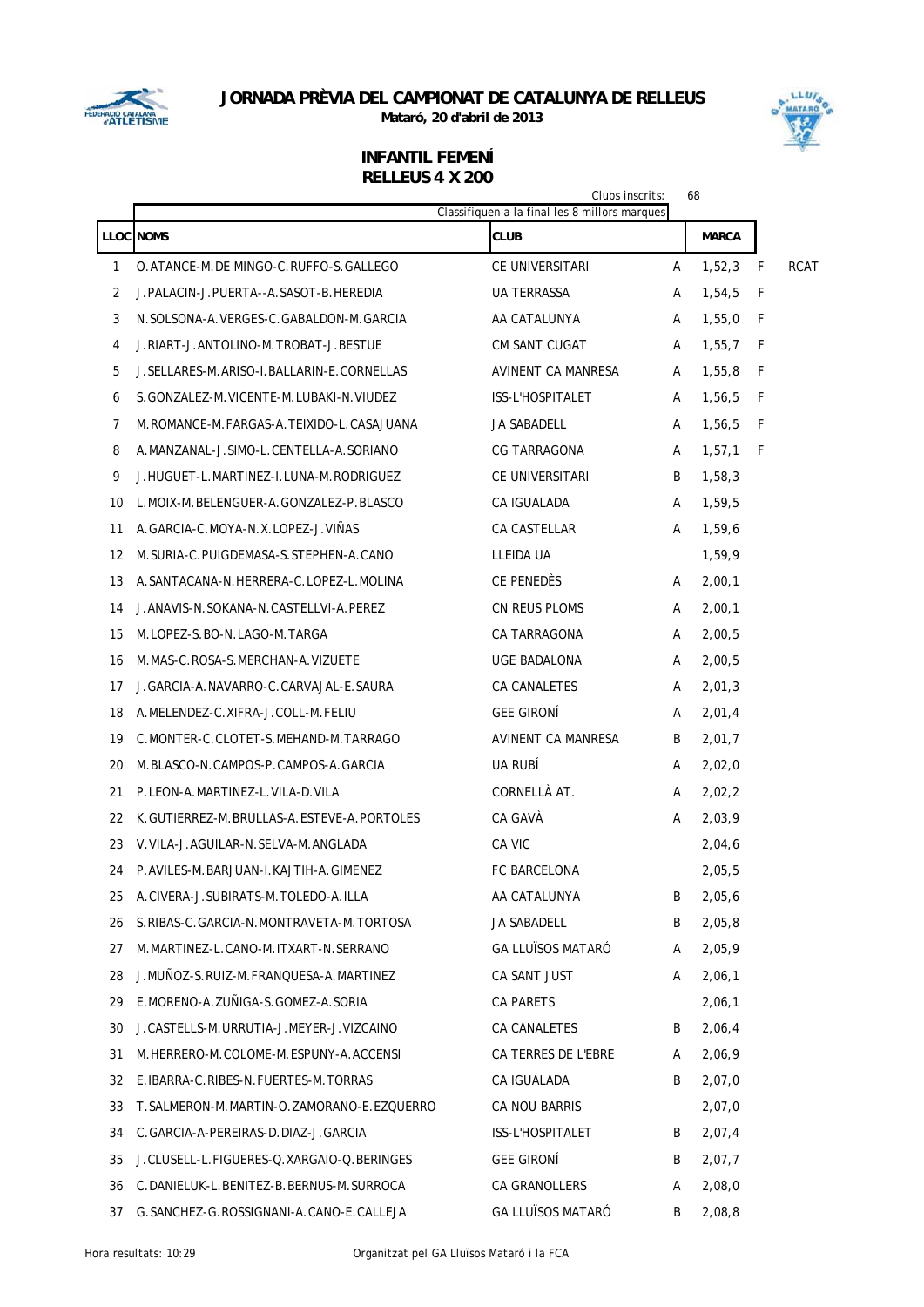

**Mataró, 20 d'abril de 2013**



|    |                                               | Clubs inscrits:<br>Classifiquen a la final les 8 millors marques |   | 68           |     |             |
|----|-----------------------------------------------|------------------------------------------------------------------|---|--------------|-----|-------------|
|    | <b>LLOC NOMS</b>                              | CLUB                                                             |   | <b>MARCA</b> |     |             |
| 1  | O.ATANCE-M.DE MINGO-C.RUFFO-S.GALLEGO         | CE UNIVERSITARI                                                  | Α | 1,52,3       | F   | <b>RCAT</b> |
| 2  | J.PALACIN-J.PUERTA--A.SASOT-B.HEREDIA         | UA TERRASSA                                                      | A | 1,54,5       | F   |             |
| 3  | N. SOLSONA-A. VERGES-C. GABALDON-M. GARCIA    | AA CATALUNYA                                                     | A | 1,55,0       | - F |             |
| 4  | J.RIART-J.ANTOLINO-M.TROBAT-J.BESTUE          | CM SANT CUGAT                                                    | A | 1,55,7       | - F |             |
| 5  | J. SELLARES-M. ARISO-I. BALLARIN-E. CORNELLAS | AVINENT CA MANRESA                                               | A | 1,55,8       | - F |             |
| 6  | S.GONZALEZ-M.VICENTE-M.LUBAKI-N.VIUDEZ        | <b>ISS-L'HOSPITALET</b>                                          | A | 1,56,5       | - F |             |
| 7  | M.ROMANCE-M.FARGAS-A.TEIXIDO-L.CASAJUANA      | JA SABADELL                                                      | A | 1,56,5       | - F |             |
| 8  | A.MANZANAL-J.SIMO-L.CENTELLA-A.SORIANO        | CG TARRAGONA                                                     | A | 1, 57, 1     | - F |             |
| 9  | J.HUGUET-L.MARTINEZ-I.LUNA-M.RODRIGUEZ        | CE UNIVERSITARI                                                  | B | 1,58,3       |     |             |
| 10 | L.MOIX-M.BELENGUER-A.GONZALEZ-P.BLASCO        | CA IGUALADA                                                      | A | 1,59,5       |     |             |
| 11 | A.GARCIA-C.MOYA-N.X.LOPEZ-J.VIÑAS             | CA CASTELLAR                                                     | A | 1,59,6       |     |             |
| 12 | M. SURIA-C. PUIGDEMASA-S. STEPHEN-A. CANO     | LLEIDA UA                                                        |   | 1,59,9       |     |             |
| 13 | A. SANTACANA-N. HERRERA-C. LOPEZ-L. MOLINA    | CE PENEDES                                                       | A | 2,00,1       |     |             |
| 14 | J. ANAVIS-N. SOKANA-N. CASTELLVI-A. PEREZ     | CN REUS PLOMS                                                    | A | 2,00,1       |     |             |
| 15 | M.LOPEZ-S.BO-N.LAGO-M.TARGA                   | CA TARRAGONA                                                     | A | 2,00,5       |     |             |
| 16 | M.MAS-C.ROSA-S.MERCHAN-A.VIZUETE              | UGE BADALONA                                                     | A | 2,00,5       |     |             |
| 17 | J.GARCIA-A.NAVARRO-C.CARVAJAL-E.SAURA         | CA CANALETES                                                     | A | 2,01,3       |     |             |
| 18 | A.MELENDEZ-C.XIFRA-J.COLL-M.FELIU             | <b>GEE GIRONI</b>                                                | A | 2,01,4       |     |             |
| 19 | C.MONTER-C.CLOTET-S.MEHAND-M.TARRAGO          | AVINENT CA MANRESA                                               | B | 2,01,7       |     |             |
| 20 | M.BLASCO-N.CAMPOS-P.CAMPOS-A.GARCIA           | UA RUBI                                                          | A | 2,02,0       |     |             |
| 21 | P.LEON-A.MARTINEZ-L.VILA-D.VILA               | CORNELLÀ AT.                                                     | A | 2,02,2       |     |             |
| 22 | K.GUTIERREZ-M.BRULLAS-A.ESTEVE-A.PORTOLES     | CA GAVÀ                                                          | A | 2,03,9       |     |             |
| 23 | V. VILA-J. AGUILAR-N. SELVA-M. ANGLADA        | CA VIC                                                           |   | 2,04,6       |     |             |
| 24 | P.AVILES-M.BARJUAN-L.KAJTIH-A.GIMENEZ         | <b>FC BARCELONA</b>                                              |   | 2.05.5       |     |             |
| 25 | A.CIVERA-J.SUBIRATS-M.TOLEDO-A.ILLA           | AA CATALUNYA                                                     | B | 2,05,6       |     |             |
| 26 | S.RIBAS-C.GARCIA-N.MONTRAVETA-M.TORTOSA       | JA SABADELL                                                      | B | 2,05,8       |     |             |
| 27 | M.MARTINEZ-L.CANO-M.ITXART-N.SERRANO          | <b>GA LLUÏSOS MATARÓ</b>                                         | A | 2,05,9       |     |             |
| 28 | J.MUÑOZ-S.RUIZ-M.FRANQUESA-A.MARTINEZ         | CA SANT JUST                                                     | A | 2,06,1       |     |             |
| 29 | E.MORENO-A.ZUÑIGA-S.GOMEZ-A.SORIA             | <b>CA PARETS</b>                                                 |   | 2,06,1       |     |             |
| 30 | J.CASTELLS-M.URRUTIA-J.MEYER-J.VIZCAINO       | CA CANALETES                                                     | B | 2,06,4       |     |             |
| 31 | M.HERRERO-M.COLOME-M.ESPUNY-A.ACCENSI         | CA TERRES DE L'EBRE                                              | A | 2,06,9       |     |             |
| 32 | E. IBARRA-C. RIBES-N. FUERTES-M. TORRAS       | CA IGUALADA                                                      | B | 2,07,0       |     |             |
| 33 | T. SALMERON-M. MARTIN-O. ZAMORANO-E. EZQUERRO | CA NOU BARRIS                                                    |   | 2,07,0       |     |             |
| 34 | C. GARCIA-A-PEREIRAS-D. DIAZ-J. GARCIA        | ISS-L'HOSPITALET                                                 | B | 2,07,4       |     |             |
| 35 | J.CLUSELL-L.FIGUERES-Q.XARGAIO-Q.BERINGES     | <b>GEE GIRONI</b>                                                | B | 2,07,7       |     |             |
| 36 | C.DANIELUK-L.BENITEZ-B.BERNUS-M.SURROCA       | CA GRANOLLERS                                                    | A | 2,08,0       |     |             |
| 37 | G. SANCHEZ-G. ROSSIGNANI-A. CANO-E. CALLEJA   | <b>GA LLUÏSOS MATARÓ</b>                                         | B | 2,08,8       |     |             |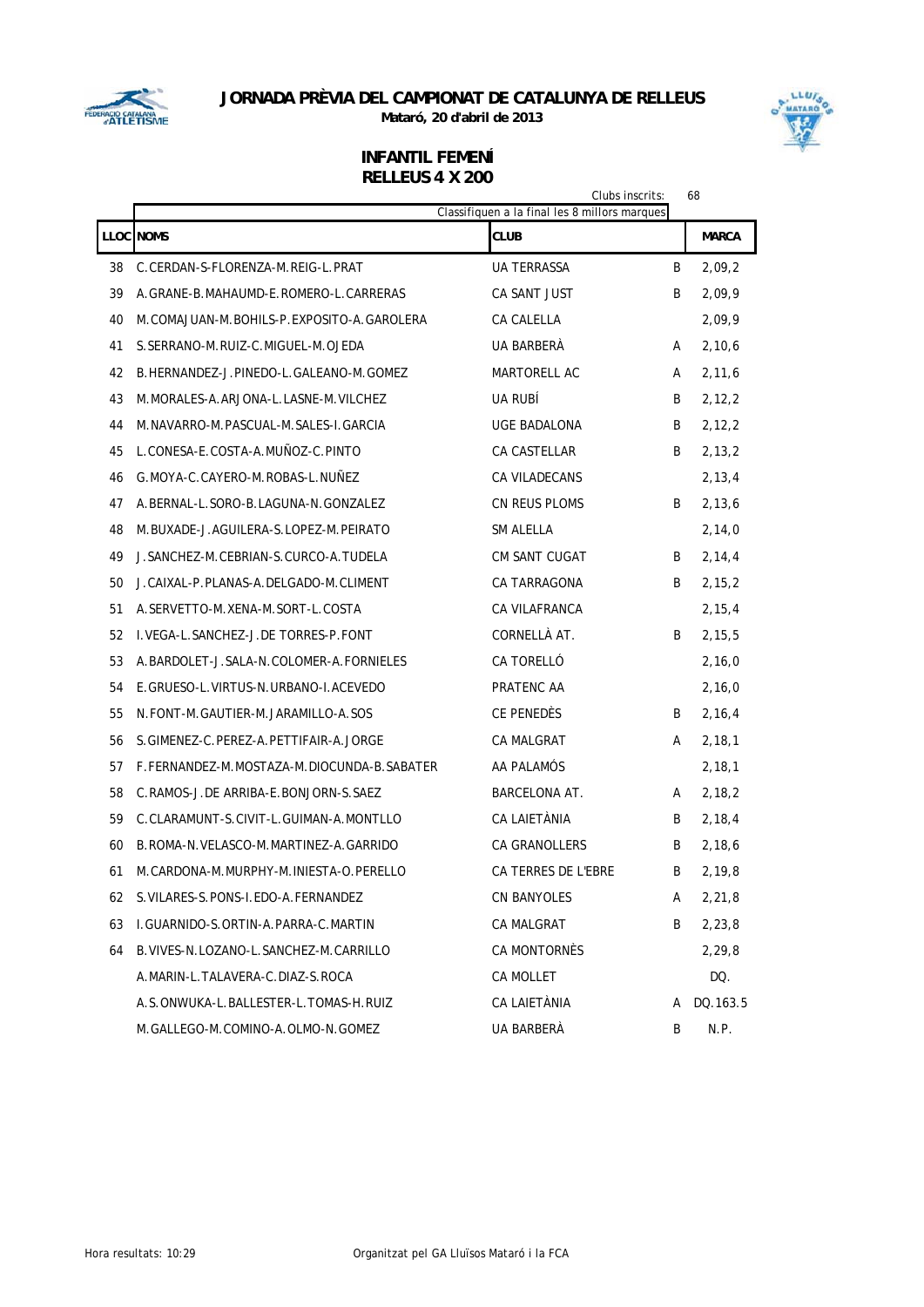

**Mataró, 20 d'abril de 2013**



LLUI .<br>MATAR

# **INFANTIL FEMENÍ**

# **RELLEUS 4 X 200**

|    | Clubs inscrits:<br>Classifiquen a la final les 8 millors marques |                      |   |              |  |  |  |  |
|----|------------------------------------------------------------------|----------------------|---|--------------|--|--|--|--|
|    | <b>LLOC NOMS</b>                                                 | CLUB                 |   | <b>MARCA</b> |  |  |  |  |
| 38 | C.CERDAN-S-FLORENZA-M.REIG-L.PRAT                                | <b>UA TERRASSA</b>   | B | 2,09,2       |  |  |  |  |
| 39 | A. GRANE-B. MAHAUMD-E. ROMERO-L. CARRERAS                        | CA SANT JUST         | B | 2,09,9       |  |  |  |  |
| 40 | M.COMAJUAN-M.BOHILS-P.EXPOSITO-A.GAROLERA                        | CA CALELLA           |   | 2,09,9       |  |  |  |  |
| 41 | S. SERRANO-M. RUIZ-C. MIGUEL-M. OJEDA                            | UA BARBERÀ           | A | 2,10,6       |  |  |  |  |
| 42 | B.HERNANDEZ-J.PINEDO-L.GALEANO-M.GOMEZ                           | <b>MARTORELL AC</b>  | A | 2, 11, 6     |  |  |  |  |
| 43 | M. MORALES-A. ARJONA-L. LASNE-M. VILCHEZ                         | UA RUBI              | B | 2, 12, 2     |  |  |  |  |
| 44 | M. NAVARRO-M. PASCUAL-M. SALES-I. GARCIA                         | UGE BADALONA         | B | 2,12,2       |  |  |  |  |
| 45 | L.CONESA-E.COSTA-A.MUÑOZ-C.PINTO                                 | CA CASTELLAR         | B | 2,13,2       |  |  |  |  |
| 46 | G.MOYA-C.CAYERO-M.ROBAS-L.NUÑEZ                                  | <b>CA VILADECANS</b> |   | 2,13,4       |  |  |  |  |
| 47 | A.BERNAL-L.SORO-B.LAGUNA-N.GONZALEZ                              | CN REUS PLOMS        | B | 2,13,6       |  |  |  |  |
| 48 | M.BUXADE-J.AGUILERA-S.LOPEZ-M.PEIRATO                            | SM ALELLA            |   | 2,14,0       |  |  |  |  |
| 49 | J. SANCHEZ-M. CEBRIAN-S. CURCO-A. TUDELA                         | <b>CM SANT CUGAT</b> | B | 2,14,4       |  |  |  |  |
| 50 | J.CAIXAL-P.PLANAS-A.DELGADO-M.CLIMENT                            | CA TARRAGONA         | B | 2,15,2       |  |  |  |  |
| 51 | A. SERVETTO-M. XENA-M. SORT-L. COSTA                             | CA VILAFRANCA        |   | 2, 15, 4     |  |  |  |  |
| 52 | L. VEGA-L. SANCHEZ-J. DE TORRES-P. FONT                          | CORNELLÀ AT.         | B | 2,15,5       |  |  |  |  |
| 53 | A. BARDOLET-J. SALA-N. COLOMER-A. FORNIELES                      | CA TORELLÓ           |   | 2,16,0       |  |  |  |  |
| 54 | E. GRUESO-L. VIRTUS-N. URBANO-I. ACEVEDO                         | PRATENC AA           |   | 2,16,0       |  |  |  |  |
| 55 | N.FONT-M.GAUTIER-M.JARAMILLO-A.SOS                               | CE PENEDÈS           | B | 2,16,4       |  |  |  |  |
| 56 | S.GIMENEZ-C.PEREZ-A.PETTIFAIR-A.JORGE                            | <b>CA MALGRAT</b>    | A | 2,18,1       |  |  |  |  |
| 57 | F.FERNANDEZ-M.MOSTAZA-M.DIOCUNDA-B.SABATER                       | AA PALAMÓS           |   | 2, 18, 1     |  |  |  |  |
| 58 | C.RAMOS-J.DE ARRIBA-E.BONJORN-S.SAEZ                             | <b>BARCELONA AT.</b> | A | 2,18,2       |  |  |  |  |
| 59 | C.CLARAMUNT-S.CIVIT-L.GUIMAN-A.MONTLLO                           | CA LAIETÀNIA         | B | 2,18,4       |  |  |  |  |
| 60 | B. ROMA-N. VELASCO-M. MARTINEZ-A. GARRIDO                        | <b>CA GRANOLLERS</b> | B | 2,18,6       |  |  |  |  |
| 61 | M.CARDONA-M.MURPHY-M.INIESTA-O.PERELLO                           | CA TERRES DE L'EBRE  | B | 2, 19, 8     |  |  |  |  |
| 62 | S. VILARES-S. PONS-I. EDO-A. FERNANDEZ                           | CN BANYOLES          | A | 2, 21, 8     |  |  |  |  |
| 63 | I.GUARNIDO-S.ORTIN-A.PARRA-C.MARTIN                              | CA MALGRAT           | B | 2,23,8       |  |  |  |  |
| 64 | B. VIVES-N. LOZANO-L. SANCHEZ-M. CARRILLO                        | CA MONTORNÈS         |   | 2,29,8       |  |  |  |  |
|    | A.MARIN-L.TALAVERA-C.DIAZ-S.ROCA                                 | CA MOLLET            |   | DQ.          |  |  |  |  |
|    | A.S.ONWUKA-L.BALLESTER-L.TOMAS-H.RUIZ                            | CA LAIETÀNIA         | A | DQ.163.5     |  |  |  |  |
|    | M.GALLEGO-M.COMINO-A.OLMO-N.GOMEZ                                | UA BARBERÀ           | B | N.P.         |  |  |  |  |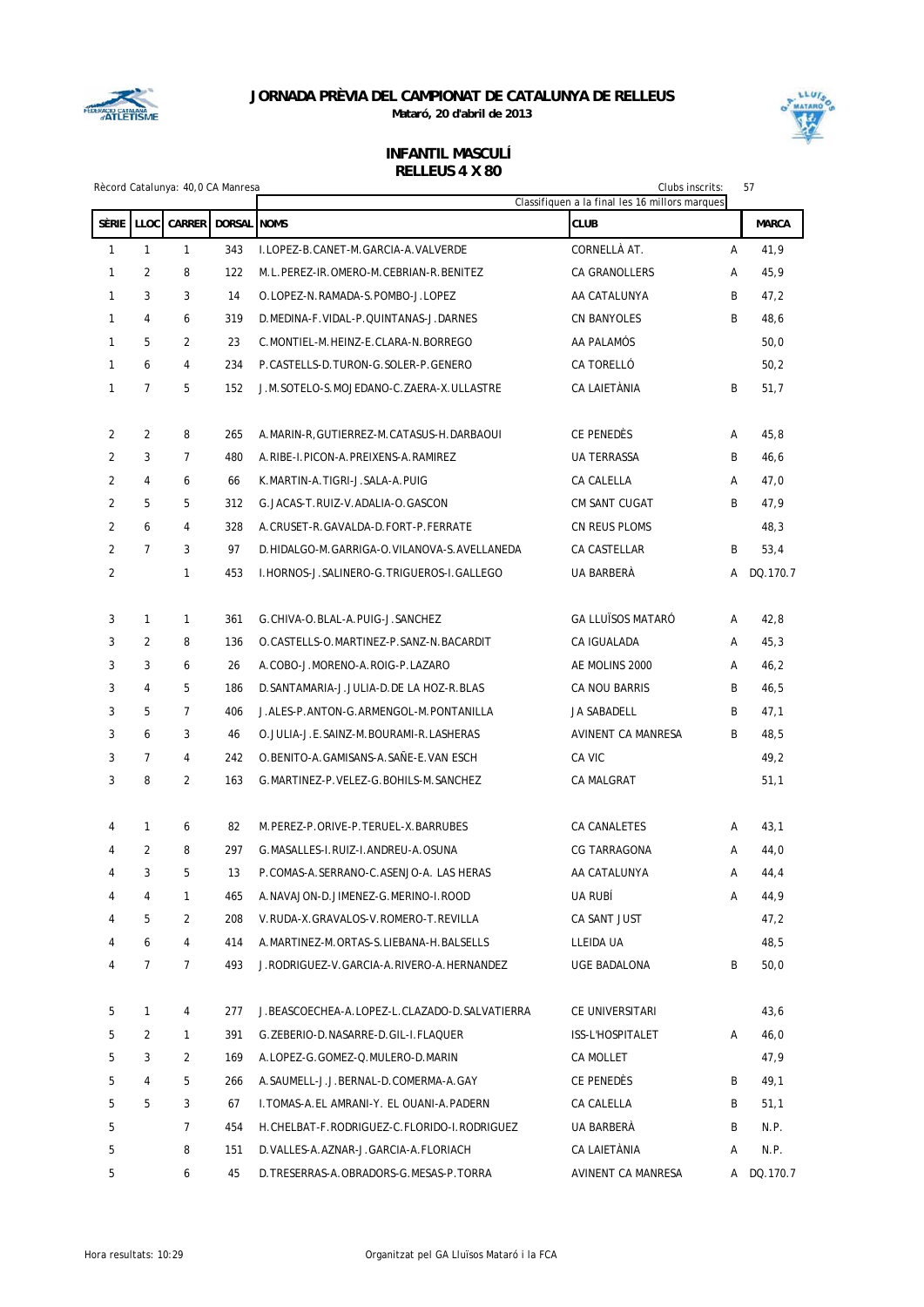



|                |                | Rècord Catalunya: 40,0 CA Manresa |                    | Clubs inscrits:<br>Classifiquen a la final les 16 millors marques |                          |   | 57           |
|----------------|----------------|-----------------------------------|--------------------|-------------------------------------------------------------------|--------------------------|---|--------------|
| <b>SÈRIE</b>   | LLOC           | CARRER                            | <b>DORSAL NOMS</b> |                                                                   | <b>CLUB</b>              |   | <b>MARCA</b> |
| 1              | $\mathbf{1}$   | $\mathbf{1}$                      | 343                | I.LOPEZ-B.CANET-M.GARCIA-A.VALVERDE                               | CORNELLÀ AT.             | Α | 41,9         |
| 1              | 2              | 8                                 | 122                | M.L.PEREZ-IR.OMERO-M.CEBRIAN-R.BENITEZ                            | CA GRANOLLERS            | Α | 45,9         |
| 1              | 3              | 3                                 | 14                 | O.LOPEZ-N.RAMADA-S.POMBO-J.LOPEZ                                  | AA CATALUNYA             | B | 47,2         |
| 1              | 4              | 6                                 | 319                | D. MEDINA-F. VIDAL-P. QUINTANAS-J. DARNES                         | <b>CN BANYOLES</b>       | B | 48,6         |
| 1              | 5              | $\overline{2}$                    | 23                 | C.MONTIEL-M.HEINZ-E.CLARA-N.BORREGO                               | AA PALAMÓS               |   | 50,0         |
| 1              | 6              | 4                                 | 234                | P.CASTELLS-D.TURON-G.SOLER-P.GENERO                               | CA TORELLÓ               |   | 50,2         |
| 1              | $\overline{7}$ | 5                                 | 152                | J.M.SOTELO-S.MOJEDANO-C.ZAERA-X.ULLASTRE                          | CA LAIETÀNIA             | B | 51,7         |
| 2              | $\overline{2}$ | 8                                 | 265                | A.MARIN-R.GUTIERREZ-M.CATASUS-H.DARBAOUI                          | CE PENEDÈS               | A | 45,8         |
| 2              | 3              | $\overline{7}$                    | 480                | A.RIBE-I.PICON-A.PREIXENS-A.RAMIREZ                               | <b>UA TERRASSA</b>       | B | 46,6         |
| 2              | 4              | 6                                 | 66                 | K.MARTIN-A.TIGRI-J.SALA-A.PUIG                                    | CA CALELLA               | A | 47,0         |
| 2              | 5              | 5                                 | 312                | G.JACAS-T.RUIZ-V.ADALIA-O.GASCON                                  | CM SANT CUGAT            | B | 47,9         |
| $\overline{2}$ | 6              | 4                                 | 328                | A.CRUSET-R.GAVALDA-D.FORT-P.FERRATE                               | CN REUS PLOMS            |   | 48,3         |
| 2              | $\overline{7}$ | 3                                 | 97                 | D.HIDALGO-M.GARRIGA-O.VILANOVA-S.AVELLANEDA                       | CA CASTELLAR             | B | 53,4         |
| 2              |                | 1                                 | 453                | I. HORNOS-J. SALINERO-G. TRIGUEROS-I. GALLEGO                     | UA BARBERÀ               | А | DQ.170.7     |
| 3              | $\mathbf{1}$   | $\mathbf{1}$                      | 361                | G. CHIVA-O. BLAL-A. PUIG-J. SANCHEZ                               | <b>GA LLUÏSOS MATARÓ</b> | Α | 42,8         |
| 3              | 2              | 8                                 | 136                | O. CASTELLS-O. MARTINEZ-P. SANZ-N. BACARDIT                       | CA IGUALADA              | A | 45,3         |
| 3              | 3              | 6                                 | 26                 | A.COBO-J.MORENO-A.ROIG-P.LAZARO                                   | AE MOLINS 2000           | A | 46,2         |
| 3              | 4              | 5                                 | 186                | D. SANTAMARIA-J. JULIA-D. DE LA HOZ-R. BLAS                       | CA NOU BARRIS            | B | 46,5         |
| 3              | 5              | $\overline{7}$                    | 406                | J.ALES-P.ANTON-G.ARMENGOL-M.PONTANILLA                            | JA SABADELL              | B | 47,1         |
| 3              | 6              | 3                                 | 46                 | O. JULIA-J.E. SAINZ-M. BOURAMI-R. LASHERAS                        | AVINENT CA MANRESA       | B | 48,5         |
| 3              | $\overline{7}$ | 4                                 | 242                | O.BENITO-A.GAMISANS-A.SAÑE-E.VAN ESCH                             | CA VIC                   |   | 49,2         |
| 3              | 8              | $\overline{2}$                    | 163                | G. MARTINEZ-P. VELEZ-G. BOHILS-M. SANCHEZ                         | CA MALGRAT               |   | 51,1         |
| 4              | $\mathbf{1}$   | 6                                 | 82                 | M.PEREZ-P.ORIVE-P.TERUEL-X.BARRUBES                               | CA CANALETES             | Α | 43,1         |
| 4              | 2              | 8                                 | 297                | G.MASALLES-I.RUIZ-I.ANDREU-A.OSUNA                                | CG TARRAGONA             | A | 44,0         |
| 4              | 3              | 5                                 | 13                 | P.COMAS-A.SERRANO-C.ASENJO-A. LAS HERAS                           | AA CATALUNYA             | A | 44,4         |
| 4              | 4              | 1                                 | 465                | A.NAVAJON-D.JIMENEZ-G.MERINO-I.ROOD                               | UA RUBÍ                  | Α | 44,9         |
| 4              | 5              | 2                                 | 208                | V.RUDA-X.GRAVALOS-V.ROMERO-T.REVILLA                              | CA SANT JUST             |   | 47,2         |
| 4              | 6              | 4                                 | 414                | A.MARTINEZ-M.ORTAS-S.LIEBANA-H.BALSELLS                           | LLEIDA UA                |   | 48,5         |
| 4              | $\overline{7}$ | $\overline{7}$                    | 493                | J.RODRIGUEZ-V.GARCIA-A.RIVERO-A.HERNANDEZ                         | UGE BADALONA             | B | 50,0         |
| 5              | $\mathbf{1}$   | 4                                 | 277                | J. BEASCOECHEA-A.LOPEZ-L.CLAZADO-D.SALVATIERRA                    | CE UNIVERSITARI          |   | 43,6         |
| 5              | 2              | 1                                 | 391                | G. ZEBERIO-D. NASARRE-D. GIL-I. FLAQUER                           | ISS-L'HOSPITALET         | A | 46,0         |
| 5              | 3              | 2                                 | 169                | A.LOPEZ-G.GOMEZ-Q.MULERO-D.MARIN                                  | CA MOLLET                |   | 47,9         |
| 5              | 4              | 5                                 | 266                | A.SAUMELL-J.J.BERNAL-D.COMERMA-A.GAY                              | CE PENEDÈS               | B | 49,1         |
| 5              | 5              | 3                                 | 67                 | I. TOMAS-A.EL AMRANI-Y. EL OUANI-A.PADERN                         | CA CALELLA               | B | 51,1         |
| 5              |                | 7                                 | 454                | H. CHELBAT-F. RODRIGUEZ-C. FLORIDO-I. RODRIGUEZ                   | UA BARBERÀ               | B | N.P.         |
| 5              |                | 8                                 | 151                | D. VALLES-A. AZNAR-J. GARCIA-A. FLORIACH                          | CA LAIETÀNIA             | Α | N.P.         |
| 5              |                | 6                                 | 45                 | D. TRESERRAS-A. OBRADORS-G. MESAS-P. TORRA                        | AVINENT CA MANRESA       |   | A DQ.170.7   |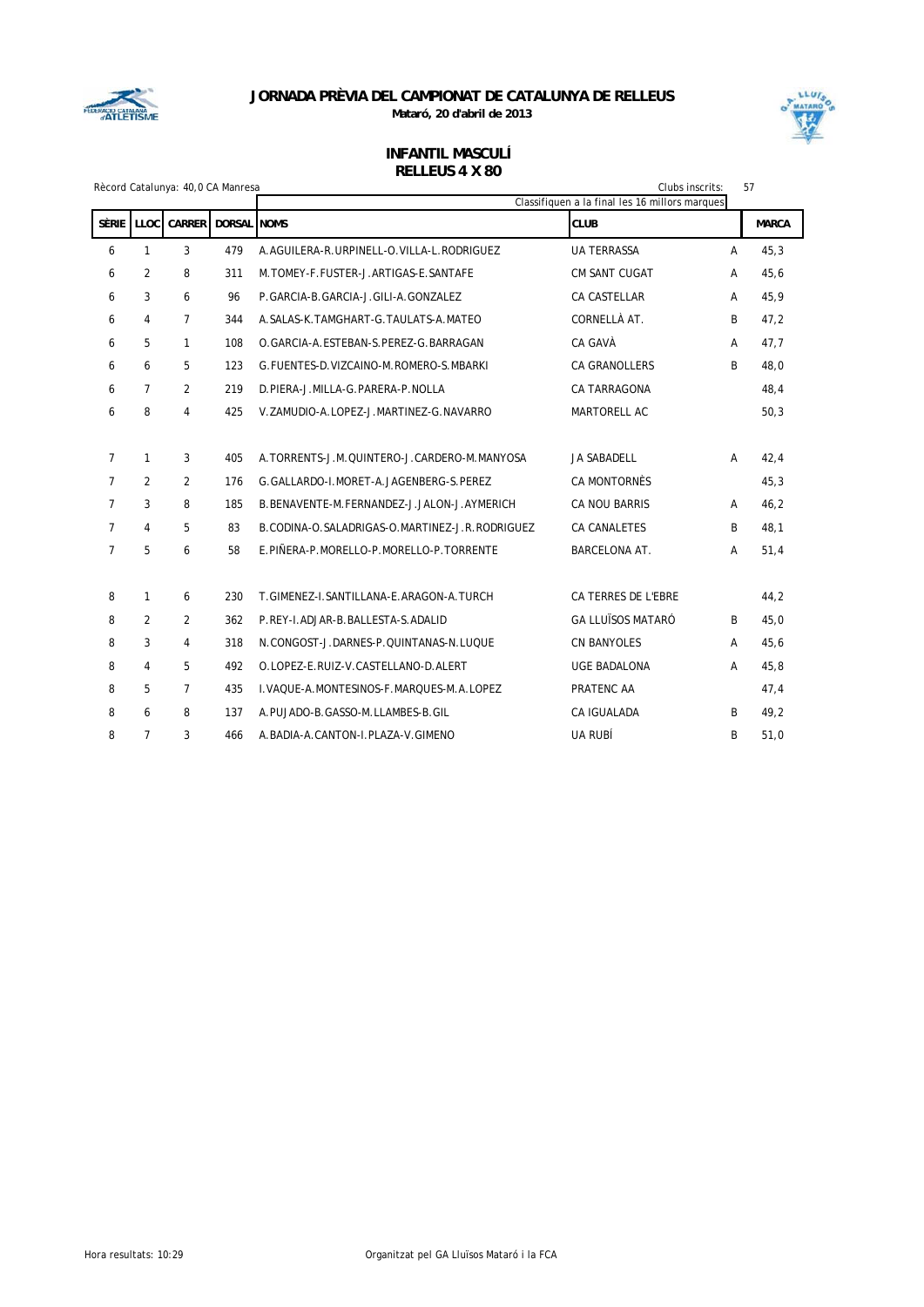



|                | Rècord Catalunya: 40,0 CA Manresa |                |                    |                                                |                                                | Clubs inscrits: | 57           |
|----------------|-----------------------------------|----------------|--------------------|------------------------------------------------|------------------------------------------------|-----------------|--------------|
|                |                                   |                |                    |                                                | Classifiquen a la final les 16 millors marques |                 |              |
| <b>SÈRIE</b>   | LLOC                              | <b>CARRER</b>  | <b>DORSAL</b> NOMS |                                                | <b>CLUB</b>                                    |                 | <b>MARCA</b> |
| 6              | $\mathbf{1}$                      | 3              | 479                | A.AGUILERA-R.URPINELL-O.VILLA-L.RODRIGUEZ      | <b>UA TERRASSA</b>                             | A               | 45,3         |
| 6              | $\overline{2}$                    | 8              | 311                | M.TOMEY-F.FUSTER-J.ARTIGAS-E.SANTAFE           | <b>CM SANT CUGAT</b>                           | A               | 45,6         |
| 6              | 3                                 | 6              | 96                 | P.GARCIA-B.GARCIA-J.GILI-A.GONZALEZ            | <b>CA CASTELLAR</b>                            | A               | 45,9         |
| 6              | 4                                 | $\overline{7}$ | 344                | A. SALAS-K. TAMGHART-G. TAULATS-A. MATEO       | CORNELLÀ AT.                                   | B               | 47,2         |
| 6              | 5                                 | $\mathbf{1}$   | 108                | O. GARCIA-A. ESTEBAN-S. PEREZ-G. BARRAGAN      | CA GAVÀ                                        | A               | 47,7         |
| 6              | 6                                 | 5              | 123                | G. FUENTES-D. VIZCAINO-M. ROMERO-S. MBARKI     | <b>CA GRANOLLERS</b>                           | B               | 48,0         |
| 6              | $\overline{7}$                    | 2              | 219                | D.PIERA-J.MILLA-G.PARERA-P.NOLLA               | <b>CA TARRAGONA</b>                            |                 | 48,4         |
| 6              | 8                                 | 4              | 425                | V.ZAMUDIO-A.LOPEZ-J.MARTINEZ-G.NAVARRO         | <b>MARTORELL AC</b>                            |                 | 50,3         |
|                |                                   |                |                    |                                                |                                                |                 |              |
| $\overline{7}$ | $\mathbf{1}$                      | 3              | 405                | A.TORRENTS-J.M.QUINTERO-J.CARDERO-M.MANYOSA    | JA SABADELL                                    | A               | 42,4         |
| $\overline{7}$ | $\overline{2}$                    | $\overline{2}$ | 176                | G. GALLARDO-I. MORET-A. JAGENBERG-S. PEREZ     | <b>CA MONTORNÈS</b>                            |                 | 45,3         |
| $\overline{7}$ | 3                                 | 8              | 185                | B.BENAVENTE-M.FERNANDEZ-J.JALON-J.AYMERICH     | CA NOU BARRIS                                  | A               | 46,2         |
| $\overline{7}$ | 4                                 | 5              | 83                 | B.CODINA-O.SALADRIGAS-O.MARTINEZ-J.R.RODRIGUEZ | <b>CA CANALETES</b>                            | B               | 48,1         |
| $\overline{7}$ | 5                                 | 6              | 58                 | E.PIÑERA-P.MORELLO-P.MORELLO-P.TORRENTE        | <b>BARCELONA AT.</b>                           | Α               | 51,4         |
|                |                                   |                |                    |                                                |                                                |                 |              |
| 8              | 1                                 | 6              | 230                | T.GIMENEZ-I.SANTILLANA-E.ARAGON-A.TURCH        | CA TERRES DE L'EBRE                            |                 | 44,2         |
| 8              | $\overline{2}$                    | 2              | 362                | P.REY-I.ADJAR-B.BALLESTA-S.ADALID              | <b>GA LLUÏSOS MATARÓ</b>                       | B               | 45,0         |
| 8              | 3                                 | 4              | 318                | N.CONGOST-J.DARNES-P.QUINTANAS-N.LUQUE         | <b>CN BANYOLES</b>                             | A               | 45,6         |
| 8              | 4                                 | 5              | 492                | O.LOPEZ-E.RUIZ-V.CASTELLANO-D.ALERT            | <b>UGE BADALONA</b>                            | A               | 45,8         |
| 8              | 5                                 | $\overline{7}$ | 435                | I. VAQUE-A. MONTESINOS-F. MARQUES-M. A. LOPEZ  | PRATENC AA                                     |                 | 47,4         |
| 8              | 6                                 | 8              | 137                | A.PUJADO-B.GASSO-M.LLAMBES-B.GIL               | CA IGUALADA                                    | B               | 49,2         |
| 8              | $\overline{7}$                    | 3              | 466                | A. BADIA-A. CANTON-I. PLAZA-V. GIMENO          | UA RUBÍ                                        | B               | 51,0         |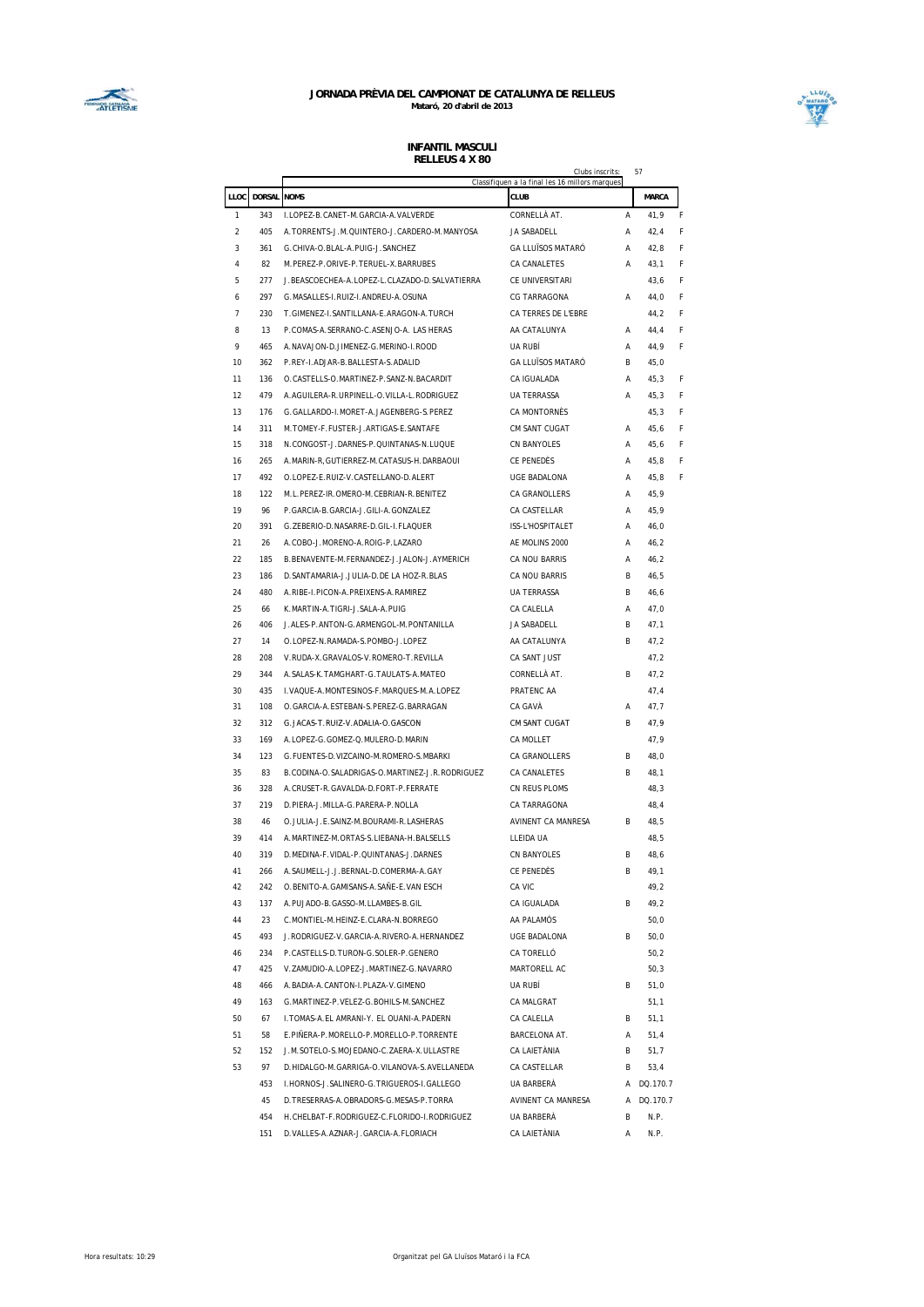



|                |               | Clubs inscrits<br>Classifiquen a la final les 16 millors marques              |                          |   |              |   |  |  |
|----------------|---------------|-------------------------------------------------------------------------------|--------------------------|---|--------------|---|--|--|
| LLOC           | <b>DORSAL</b> | <b>NOMS</b>                                                                   | <b>CLUB</b>              |   | <b>MARCA</b> |   |  |  |
| 1              | 343           | I.LOPEZ-B.CANET-M.GARCIA-A.VALVERDE                                           | CORNELLÀ AT.             | Α | 41,9         | F |  |  |
| $\overline{2}$ | 405           | A.TORRENTS-J.M.QUINTERO-J.CARDERO-M.MANYOSA                                   | JA SABADELL              | Α | 42,4         | F |  |  |
| 3              | 361           | G.CHIVA-O.BLAL-A.PUIG-J.SANCHEZ                                               | <b>GA LLUÏSOS MATARÓ</b> | Α | 42,8         | F |  |  |
| 4              | 82            | M.PEREZ-P.ORIVE-P.TERUEL-X.BARRUBES                                           | CA CANALETES             | Α | 43,1         | F |  |  |
| 5              | 277           | J.BEASCOECHEA-A.LOPEZ-L.CLAZADO-D.SALVATIERRA                                 | CE UNIVERSITARI          |   | 43,6         | F |  |  |
| 6              | 297           | G.MASALLES-I.RUIZ-I.ANDREU-A.OSUNA                                            | <b>CG TARRAGONA</b>      | Α | 44,0         | F |  |  |
| 7              | 230           | T.GIMENEZ-I.SANTILLANA-E.ARAGON-A.TURCH                                       | CA TERRES DE L'EBRE      |   | 44,2         | F |  |  |
| 8              | 13            | P.COMAS-A.SERRANO-C.ASENJO-A. LAS HERAS                                       | AA CATALUNYA             | Α | 44,4         | F |  |  |
| 9              | 465           | A.NAVAJON-D.JIMENEZ-G.MERINO-I.ROOD                                           | UA RUBÍ                  | Α | 44,9         | F |  |  |
| 10             | 362           | P.REY-I.ADJAR-B.BALLESTA-S.ADALID                                             | <b>GA LLUÏSOS MATARÓ</b> | R | 45,0         |   |  |  |
| 11             | 136           | O.CASTELLS-O.MARTINEZ-P.SANZ-N.BACARDIT                                       | CA IGUALADA              | Α | 45,3         | F |  |  |
| 12             | 479           | A.AGUILERA-R.URPINELL-O.VILLA-L.RODRIGUEZ                                     | <b>UA TERRASSA</b>       | Α | 45,3         | F |  |  |
| 13             | 176           | G.GALLARDO-I.MORET-A.JAGENBERG-S.PEREZ                                        | CA MONTORNÈS             |   | 45,3         | F |  |  |
| 14             | 311           | M. TOMEY-F. FUSTER-J. ARTIGAS-E. SANTAFE                                      | CM SANT CUGAT            | Α | 45,6         | F |  |  |
| 15             | 318           | N.CONGOST-J.DARNES-P.QUINTANAS-N.LUQUE                                        | CN BANYOLES              | А | 45,6         | F |  |  |
| 16             | 265           | A.MARIN-R, GUTIERREZ-M.CATASUS-H.DARBAOUI                                     | CE PENEDÈS               | А | 45,8         | F |  |  |
| 17             | 492           | O.LOPEZ-E.RUIZ-V.CASTELLANO-D.ALERT                                           | UGE BADALONA             | А | 45,8         | F |  |  |
| 18             | 122           | M.L.PEREZ-IR.OMERO-M.CEBRIAN-R.BENITEZ                                        | CA GRANOLLERS            | А | 45,9         |   |  |  |
| 19             | 96            | P.GARCIA-B.GARCIA-J.GILI-A.GONZALEZ                                           | CA CASTELLAR             | А | 45,9         |   |  |  |
| 20             | 391           | G.ZEBERIO-D.NASARRE-D.GIL-I.FLAQUER                                           | ISS-L'HOSPITALET         | Α | 46,0         |   |  |  |
| 21             | 26            | A.COBO-J.MORENO-A.ROIG-P.LAZARO                                               | AE MOLINS 2000           | А | 46,2         |   |  |  |
| 22             | 185           | B.BENAVENTE-M.FERNANDEZ-J.JALON-J.AYMERICH                                    | CA NOU BARRIS            | А | 46,2         |   |  |  |
| 23             | 186           | D.SANTAMARIA-J.JULIA-D.DE LA HOZ-R.BLAS                                       | CA NOU BARRIS            | B | 46,5         |   |  |  |
| 24             | 480           | A.RIBE-I.PICON-A.PREIXENS-A.RAMIREZ                                           | <b>UA TERRASSA</b>       | B | 46,6         |   |  |  |
| 25             | 66            | K.MARTIN-A.TIGRI-J.SALA-A.PUIG                                                | CA CALELLA               | А | 47,0         |   |  |  |
| 26             | 406           | J.ALES-P.ANTON-G.ARMENGOL-M.PONTANILLA                                        | JA SABADELL              | B | 47,1         |   |  |  |
| 27             | 14            | O.LOPEZ-N.RAMADA-S.POMBO-J.LOPEZ                                              | AA CATALUNYA             | B | 47,2         |   |  |  |
| 28             | 208           | V.RUDA-X.GRAVALOS-V.ROMERO-T.REVILLA                                          | CA SANT JUST             |   | 47,2         |   |  |  |
| 29             | 344           | A. SALAS-K. TAMGHART-G. TAULATS-A. MATEO                                      | CORNELLÀ AT.             | B | 47,2         |   |  |  |
| 30             | 435           | I. VAQUE-A. MONTESINOS-F. MARQUES-M. A. LOPEZ                                 | PRATENC AA               |   | 47,4         |   |  |  |
| 31             | 108           | O.GARCIA-A.ESTEBAN-S.PEREZ-G.BARRAGAN                                         | CA GAVÀ                  | Α | 47,7         |   |  |  |
| 32             | 312           | G.JACAS-T.RUIZ-V.ADALIA-O.GASCON                                              | CM SANT CUGAT            | В | 47,9         |   |  |  |
| 33             | 169           | A.LOPEZ-G.GOMEZ-Q.MULERO-D.MARIN                                              | CA MOLLET                |   | 47,9         |   |  |  |
| 34             | 123           | G. FUENTES-D. VIZCAINO-M. ROMERO-S. MBARKI                                    | CA GRANOLLERS            | B | 48,0         |   |  |  |
| 35             | 83            | B.CODINA-O.SALADRIGAS-O.MARTINEZ-J.R.RODRIGUEZ                                | CA CANALETES             | R | 48,1         |   |  |  |
| 36             | 328           | A.CRUSET-R.GAVALDA-D.FORT-P.FERRATE                                           | CN REUS PLOMS            |   | 48,3         |   |  |  |
| 37             | 219           | D.PIERA-J.MILLA-G.PARERA-P.NOLLA                                              | CA TARRAGONA             |   | 48,4         |   |  |  |
| 38             | 46            | O. JULIA-J.E. SAINZ-M. BOURAMI-R. LASHERAS                                    | AVINENT CA MANRESA       | B | 48,5         |   |  |  |
| 39             | 414           | A.MARTINEZ-M.ORTAS-S.LIEBANA-H.BALSELLS                                       | LLEIDA UA                |   | 48,5         |   |  |  |
| 40             | 319           | D.MEDINA-F.VIDAL-P.QUINTANAS-J.DARNES                                         | CN BANYOLES              | B | 48,6         |   |  |  |
|                |               |                                                                               |                          |   |              |   |  |  |
| 41<br>42       | 266<br>242    | A.SAUMELL-J.J.BERNAL-D.COMERMA-A.GAY<br>O.BENITO-A.GAMISANS-A.SANE-E.VAN ESCH | CE PENEDES<br>CA VIC     | В | 49,1<br>49,2 |   |  |  |
| 43             | 137           | A.PUJADO-B.GASSO-M.LLAMBES-B.GIL                                              | CA IGUALADA              | B | 49,2         |   |  |  |
| 44             | 23            | C.MONTIEL-M.HEINZ-E.CLARA-N.BORREGO                                           | AA PALAMÓS               |   | 50,0         |   |  |  |
|                |               | J.RODRIGUEZ-V.GARCIA-A.RIVERO-A.HERNANDEZ                                     | <b>UGE BADALONA</b>      | B |              |   |  |  |
| 45             | 493           | P.CASTELLS-D.TURON-G.SOLER-P.GENERO                                           |                          |   | 50,0         |   |  |  |
| 46             | 234           |                                                                               | CA TORELLÓ               |   | 50,2         |   |  |  |
| 47             | 425           | V.ZAMUDIO-A.LOPEZ-J.MARTINEZ-G.NAVARRO                                        | MARTORELL AC             |   | 50,3         |   |  |  |
| 48             | 466           | A.BADIA-A.CANTON-I.PLAZA-V.GIMENO                                             | UA RUBÍ                  | В | 51,0         |   |  |  |
| 49             | 163           | G.MARTINEZ-P.VELEZ-G.BOHILS-M.SANCHEZ                                         | CA MALGRAT               |   | 51,1         |   |  |  |
| 50             | 67            | I.TOMAS-A.EL AMRANI-Y. EL OUANI-A.PADERN                                      | CA CALELLA               | В | 51,1         |   |  |  |
| 51             | 58            | E.PIÑERA-P.MORELLO-P.MORELLO-P.TORRENTE                                       | BARCELONA AT.            | A | 51,4         |   |  |  |
| 52             | 152           | J.M.SOTELO-S.MOJEDANO-C.ZAERA-X.ULLASTRE                                      | CA LAIETÀNIA             | B | 51,7         |   |  |  |
| 53             | 97            | D.HIDALGO-M.GARRIGA-O.VILANOVA-S.AVELLANEDA                                   | CA CASTELLAR             | В | 53,4         |   |  |  |
|                | 453           | I.HORNOS-J.SALINERO-G.TRIGUEROS-I.GALLEGO                                     | UA BARBERÀ               |   | A DQ.170.7   |   |  |  |
|                | 45            | D. TRESERRAS-A. OBRADORS-G. MESAS-P. TORRA                                    | AVINENT CA MANRESA       | A | DQ.170.7     |   |  |  |
|                | 454           | H.CHELBAT-F.RODRIGUEZ-C.FLORIDO-I.RODRIGUEZ                                   | UA BARBERÀ               | B | N.P.         |   |  |  |
|                | 151           | D. VALLES-A. AZNAR-J. GARCIA-A. FLORIACH                                      | CA LAIETÀNIA             | Α | N.P.         |   |  |  |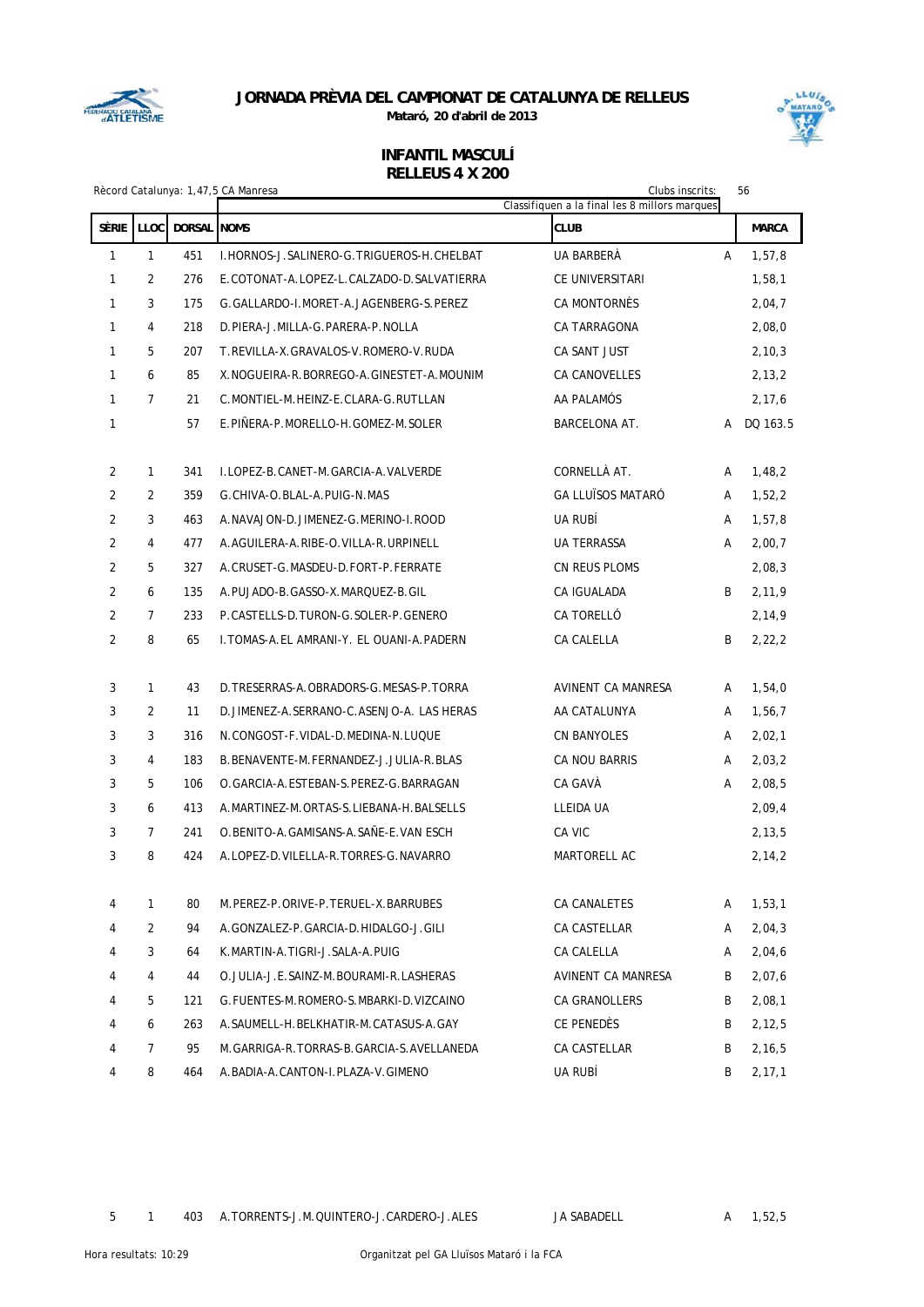

**Mataró, 20 d'abril de 2013**



|                |                |             | Rècord Catalunya: 1,47,5 CA Manresa           | Clubs inscrits:<br>Classifiquen a la final les 8 millors marques |   | 56           |
|----------------|----------------|-------------|-----------------------------------------------|------------------------------------------------------------------|---|--------------|
| SÈRIE          | LLOC           | DORSAL NOMS |                                               | <b>CLUB</b>                                                      |   | <b>MARCA</b> |
| $\mathbf{1}$   | $\mathbf{1}$   | 451         | I. HORNOS-J. SALINERO-G. TRIGUEROS-H. CHELBAT | UA BARBERÀ                                                       | A | 1,57,8       |
| 1              | 2              | 276         | E.COTONAT-A.LOPEZ-L.CALZADO-D.SALVATIERRA     | CE UNIVERSITARI                                                  |   | 1,58,1       |
| $\mathbf{1}$   | 3              | 175         | G. GALLARDO-I. MORET-A. JAGENBERG-S. PEREZ    | CA MONTORNÈS                                                     |   | 2,04,7       |
| $\mathbf{1}$   | 4              | 218         | D.PIERA-J.MILLA-G.PARERA-P.NOLLA              | CA TARRAGONA                                                     |   | 2,08,0       |
| $\mathbf{1}$   | 5              | 207         | T.REVILLA-X.GRAVALOS-V.ROMERO-V.RUDA          | CA SANT JUST                                                     |   | 2, 10, 3     |
| $\mathbf{1}$   | 6              | 85          | X. NOGUEIRA-R. BORREGO-A. GINESTET-A. MOUNIM  | CA CANOVELLES                                                    |   | 2,13,2       |
| $\mathbf{1}$   | $\overline{7}$ | 21          | C.MONTIEL-M.HEINZ-E.CLARA-G.RUTLLAN           | AA PALAMÓS                                                       |   | 2, 17, 6     |
| 1              |                | 57          | E.PINERA-P.MORELLO-H.GOMEZ-M.SOLER            | BARCELONA AT.                                                    | А | DQ 163.5     |
| $\overline{2}$ | $\mathbf{1}$   | 341         | I.LOPEZ-B.CANET-M.GARCIA-A.VALVERDE           | CORNELLÀ AT.                                                     | A | 1,48,2       |
| $\overline{2}$ | $\overline{2}$ | 359         | G.CHIVA-O.BLAL-A.PUIG-N.MAS                   | <b>GA LLUÏSOS MATARÓ</b>                                         | A | 1,52,2       |
| $\overline{2}$ | 3              | 463         | A.NAVAJON-D.JIMENEZ-G.MERINO-I.ROOD           | UA RUBÍ                                                          | A | 1,57,8       |
| 2              | $\overline{4}$ | 477         | A.AGUILERA-A.RIBE-O.VILLA-R.URPINELL          | <b>UA TERRASSA</b>                                               | A | 2,00,7       |
| $\overline{2}$ | 5              | 327         | A. CRUSET-G. MASDEU-D. FORT-P. FERRATE        | CN REUS PLOMS                                                    |   | 2,08,3       |
| $\overline{2}$ | 6              | 135         | A. PUJADO-B. GASSO-X. MARQUEZ-B. GIL          | CA IGUALADA                                                      | B | 2,11,9       |
| $\overline{2}$ | $\overline{7}$ | 233         | P.CASTELLS-D.TURON-G.SOLER-P.GENERO           | CA TORELLÓ                                                       |   | 2,14,9       |
| $\overline{2}$ | 8              | 65          | I. TOMAS-A. EL AMRANI-Y. EL OUANI-A. PADERN   | CA CALELLA                                                       | B | 2, 22, 2     |
| 3              | $\mathbf{1}$   | 43          | D. TRESERRAS-A. OBRADORS-G. MESAS-P. TORRA    | AVINENT CA MANRESA                                               | Α | 1,54,0       |
| 3              | 2              | 11          | D. JIMENEZ-A. SERRANO-C. ASENJO-A. LAS HERAS  | AA CATALUNYA                                                     | A | 1,56,7       |
| 3              | 3              | 316         | N. CONGOST-F. VIDAL-D. MEDINA-N. LUQUE        | CN BANYOLES                                                      | Α | 2,02,1       |
| 3              | $\overline{4}$ | 183         | B.BENAVENTE-M.FERNANDEZ-J.JULIA-R.BLAS        | CA NOU BARRIS                                                    | A | 2,03,2       |
| 3              | 5              | 106         | O. GARCIA-A. ESTEBAN-S. PEREZ-G. BARRAGAN     | CA GAVÀ                                                          | A | 2,08,5       |
| 3              | 6              | 413         | A.MARTINEZ-M.ORTAS-S.LIEBANA-H.BALSELLS       | LLEIDA UA                                                        |   | 2,09,4       |
| 3              | $\overline{7}$ | 241         | O.BENITO-A.GAMISANS-A.SAÑE-E.VAN ESCH         | CA VIC                                                           |   | 2, 13, 5     |
| 3              | 8              | 424         | A.LOPEZ-D.VILELLA-R.TORRES-G.NAVARRO          | MARTORELL AC                                                     |   | 2,14,2       |
| 4              | 1              | 80          | M.PEREZ-P.ORIVE-P.TERUEL-X.BARRUBES           | <b>CA CANALETES</b>                                              | A | 1,53,1       |
| 4              | $\overline{2}$ | 94          | A.GONZALEZ-P.GARCIA-D.HIDALGO-J.GILI          | CA CASTELLAR                                                     | A | 2,04,3       |
| 4              | 3              | 64          | K.MARTIN-A.TIGRI-J.SALA-A.PUIG                | CA CALELLA                                                       | A | 2,04,6       |
| 4              | 4              | 44          | O. JULIA-J.E. SAINZ-M. BOURAMI-R. LASHERAS    | AVINENT CA MANRESA                                               | B | 2,07,6       |
| 4              | 5              | 121         | G. FUENTES-M. ROMERO-S. MBARKI-D. VIZCAINO    | CA GRANOLLERS                                                    | B | 2,08,1       |
| 4              | 6              | 263         | A. SAUMELL-H. BELKHATIR-M. CATASUS-A. GAY     | CE PENEDÈS                                                       | B | 2,12,5       |
| 4              | $\overline{7}$ | 95          | M. GARRIGA-R. TORRAS-B. GARCIA-S. AVELLANEDA  | CA CASTELLAR                                                     | B | 2,16,5       |
| 4              | 8              | 464         | A. BADIA-A. CANTON-I. PLAZA-V. GIMENO         | UA RUBÍ                                                          | B | 2, 17, 1     |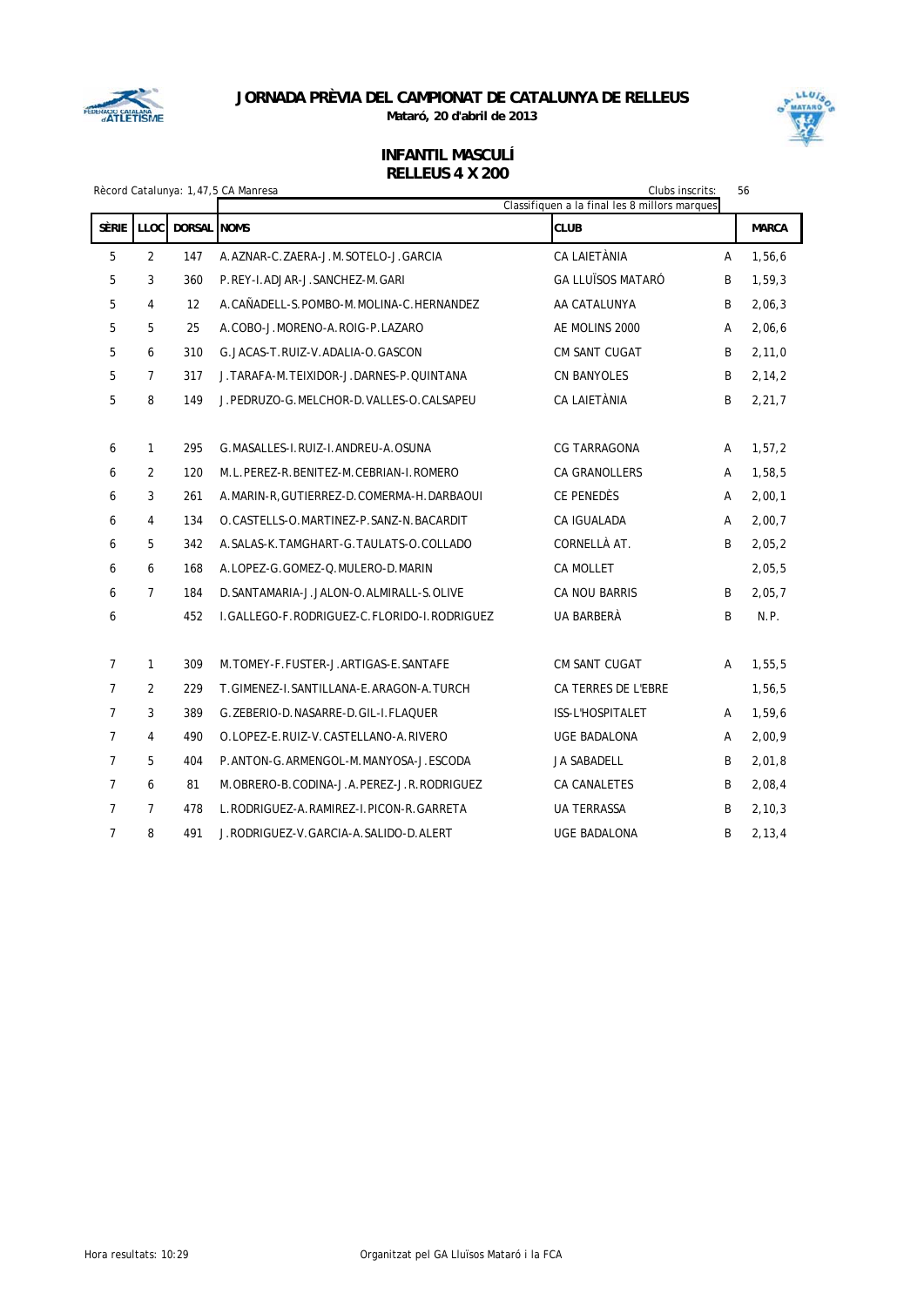

**Mataró, 20 d'abril de 2013**



|                | Clubs inscrits:<br>56<br>Rècord Catalunya: 1,47,5 CA Manresa |             |                                              |                                                              |   |              |  |  |
|----------------|--------------------------------------------------------------|-------------|----------------------------------------------|--------------------------------------------------------------|---|--------------|--|--|
| <b>SÈRIE</b>   | <b>LLOC</b>                                                  | DORSAL NOMS |                                              | Classifiquen a la final les 8 millors marques<br><b>CLUB</b> |   | <b>MARCA</b> |  |  |
| 5              | 2                                                            | 147         | A.AZNAR-C.ZAERA-J.M.SOTELO-J.GARCIA          | CA LAIETÀNIA                                                 | A | 1,56,6       |  |  |
| 5              | 3                                                            | 360         | P.REY-I.ADJAR-J.SANCHEZ-M.GARI               | <b>GA LLUÏSOS MATARÓ</b>                                     | B | 1,59,3       |  |  |
| 5              | $\overline{4}$                                               | 12          | A.CAÑADELL-S.POMBO-M.MOLINA-C.HERNANDEZ      | AA CATALUNYA                                                 | B | 2,06,3       |  |  |
| 5              | 5                                                            | 25          | A.COBO-J.MORENO-A.ROIG-P.LAZARO              | AE MOLINS 2000                                               | A | 2,06,6       |  |  |
| 5              | 6                                                            | 310         | G. JACAS-T. RUIZ-V. ADALIA-O. GASCON         | <b>CM SANT CUGAT</b>                                         | B | 2,11,0       |  |  |
| 5              | $\overline{7}$                                               | 317         | J. TARAFA-M. TEIXIDOR-J. DARNES-P. QUINTANA  | <b>CN BANYOLES</b>                                           | B | 2, 14, 2     |  |  |
| 5              | 8                                                            | 149         | J.PEDRUZO-G.MELCHOR-D.VALLES-O.CALSAPEU      | CA LAIETÀNIA                                                 | B | 2, 21, 7     |  |  |
|                |                                                              |             |                                              |                                                              |   |              |  |  |
| 6              | $\mathbf{1}$                                                 | 295         | G.MASALLES-I.RUIZ-I.ANDREU-A.OSUNA           | CG TARRAGONA                                                 | A | 1,57,2       |  |  |
| 6              | 2                                                            | 120         | M.L.PEREZ-R.BENITEZ-M.CEBRIAN-I.ROMERO       | <b>CA GRANOLLERS</b>                                         | A | 1,58,5       |  |  |
| 6              | 3                                                            | 261         | A. MARIN-R, GUTIERREZ-D. COMERMA-H. DARBAOUI | CE PENEDÈS                                                   | Α | 2,00,1       |  |  |
| 6              | $\overline{4}$                                               | 134         | O.CASTELLS-O.MARTINEZ-P.SANZ-N.BACARDIT      | <b>CA IGUALADA</b>                                           | A | 2,00,7       |  |  |
| 6              | 5                                                            | 342         | A. SALAS-K. TAMGHART-G. TAULATS-O. COLLADO   | CORNELLÀ AT.                                                 | B | 2,05,2       |  |  |
| 6              | 6                                                            | 168         | A.LOPEZ-G.GOMEZ-Q.MULERO-D.MARIN             | <b>CA MOLLET</b>                                             |   | 2,05,5       |  |  |
| 6              | $\overline{7}$                                               | 184         | D. SANTAMARIA-J. JALON-O. ALMIRALL-S. OLIVE  | <b>CA NOU BARRIS</b>                                         | B | 2,05,7       |  |  |
| 6              |                                                              | 452         | I.GALLEGO-F.RODRIGUEZ-C.FLORIDO-I.RODRIGUEZ  | UA BARBERÀ                                                   | B | N.P.         |  |  |
|                |                                                              |             |                                              |                                                              |   |              |  |  |
| $\overline{7}$ | $\mathbf{1}$                                                 | 309         | M. TOMEY-F. FUSTER-J. ARTIGAS-E. SANTAFE     | CM SANT CUGAT                                                | A | 1,55,5       |  |  |
| $\overline{7}$ | $\overline{2}$                                               | 229         | T.GIMENEZ-I.SANTILLANA-E.ARAGON-A.TURCH      | CA TERRES DE L'EBRE                                          |   | 1,56,5       |  |  |
| $\overline{7}$ | 3                                                            | 389         | G. ZEBERIO-D. NASARRE-D. GIL-I. FLAQUER      | ISS-L'HOSPITALET                                             | A | 1,59,6       |  |  |
| $\overline{7}$ | $\overline{4}$                                               | 490         | O.LOPEZ-E.RUIZ-V.CASTELLANO-A.RIVERO         | <b>UGE BADALONA</b>                                          | A | 2,00,9       |  |  |
| 7              | 5                                                            | 404         | P.ANTON-G.ARMENGOL-M.MANYOSA-J.ESCODA        | <b>JA SABADELL</b>                                           | B | 2,01,8       |  |  |
| $\overline{7}$ | 6                                                            | 81          | M.OBRERO-B.CODINA-J.A.PEREZ-J.R.RODRIGUEZ    | CA CANALETES                                                 | B | 2,08,4       |  |  |
| $\overline{7}$ | $\overline{7}$                                               | 478         | L.RODRIGUEZ-A.RAMIREZ-I.PICON-R.GARRETA      | <b>UA TERRASSA</b>                                           | B | 2, 10, 3     |  |  |
| $\overline{7}$ | 8                                                            | 491         | J.RODRIGUEZ-V.GARCIA-A.SALIDO-D.ALERT        | <b>UGE BADALONA</b>                                          | B | 2, 13, 4     |  |  |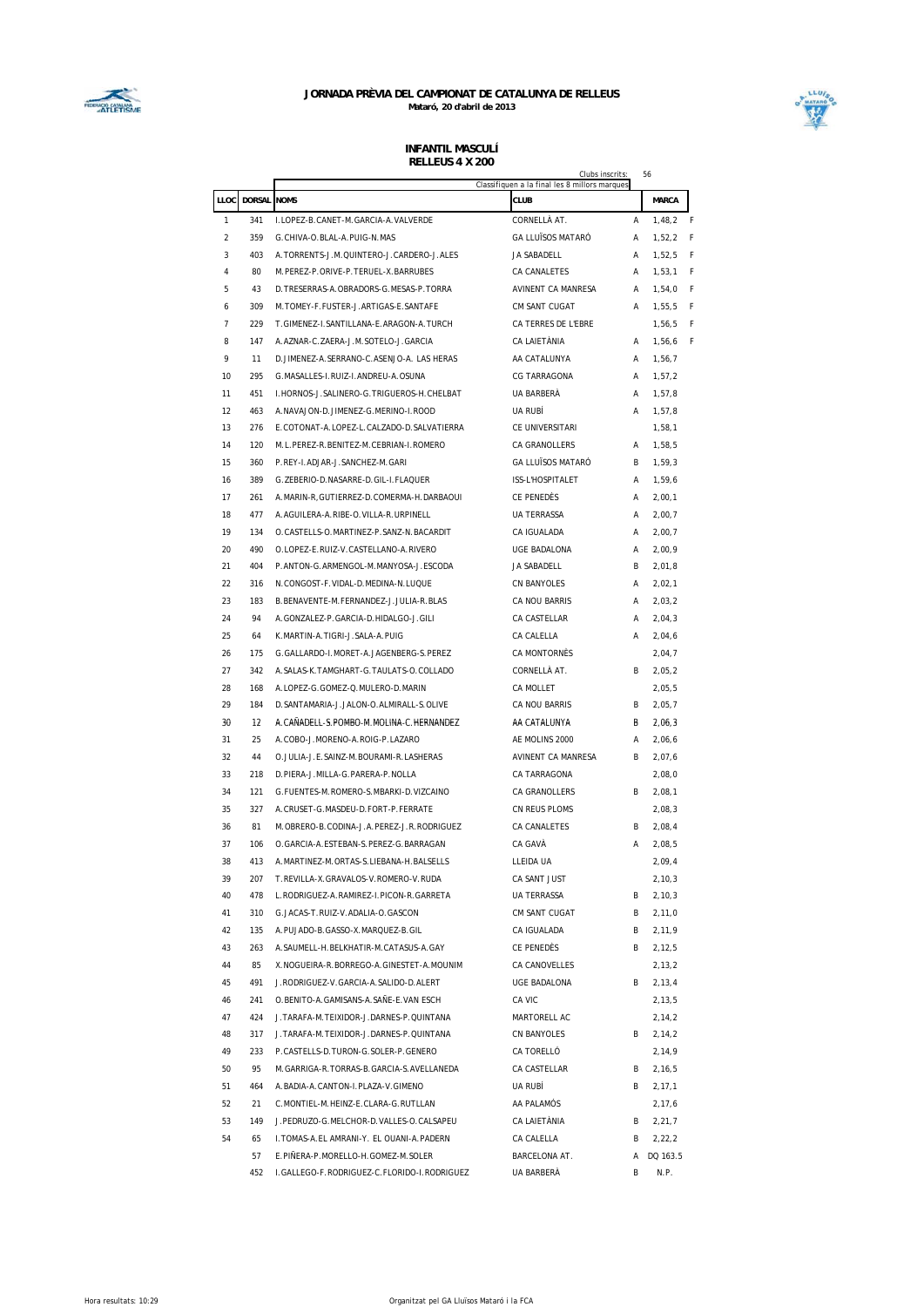



|                |                  | RELLEUS 4 A ZUU                               | Clubs inscrits:                               |   | 56          |
|----------------|------------------|-----------------------------------------------|-----------------------------------------------|---|-------------|
|                |                  |                                               | Classifiquen a la final les 8 millors marques |   |             |
|                | LLOC DORSAL NOMS |                                               | CLUB                                          |   | MARCA       |
| 1              | 341              | I.LOPEZ-B.CANET-M.GARCIA-A.VALVERDE           | CORNELLÀ AT.                                  | A | 1,48,2<br>F |
| 2              | 359              | G.CHIVA-O.BLAL-A.PUIG-N.MAS                   | <b>GA LLUÏSOS MATARÓ</b>                      | А | 1,52,2<br>F |
| 3              | 403              | A. TORRENTS-J.M. QUINTERO-J. CARDERO-J. ALES  | JA SABADELL                                   | Α | F<br>1.52.5 |
| 4              | 80               | M.PEREZ-P.ORIVE-P.TERUEL-X.BARRUBES           | CA CANALETES                                  | Α | F<br>1,53,1 |
| 5              | 43               | D. TRESERRAS-A. OBRADORS-G. MESAS-P. TORRA    | AVINENT CA MANRESA                            | Α | 1,54,0<br>F |
| 6              | 309              | M. TOMEY-F. FUSTER-J. ARTIGAS-E. SANTAFE      | CM SANT CUGAT                                 | Α | 1,55,5<br>F |
| $\overline{7}$ | 229              | T.GIMENEZ-I.SANTILLANA-E.ARAGON-A.TURCH       | CA TERRES DE L'EBRE                           |   | F<br>1,56,5 |
| 8              | 147              | A.AZNAR-C.ZAERA-J.M.SOTELO-J.GARCIA           | CA LAIETÀNIA                                  | A | F<br>1,56,6 |
| 9              | 11               | D.JIMENEZ-A.SERRANO-C.ASENJO-A. LAS HERAS     | AA CATALUNYA                                  | A | 1,56,7      |
| 10             | 295              | G.MASALLES-I.RUIZ-I.ANDREU-A.OSUNA            | <b>CG TARRAGONA</b>                           | A | 1,57,2      |
| 11             | 451              | I. HORNOS-J. SALINERO-G. TRIGUEROS-H. CHELBAT | UA BARBERÀ                                    | A | 1,57,8      |
| 12             | 463              | A. NAVAJON-D. JIMENEZ-G. MERINO-I. ROOD       | UA RUBÍ                                       | Α | 1,57,8      |
| 13             | 276              | E.COTONAT-A.LOPEZ-L.CALZADO-D.SALVATIERRA     | CE UNIVERSITARI                               |   | 1,58,1      |
| 14             | 120              | M.L.PEREZ-R.BENITEZ-M.CEBRIAN-I.ROMERO        | CA GRANOLLERS                                 | Α | 1,58,5      |
| 15             | 360              | P.REY-I.ADJAR-J.SANCHEZ-M.GARI                | <b>GA LLUÏSOS MATARÓ</b>                      | B | 1,59,3      |
| 16             | 389              | G. ZEBERIO-D. NASARRE-D. GIL-I. FLAQUER       | ISS-L'HOSPITALET                              | A | 1,59,6      |
| 17             | 261              | A.MARIN-R, GUTIERREZ-D.COMERMA-H.DARBAOUI     | CE PENEDES                                    | A | 2,00,1      |
| 18             | 477              | A.AGUILERA-A.RIBE-O.VILLA-R.URPINELL          | <b>UA TERRASSA</b>                            | А | 2,00,7      |
| 19             | 134              | O.CASTELLS-O.MARTINEZ-P.SANZ-N.BACARDIT       | CA IGUALADA                                   | Α | 2,00,7      |
| 20             | 490              | O.LOPEZ-E.RUIZ-V.CASTELLANO-A.RIVERO          | <b>UGE BADALONA</b>                           | Α | 2,00,9      |
| 21             | 404              | P.ANTON-G.ARMENGOL-M.MANYOSA-J.ESCODA         | JA SABADELL                                   | B | 2,01,8      |
| 22             | 316              | N.CONGOST-F.VIDAL-D.MEDINA-N.LUQUE            | <b>CN BANYOLES</b>                            | Α | 2,02,1      |
| 23             | 183              | B.BENAVENTE-M.FERNANDEZ-J.JULIA-R.BLAS        | CA NOU BARRIS                                 | Α | 2,03,2      |
| 24             | 94               | A.GONZALEZ-P.GARCIA-D.HIDALGO-J.GILI          | CA CASTELLAR                                  | A | 2,04,3      |
| 25             | 64               | K.MARTIN-A.TIGRI-J.SALA-A.PUIG                | CA CALELLA                                    | Α | 2,04,6      |
| 26             | 175              | G.GALLARDO-I.MORET-A.JAGENBERG-S.PEREZ        | CA MONTORNÈS                                  |   | 2,04,7      |
| 27             | 342              | A. SALAS-K. TAMGHART-G. TAULATS-O. COLLADO    | CORNELLÀ AT.                                  | B | 2,05,2      |
| 28             | 168              | A.LOPEZ-G.GOMEZ-Q.MULERO-D.MARIN              | CA MOLLET                                     |   | 2,05,5      |
| 29             | 184              | D. SANTAMARIA-J. JALON-O. ALMIRALL-S. OLIVE   | CA NOU BARRIS                                 | B | 2,05,7      |
| 30             | 12               | A.CAÑADELL-S.POMBO-M.MOLINA-C.HERNANDEZ       | AA CATALUNYA                                  | В | 2,06,3      |
| 31             | 25               | A.COBO-J.MORENO-A.ROIG-P.LAZARO               | AE MOLINS 2000                                | A | 2,06,6      |
| 32             | 44               | O. JULIA-J.E. SAINZ-M. BOURAMI-R. LASHERAS    | AVINENT CA MANRESA                            | B | 2,07,6      |
| 33             | 218              | D.PIERA-J.MILLA-G.PARERA-P.NOLLA              | CA TARRAGONA                                  |   | 2,08,0      |
| 34             | 121              | G.FUENTES-M.ROMERO-S.MBARKI-D.VIZCAINO        | CA GRANOLLERS                                 | B | 2,08,1      |
| 35             | 327              | A.CRUSET-G.MASDEU-D.FORT-P.FERRATE            | CN REUS PLOMS                                 |   | 2,08,3      |
| 36             | 81               | M.OBRERO-B.CODINA-J.A.PEREZ-J.R.RODRIGUEZ     | <b>CA CANALETES</b>                           | B | 2,08,4      |
| 37             | 106              | O. GARCIA-A. ESTEBAN-S. PEREZ-G. BARRAGAN     | CA GAVÀ                                       | Α | 2,08,5      |
| 38             | 413              | A. MARTINEZ-M. ORTAS-S. LIEBANA-H. BALSELLS   | LLEIDA UA                                     |   | 2,09,4      |
| 39             | 207              | T.REVILLA-X.GRAVALOS-V.ROMERO-V.RUDA          | CA SANT JUST                                  |   | 2, 10, 3    |
| 40             | 478              | L.RODRIGUEZ-A.RAMIREZ-I.PICON-R.GARRETA       | <b>UA TERRASSA</b>                            | В | 2, 10, 3    |
| 41             | 310              | G.JACAS-T.RUIZ-V.ADALIA-O.GASCON              | CM SANT CUGAT                                 | В | 2,11,0      |
| 42             | 135              | A. PUJADO-B. GASSO-X. MARQUEZ-B. GIL          | CA IGUALADA                                   | В | 2,11,9      |
| 43             | 263              | A. SAUMELL-H. BELKHATIR-M. CATASUS-A. GAY     | CE PENEDÈS                                    | B | 2,12,5      |
| 44             | 85               | X.NOGUEIRA-R.BORREGO-A.GINESTET-A.MOUNIM      | CA CANOVELLES                                 |   | 2,13,2      |
| 45             | 491              | J.RODRIGUEZ-V.GARCIA-A.SALIDO-D.ALERT         | UGE BADALONA                                  | В | 2,13,4      |
| 46             | 241              | O.BENITO-A.GAMISANS-A.SAÑE-E.VAN ESCH         | CA VIC                                        |   | 2,13,5      |
| 47             | 424              | J. TARAFA-M. TEIXIDOR-J. DARNES-P. QUINTANA   | MARTORELL AC                                  |   | 2,14,2      |
| 48             | 317              | J. TARAFA-M. TEIXIDOR-J. DARNES-P. QUINTANA   | CN BANYOLES                                   | В | 2,14,2      |
| 49             | 233              | P.CASTELLS-D.TURON-G.SOLER-P.GENERO           | CA TORELLÓ                                    |   | 2,14,9      |
| 50             | 95               | M.GARRIGA-R.TORRAS-B.GARCIA-S.AVELLANEDA      | CA CASTELLAR                                  | В | 2,16,5      |
| 51             | 464              | A. BADIA-A. CANTON-I. PLAZA-V. GIMENO         | UA RUBÍ                                       | В | 2, 17, 1    |
| 52             | 21               | C.MONTIEL-M.HEINZ-E.CLARA-G.RUTLLAN           | AA PALAMÓS                                    |   | 2,17,6      |
| 53             | 149              | J.PEDRUZO-G.MELCHOR-D.VALLES-O.CALSAPEU       | CA LAIETÀNIA                                  | В | 2,21,7      |
| 54             | 65               | I. TOMAS-A. EL AMRANI-Y. EL OUANI-A. PADERN   | CA CALELLA                                    | В | 2,22,2      |
|                | 57               | E.PIÑERA-P.MORELLO-H.GOMEZ-M.SOLER            | BARCELONA AT.                                 | A | DQ 163.5    |
|                | 452              | I.GALLEGO-F.RODRIGUEZ-C.FLORIDO-I.RODRIGUEZ   | UA BARBERÀ                                    | В | N.P.        |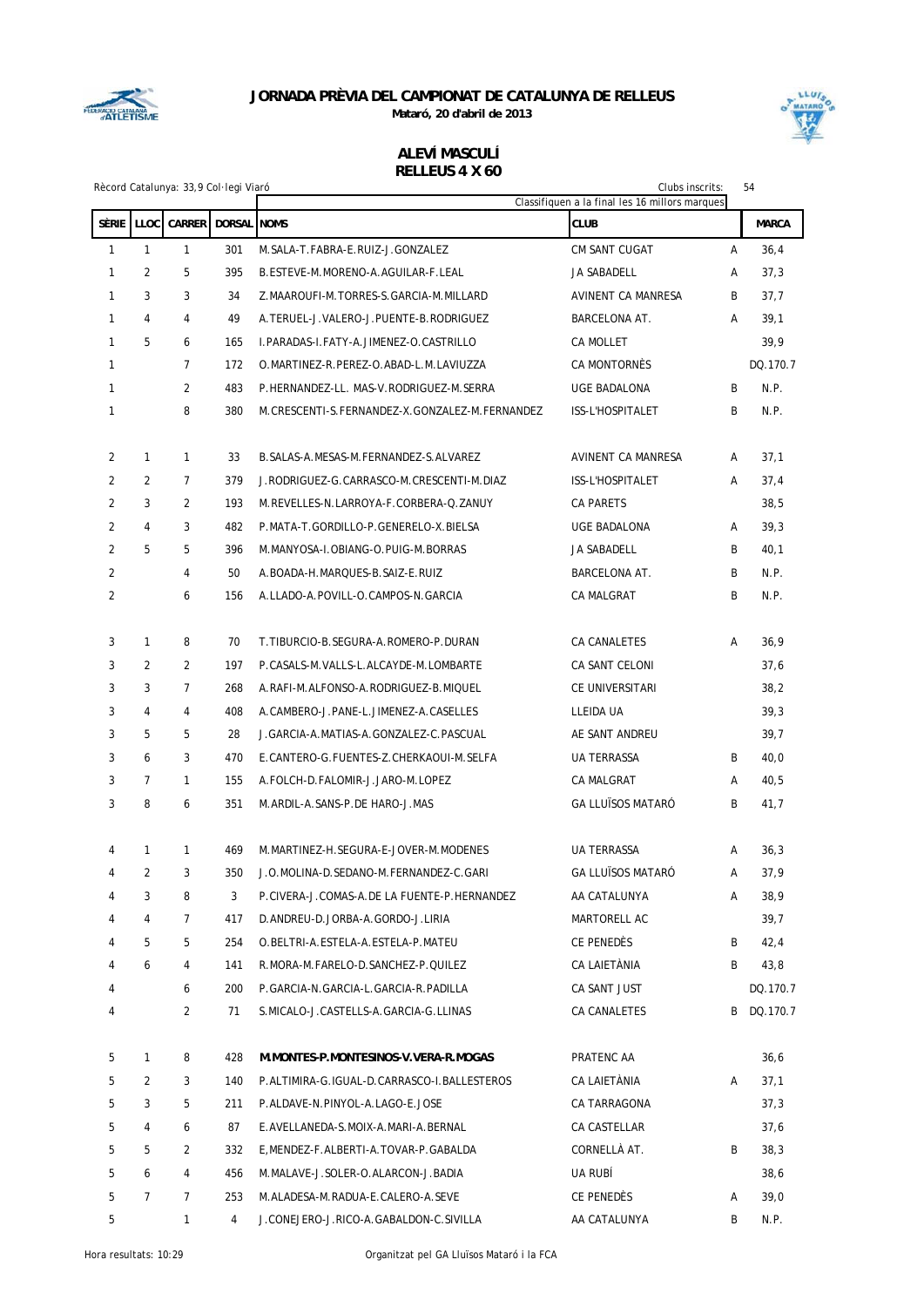

**Mataró, 20 d'abril de 2013**



### **ALEVÍ MASCULÍ RELLEUS 4 X 60**

|                |                | Rècord Catalunya: 33,9 Col· legi Viaró |                    |                                                | Clubs inscrits:<br>Classifiquen a la final les 16 millors marques |   | 54           |
|----------------|----------------|----------------------------------------|--------------------|------------------------------------------------|-------------------------------------------------------------------|---|--------------|
| <b>SÈRIE</b>   | LLOC           | <b>CARRER</b>                          | <b>DORSAL</b> NOMS |                                                | <b>CLUB</b>                                                       |   | <b>MARCA</b> |
| $\mathbf{1}$   | $\mathbf{1}$   | $\mathbf{1}$                           | 301                | M. SALA-T. FABRA-E. RUIZ-J. GONZALEZ           | CM SANT CUGAT                                                     | А | 36,4         |
| 1              | 2              | 5                                      | 395                | B.ESTEVE-M.MORENO-A.AGUILAR-F.LEAL             | JA SABADELL                                                       | Α | 37,3         |
| 1              | 3              | 3                                      | 34                 | Z.MAAROUFI-M.TORRES-S.GARCIA-M.MILLARD         | AVINENT CA MANRESA                                                | B | 37,7         |
| 1              | $\overline{4}$ | $\overline{4}$                         | 49                 | A. TERUEL-J. VALERO-J. PUENTE-B. RODRIGUEZ     | <b>BARCELONA AT.</b>                                              | A | 39,1         |
| 1              | 5              | 6                                      | 165                | I. PARADAS-I. FATY-A. JIMENEZ-O. CASTRILLO     | <b>CA MOLLET</b>                                                  |   | 39,9         |
| 1              |                | $\overline{7}$                         | 172                | O.MARTINEZ-R.PEREZ-O.ABAD-L.M.LAVIUZZA         | CA MONTORNÈS                                                      |   | DQ.170.7     |
| 1              |                | 2                                      | 483                | P.HERNANDEZ-LL. MAS-V.RODRIGUEZ-M.SERRA        | <b>UGE BADALONA</b>                                               | B | N.P.         |
| 1              |                | 8                                      | 380                | M.CRESCENTI-S.FERNANDEZ-X.GONZALEZ-M.FERNANDEZ | ISS-L'HOSPITALET                                                  | B | N.P.         |
|                |                |                                        |                    |                                                |                                                                   |   |              |
| 2              | $\mathbf{1}$   | $\mathbf{1}$                           | 33                 | B. SALAS-A. MESAS-M. FERNANDEZ-S. ALVAREZ      | AVINENT CA MANRESA                                                | Α | 37,1         |
| 2              | 2              | $\overline{7}$                         | 379                | J.RODRIGUEZ-G.CARRASCO-M.CRESCENTI-M.DIAZ      | <b>ISS-L'HOSPITALET</b>                                           | Α | 37,4         |
| 2              | 3              | $\overline{2}$                         | 193                | M.REVELLES-N.LARROYA-F.CORBERA-Q.ZANUY         | <b>CA PARETS</b>                                                  |   | 38,5         |
| 2              | 4              | 3                                      | 482                | P.MATA-T.GORDILLO-P.GENERELO-X.BIELSA          | UGE BADALONA                                                      | Α | 39,3         |
| $\overline{2}$ | 5              | 5                                      | 396                | M. MANYOSA-I. OBIANG-O. PUIG-M. BORRAS         | JA SABADELL                                                       | B | 40,1         |
| $\overline{2}$ |                | 4                                      | 50                 | A.BOADA-H.MARQUES-B.SAIZ-E.RUIZ                | <b>BARCELONA AT.</b>                                              | B | N.P.         |
| 2              |                | 6                                      | 156                | A.LLADO-A.POVILL-O.CAMPOS-N.GARCIA             | CA MALGRAT                                                        | B | N.P.         |
| 3              | $\mathbf{1}$   | 8                                      | 70                 | T. TIBURCIO-B. SEGURA-A. ROMERO-P. DURAN       | CA CANALETES                                                      | A | 36,9         |
| 3              | $\overline{2}$ | 2                                      | 197                | P.CASALS-M.VALLS-L.ALCAYDE-M.LOMBARTE          | CA SANT CELONI                                                    |   | 37,6         |
| 3              | 3              | $\overline{7}$                         | 268                | A.RAFI-M.ALFONSO-A.RODRIGUEZ-B.MIQUEL          | CE UNIVERSITARI                                                   |   | 38,2         |
| 3              | 4              | $\overline{4}$                         | 408                | A.CAMBERO-J.PANE-L.JIMENEZ-A.CASELLES          | LLEIDA UA                                                         |   | 39,3         |
| 3              | 5              | 5                                      | 28                 | J. GARCIA-A. MATIAS-A. GONZALEZ-C. PASCUAL     | AE SANT ANDREU                                                    |   | 39,7         |
| 3              | 6              | 3                                      | 470                | E.CANTERO-G.FUENTES-Z.CHERKAOUI-M.SELFA        | <b>UA TERRASSA</b>                                                | B | 40,0         |
| 3              | $\overline{7}$ | $\mathbf{1}$                           | 155                | A.FOLCH-D.FALOMIR-J.JARO-M.LOPEZ               | <b>CA MALGRAT</b>                                                 | A | 40,5         |
| 3              | 8              | 6                                      | 351                | M.ARDIL-A.SANS-P.DE HARO-J.MAS                 | <b>GA LLUÏSOS MATARÓ</b>                                          | B | 41,7         |
|                |                |                                        |                    |                                                |                                                                   |   |              |
| 4              | $\mathbf{1}$   | 1                                      | 469                | M.MARTINEZ-H.SEGURA-E-JOVER-M.MODENES          | <b>UA TERRASSA</b>                                                | Α | 36,3         |
| 4              | $\overline{2}$ | 3                                      |                    | 350 J.O.MOLINA-D.SEDANO-M.FERNANDEZ-C.GARI     | GA LLUÏSOS MATARÓ                                                 | A | 37,9         |
| 4              | 3              | 8                                      | 3                  | P.CIVERA-J.COMAS-A.DE LA FUENTE-P.HERNANDEZ    | AA CATALUNYA                                                      | Α | 38,9         |
| 4              | 4              | 7                                      | 417                | D.ANDREU-D.JORBA-A.GORDO-J.LIRIA               | MARTORELL AC                                                      |   | 39,7         |
| 4              | 5              | 5                                      | 254                | O.BELTRI-A.ESTELA-A.ESTELA-P.MATEU             | CE PENEDÈS                                                        | В | 42,4         |
| 4              | 6              | 4                                      | 141                | R.MORA-M.FARELO-D.SANCHEZ-P.QUILEZ             | CA LAIETÀNIA                                                      | В | 43,8         |
| 4              |                | 6                                      | 200                | P.GARCIA-N.GARCIA-L.GARCIA-R.PADILLA           | CA SANT JUST                                                      |   | DQ.170.7     |
| 4              |                | $\overline{2}$                         | 71                 | S.MICALO-J.CASTELLS-A.GARCIA-G.LLINAS          | CA CANALETES                                                      | B | DQ.170.7     |
| 5              | 1              | 8                                      | 428                | M.MONTES-P.MONTESINOS-V.VERA-R.MOGAS           | PRATENC AA                                                        |   | 36,6         |
| 5              | 2              | 3                                      | 140                | P.ALTIMIRA-G.IGUAL-D.CARRASCO-I.BALLESTEROS    | CA LAIETÀNIA                                                      | Α | 37,1         |
| 5              | 3              | 5                                      | 211                | P.ALDAVE-N.PINYOL-A.LAGO-E.JOSE                | CA TARRAGONA                                                      |   | 37,3         |
| 5              | 4              | 6                                      | 87                 | E.AVELLANEDA-S.MOIX-A.MARI-A.BERNAL            | CA CASTELLAR                                                      |   | 37,6         |
| 5              | 5              | 2                                      | 332                | E, MENDEZ-F. ALBERTI-A. TOVAR-P. GABALDA       | CORNELLÀ AT.                                                      | В | 38,3         |
| 5              | 6              | 4                                      | 456                | M.MALAVE-J.SOLER-O.ALARCON-J.BADIA             | UA RUBÍ                                                           |   | 38,6         |
| 5              | 7              | 7                                      | 253                | M.ALADESA-M.RADUA-E.CALERO-A.SEVE              | CE PENEDÈS                                                        | Α | 39,0         |
| 5              |                | 1                                      | $\overline{4}$     | J.CONEJERO-J.RICO-A.GABALDON-C.SIVILLA         | AA CATALUNYA                                                      | В | N.P.         |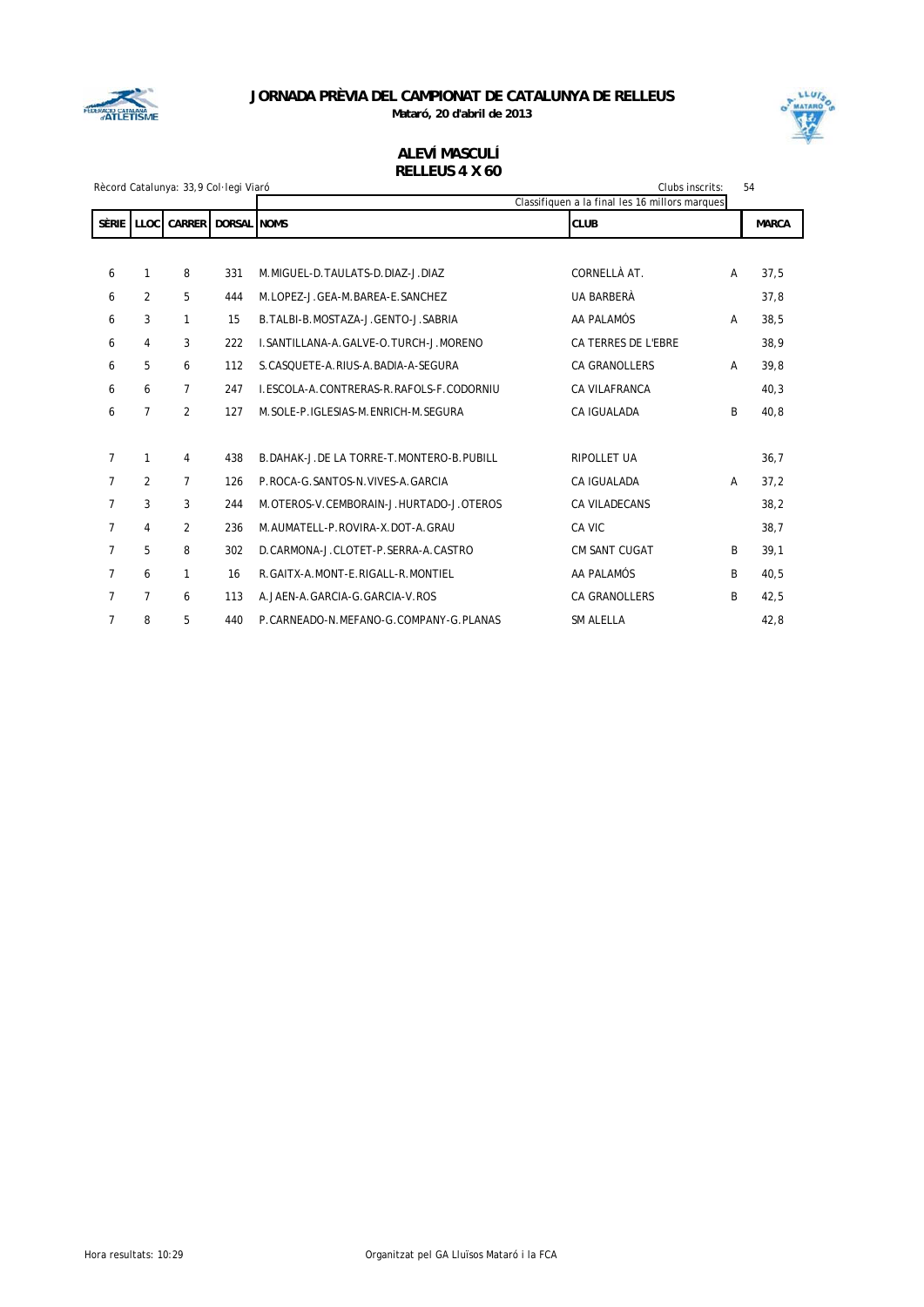

**Mataró, 20 d'abril de 2013**



### **ALEVÍ MASCULÍ RELLEUS 4 X 60**

|                |                | Rècord Catalunya: 33,9 Col·legi Viaró |                    |                                              | Clubs inscrits:                                | 54 |              |
|----------------|----------------|---------------------------------------|--------------------|----------------------------------------------|------------------------------------------------|----|--------------|
|                |                |                                       |                    |                                              | Classifiquen a la final les 16 millors marques |    |              |
| <b>SÈRIE</b>   | <b>LLOC</b>    | <b>CARRER</b>                         | <b>DORSAL NOMS</b> |                                              | <b>CLUB</b>                                    |    | <b>MARCA</b> |
|                |                |                                       |                    |                                              |                                                |    |              |
| 6              | 1              | 8                                     | 331                | M. MIGUEL-D. TAULATS-D. DIAZ-J. DIAZ         | CORNELLÀ AT.                                   | А  | 37,5         |
| 6              | 2              | 5                                     | 444                | M.LOPEZ-J.GEA-M.BAREA-E.SANCHEZ              | <b>UA BARBERÀ</b>                              |    | 37,8         |
| 6              | 3              | 1                                     | 15                 | B. TALBI-B. MOSTAZA-J. GENTO-J. SABRIA       | AA PALAMÓS                                     | A  | 38,5         |
| 6              | 4              | 3                                     | 222                | L.SANTILLANA-A.GALVE-O.TURCH-J.MORENO        | CA TERRES DE L'EBRE                            |    | 38,9         |
| 6              | 5              | 6                                     | 112                | S. CASQUETE-A. RIUS-A. BADIA-A-SEGURA        | <b>CA GRANOLLERS</b>                           | A  | 39,8         |
| 6              | 6              | 7                                     | 247                | I.ESCOLA-A.CONTRERAS-R.RAFOLS-F.CODORNIU     | CA VILAFRANCA                                  |    | 40,3         |
| 6              | $\overline{7}$ | $\overline{2}$                        | 127                | M. SOLE-P. IGLESIAS-M. ENRICH-M. SEGURA      | CA IGUALADA                                    | B  | 40,8         |
|                |                |                                       |                    |                                              |                                                |    |              |
| $\overline{7}$ | 1              | 4                                     | 438                | B. DAHAK-J. DE LA TORRE-T. MONTERO-B. PUBILL | <b>RIPOLLET UA</b>                             |    | 36,7         |
| $\overline{7}$ | $\overline{2}$ | 7                                     | 126                | P.ROCA-G. SANTOS-N. VIVES-A. GARCIA          | CA IGUALADA                                    | A  | 37,2         |
| $\overline{7}$ | 3              | 3                                     | 244                | M.OTEROS-V.CEMBORAIN-J.HURTADO-J.OTEROS      | CA VILADECANS                                  |    | 38,2         |
| $\overline{7}$ | 4              | 2                                     | 236                | M.AUMATELL-P.ROVIRA-X.DOT-A.GRAU             | CA VIC                                         |    | 38,7         |
| $\overline{7}$ | 5              | 8                                     | 302                | D.CARMONA-J.CLOTET-P.SERRA-A.CASTRO          | <b>CM SANT CUGAT</b>                           | B  | 39,1         |
| $\overline{7}$ | 6              | 1                                     | 16                 | R. GAITX-A. MONT-E. RIGALL-R. MONTIEL        | AA PALAMÓS                                     | B  | 40,5         |
| $\overline{7}$ | 7              | 6                                     | 113                | A.JAEN-A.GARCIA-G.GARCIA-V.ROS               | <b>CA GRANOLLERS</b>                           | B  | 42,5         |
| $\overline{7}$ | 8              | 5                                     | 440                | P.CARNEADO-N.MEFANO-G.COMPANY-G.PLANAS       | <b>SM ALELLA</b>                               |    | 42,8         |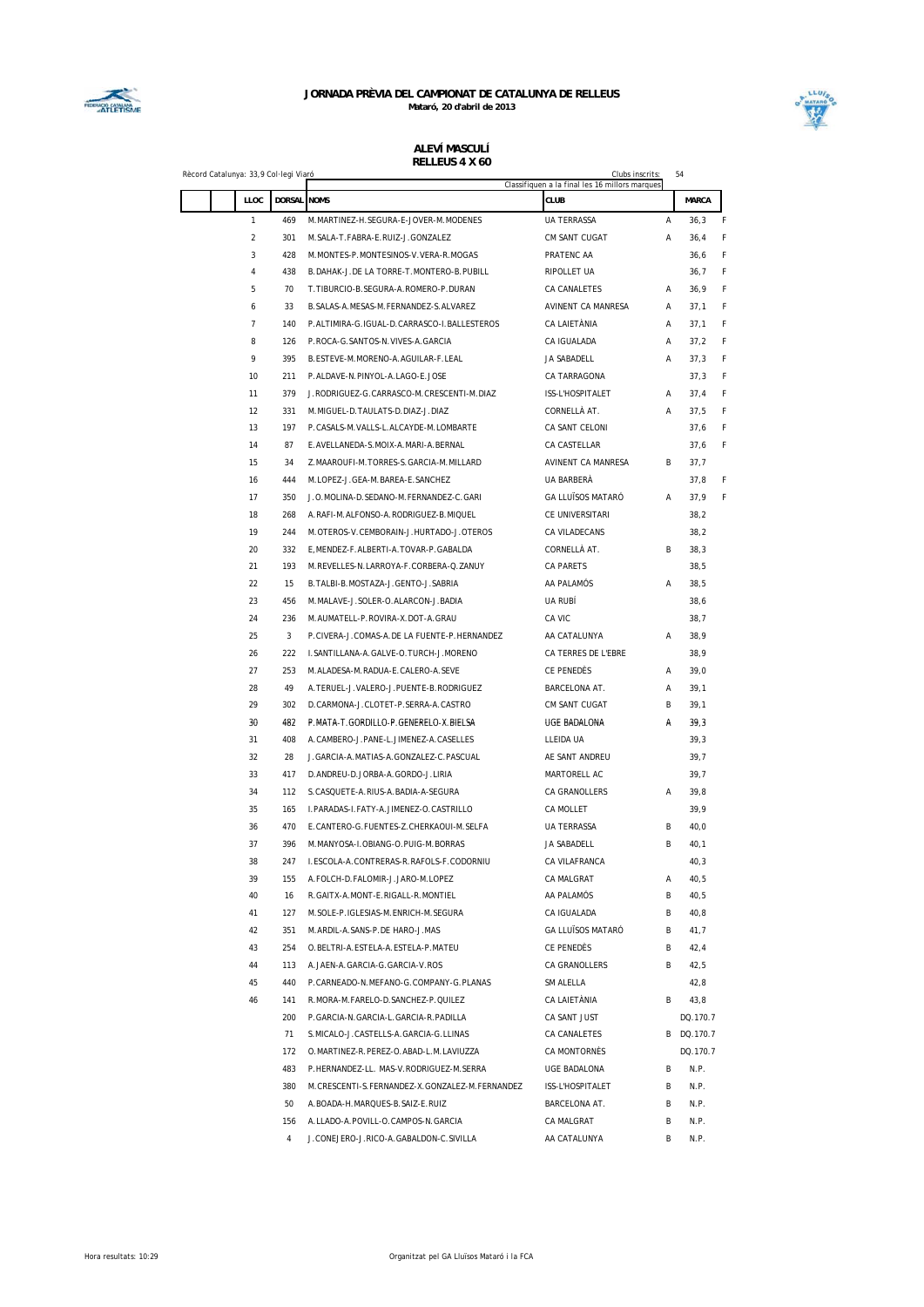



#### **ALEVÍ MASCULÍ RELLEUS 4 X 60**

| LLOC           | DORSAL NOMS |                                                                                 | Classifiquen a la final les 16 millors marques<br><b>CLUB</b> |        | <b>MARCA</b> |
|----------------|-------------|---------------------------------------------------------------------------------|---------------------------------------------------------------|--------|--------------|
| $\mathbf{1}$   | 469         | M.MARTINEZ-H.SEGURA-E-JOVER-M.MODENES                                           | <b>UA TERRASSA</b>                                            | Α      | 36,3         |
| $\overline{a}$ | 301         | M. SALA-T. FABRA-E. RUIZ-J. GONZALEZ                                            | CM SANT CUGAT                                                 | Α      | 36,4         |
| 3              | 428         | M.MONTES-P.MONTESINOS-V.VERA-R.MOGAS                                            | PRATENC AA                                                    |        | 36,6         |
| 4              | 438         | B.DAHAK-J.DE LA TORRE-T.MONTERO-B.PUBILL                                        | RIPOLLET UA                                                   |        | 36,7         |
| 5              | 70          | T.TIBURCIO-B.SEGURA-A.ROMERO-P.DURAN                                            | CA CANALETES                                                  | A      | 36,9         |
| 6              | 33          | B.SALAS-A.MESAS-M.FERNANDEZ-S.ALVAREZ                                           | AVINENT CA MANRESA                                            | Α      | 37,1         |
| $\overline{7}$ | 140         | P.ALTIMIRA-G.IGUAL-D.CARRASCO-I.BALLESTEROS                                     | CA LAIETÀNIA                                                  | Α      | 37,1         |
| 8              | 126         | P.ROCA-G.SANTOS-N.VIVES-A.GARCIA                                                | CA IGUALADA                                                   | A      | 37,2         |
| 9              | 395         | B.ESTEVE-M.MORENO-A.AGUILAR-F.LEAL                                              | JA SABADELL                                                   | А      | 37,3         |
| 10             | 211         | P.ALDAVE-N.PINYOL-A.LAGO-E.JOSE                                                 | CA TARRAGONA                                                  |        | 37,3         |
| 11             | 379         | J.RODRIGUEZ-G.CARRASCO-M.CRESCENTI-M.DIAZ                                       | ISS-L'HOSPITALET                                              | Α      | 37,4         |
| 12             | 331         | M.MIGUEL-D.TAULATS-D.DIAZ-J.DIAZ                                                | CORNELLÀ AT.                                                  | Α      | 37,5         |
| 13             | 197         | P.CASALS-M.VALLS-L.ALCAYDE-M.LOMBARTE                                           | CA SANT CELONI                                                |        | 37,6         |
| 14             | 87          | E.AVELLANEDA-S.MOIX-A.MARI-A.BERNAL                                             | CA CASTELLAR                                                  |        | 37,6         |
| 15             | 34          | Z.MAAROUFI-M.TORRES-S.GARCIA-M.MILLARD                                          | AVINENT CA MANRESA                                            | В      | 37,7         |
| 16             | 444         | M.LOPEZ-J.GEA-M.BAREA-E.SANCHEZ                                                 | UA BARBERÀ                                                    |        | 37,8         |
| 17             | 350         | J.O.MOLINA-D.SEDANO-M.FERNANDEZ-C.GARI                                          | GA LLUÏSOS MATARÓ                                             | Α      | 37,9         |
| 18             | 268         | A. RAFI-M. ALFONSO-A. RODRIGUEZ-B. MIQUEL                                       | CE UNIVERSITARI                                               |        | 38,2         |
| 19             | 244         | M. OTEROS-V. CEMBORAIN-J. HURTADO-J. OTEROS                                     | CA VILADECANS                                                 |        | 38,2         |
| 20             | 332         | E, MENDEZ-F. ALBERTI-A. TOVAR-P. GABALDA                                        | CORNELLÀ AT.                                                  | B      | 38,3         |
| 21             | 193         | M.REVELLES-N.LARROYA-F.CORBERA-Q.ZANUY                                          | <b>CA PARETS</b>                                              |        | 38,5         |
| 22             | 15          | B. TALBI-B. MOSTAZA-J. GENTO-J. SABRIA                                          | AA PALAMÓS                                                    |        | 38,5         |
|                |             |                                                                                 |                                                               | Α      |              |
| 23<br>24       | 456<br>236  | M.MALAVE-J.SOLER-O.ALARCON-J.BADIA                                              | UA RUBÍ<br>CA VIC                                             |        | 38,6         |
| 25             | 3           | M. AUMATELL-P. ROVIRA-X. DOT-A. GRAU                                            |                                                               | Α      | 38,7         |
|                | 222         | P.CIVERA-J.COMAS-A.DE LA FUENTE-P.HERNANDEZ                                     | AA CATALUNYA                                                  |        | 38,9         |
| 26<br>27       |             | I.SANTILLANA-A.GALVE-O.TURCH-J.MORENO                                           | CA TERRES DE L'EBRE                                           | Α      | 38,9         |
| 28             | 253<br>49   | M.ALADESA-M.RADUA-E.CALERO-A.SEVE<br>A. TERUEL-J. VALERO-J. PUENTE-B. RODRIGUEZ | CE PENEDES<br>BARCELONA AT.                                   |        | 39,0         |
| 29             | 302         | D.CARMONA-J.CLOTET-P.SERRA-A.CASTRO                                             | CM SANT CUGAT                                                 | Α<br>B | 39,1<br>39,1 |
| 30             | 482         | P.MATA-T.GORDILLO-P.GENERELO-X.BIELSA                                           | UGE BADALONA                                                  | А      | 39,3         |
|                | 408         |                                                                                 |                                                               |        |              |
| 31             | 28          | A. CAMBERO-J. PANE-L. JIMENEZ-A. CASELLES                                       | LLEIDA UA                                                     |        | 39,3         |
| 32             |             | J.GARCIA-A.MATIAS-A.GONZALEZ-C.PASCUAL                                          | AE SANT ANDREU                                                |        | 39,7         |
| 33             | 417         | D. ANDREU-D. JORBA-A. GORDO-J. LIRIA                                            | MARTORELL AC<br><b>CA GRANOLLERS</b>                          |        | 39,7         |
| 34             | 112         | S.CASQUETE-A.RIUS-A.BADIA-A-SEGURA<br>I.PARADAS-I.FATY-A.JIMENEZ-O.CASTRILLO    |                                                               | А      | 39,8         |
| 35             | 165         |                                                                                 | <b>CA MOLLET</b>                                              |        | 39,9         |
| 36             | 470         | E.CANTERO-G.FUENTES-Z.CHERKAOUI-M.SELFA                                         | UA TERRASSA                                                   | B      | 40,0         |
| 37             | 396         | M.MANYOSA-I.OBIANG-O.PUIG-M.BORRAS                                              | JA SABADELL                                                   | B      | 40,1         |
| 38             | 247         | I.ESCOLA-A.CONTRERAS-R.RAFOLS-F.CODORNIU                                        | CA VILAFRANCA                                                 |        | 40,3         |
| 39             | 155         | A.FOLCH-D.FALOMIR-J.JARO-M.LOPEZ                                                | CA MALGRAT                                                    | Α      | 40,5         |
| 40             | 16          | R.GAITX-A.MONT-E.RIGALL-R.MONTIEL                                               | AA PALAMÓS                                                    | В      | 40,5         |
| 41             | 127         | M. SOLE-P. IGLESIAS-M. ENRICH-M. SEGURA                                         | CA IGUALADA                                                   | В      | 40,8         |
| 42             | 351         | M.ARDIL-A.SANS-P.DE HARO-J.MAS                                                  | GA LLUÏSOS MATARÓ                                             | В      | 41,7         |
| 43             | 254         | O.BELTRI-A.ESTELA-A.ESTELA-P.MATEU                                              | CE PENEDÈS                                                    | В      | 42,4         |
| 44             | 113         | A. JAEN-A. GARCIA-G. GARCIA-V. ROS                                              | CA GRANOLLERS                                                 | В      | 42,5         |
| 45             | 440         | P.CARNEADO-N.MEFANO-G.COMPANY-G.PLANAS                                          | SM ALELLA                                                     |        | 42,8         |
| 46             | 141         | R.MORA-M.FARELO-D.SANCHEZ-P.QUILEZ                                              | CA LAIETÀNIA                                                  | B      | 43,8         |
|                | 200         | P.GARCIA-N.GARCIA-L.GARCIA-R.PADILLA                                            | CA SANT JUST                                                  |        | DQ.170.7     |
|                | 71          | S.MICALO-J.CASTELLS-A.GARCIA-G.LLINAS                                           | CA CANALETES                                                  |        | B DQ.170.7   |
|                | 172         | O.MARTINEZ-R.PEREZ-O.ABAD-L.M.LAVIUZZA                                          | CA MONTORNÈS                                                  |        | DQ.170.7     |
|                | 483         | P.HERNANDEZ-LL. MAS-V.RODRIGUEZ-M.SERRA                                         | UGE BADALONA                                                  | В      | N.P.         |
|                | 380         | M.CRESCENTI-S.FERNANDEZ-X.GONZALEZ-M.FERNANDEZ                                  | ISS-L'HOSPITALET                                              | В      | N.P.         |
|                | 50          | A.BOADA-H.MARQUES-B.SAIZ-E.RUIZ                                                 | BARCELONA AT.                                                 | В      | N.P.         |
|                | 156         | A. LLADO-A. POVILL-O. CAMPOS-N. GARCIA                                          | CA MALGRAT                                                    | В      | N.P.         |
|                | 4           | J.CONEJERO-J.RICO-A.GABALDON-C.SIVILLA                                          | AA CATALUNYA                                                  | B      | N.P.         |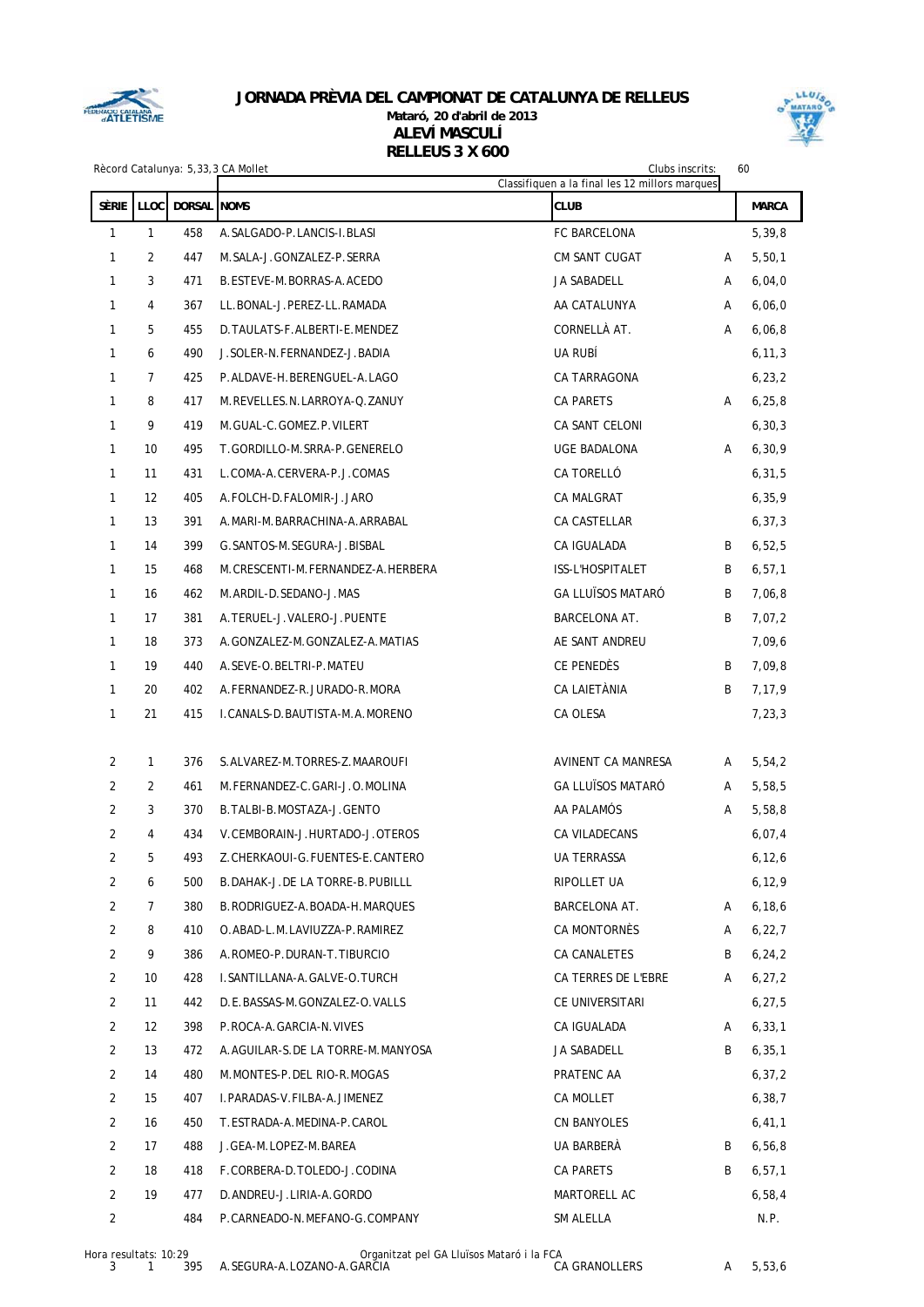

### **JORNADA PRÈVIA DEL CAMPIONAT DE CATALUNYA DE RELLEUS Mataró, 20 d'abril de 2013 ALEVÍ MASCULÍ RELLEUS 3 X 600**



|                |                |                    | Rècord Catalunya: 5,33,3 CA Mollet<br>Clubs inscrits: |                                                               |   | 60           |
|----------------|----------------|--------------------|-------------------------------------------------------|---------------------------------------------------------------|---|--------------|
| <b>SÈRIE</b>   | <b>LLOC</b>    | <b>DORSAL NOMS</b> |                                                       | Classifiquen a la final les 12 millors marques<br><b>CLUB</b> |   |              |
|                |                |                    |                                                       |                                                               |   | <b>MARCA</b> |
| $\mathbf{1}$   | $\mathbf{1}$   | 458                | A. SALGADO-P. LANCIS-I. BLASI                         | FC BARCELONA                                                  |   | 5,39,8       |
| 1              | 2              | 447                | M. SALA-J. GONZALEZ-P. SERRA                          | <b>CM SANT CUGAT</b>                                          | Α | 5,50,1       |
| 1              | 3              | 471                | B.ESTEVE-M.BORRAS-A.ACEDO                             | JA SABADELL                                                   | Α | 6,04,0       |
| 1              | $\overline{4}$ | 367                | LL.BONAL-J.PEREZ-LL.RAMADA                            | AA CATALUNYA                                                  | Α | 6,06,0       |
| 1              | 5              | 455                | D. TAULATS-F. ALBERTI-E. MENDEZ                       | CORNELLÀ AT.                                                  | Α | 6,06,8       |
| 1              | 6              | 490                | J.SOLER-N.FERNANDEZ-J.BADIA                           | UA RUBÍ                                                       |   | 6, 11, 3     |
| 1              | $\overline{7}$ | 425                | P.ALDAVE-H.BERENGUEL-A.LAGO                           | CA TARRAGONA                                                  |   | 6, 23, 2     |
| 1              | 8              | 417                | M.REVELLES.N.LARROYA-Q.ZANUY                          | <b>CA PARETS</b>                                              | A | 6, 25, 8     |
| $\mathbf{1}$   | 9              | 419                | M.GUAL-C.GOMEZ.P.VILERT                               | CA SANT CELONI                                                |   | 6, 30, 3     |
| 1              | 10             | 495                | T.GORDILLO-M.SRRA-P.GENERELO                          | UGE BADALONA                                                  | A | 6, 30, 9     |
| 1              | 11             | 431                | L.COMA-A.CERVERA-P.J.COMAS                            | CA TORELLÓ                                                    |   | 6, 31, 5     |
| 1              | 12             | 405                | A.FOLCH-D.FALOMIR-J.JARO                              | <b>CA MALGRAT</b>                                             |   | 6, 35, 9     |
| 1              | 13             | 391                | A. MARI-M. BARRACHINA-A. ARRABAL                      | CA CASTELLAR                                                  |   | 6, 37, 3     |
| 1              | 14             | 399                | G. SANTOS-M. SEGURA-J. BISBAL                         | CA IGUALADA                                                   | B | 6,52,5       |
| 1              | 15             | 468                | M.CRESCENTI-M.FERNANDEZ-A.HERBERA                     | ISS-L'HOSPITALET                                              | B | 6, 57, 1     |
| 1              | 16             | 462                | M.ARDIL-D.SEDANO-J.MAS                                | <b>GA LLUÏSOS MATARÓ</b>                                      | B | 7,06,8       |
| 1              | 17             | 381                | A. TERUEL-J. VALERO-J. PUENTE                         | <b>BARCELONA AT.</b>                                          | B | 7,07,2       |
| 1              | 18             | 373                | A. GONZALEZ-M. GONZALEZ-A. MATIAS                     | AE SANT ANDREU                                                |   | 7,09,6       |
| 1              | 19             | 440                | A.SEVE-O.BELTRI-P.MATEU                               | CE PENEDÈS                                                    | B | 7,09,8       |
| 1              | 20             | 402                | A.FERNANDEZ-R.JURADO-R.MORA                           | CA LAIETÀNIA                                                  | B | 7,17,9       |
| 1              | 21             | 415                | I. CANALS-D. BAUTISTA-M. A. MORENO                    | CA OLESA                                                      |   | 7,23,3       |
| 2              | $\mathbf{1}$   | 376                | S. ALVAREZ-M. TORRES-Z. MAAROUFI                      | <b>AVINENT CA MANRESA</b>                                     | A | 5,54,2       |
| 2              | $\overline{2}$ | 461                | M.FERNANDEZ-C.GARI-J.O.MOLINA                         | <b>GA LLUÏSOS MATARÓ</b>                                      | A | 5,58,5       |
| 2              | 3              | 370                | B. TALBI-B. MOSTAZA-J. GENTO                          | AA PALAMÓS                                                    | Α | 5,58,8       |
| 2              | $\overline{4}$ | 434                | V.CEMBORAIN-J.HURTADO-J.OTEROS                        | CA VILADECANS                                                 |   | 6,07,4       |
| $\overline{a}$ | 5              | 493                | Z.CHERKAOUI-G.FUENTES-E.CANTERO                       | UA TERRASSA                                                   |   | 6, 12, 6     |
| 2              | 6              | 500                | B.DAHAK-J.DE LA TORRE-B.PUBILLL                       | RIPOLLET UA                                                   |   | 6, 12, 9     |
| $\overline{c}$ | $\overline{7}$ | 380                | B.RODRIGUEZ-A.BOADA-H.MARQUES                         | <b>BARCELONA AT.</b>                                          | Α | 6, 18, 6     |
| $\overline{c}$ | 8              | 410                | O.ABAD-L.M.LAVIUZZA-P.RAMIREZ                         | CA MONTORNÉS                                                  | Α | 6,22,7       |
| $\overline{c}$ | 9              | 386                | A.ROMEO-P.DURAN-T.TIBURCIO                            | CA CANALETES                                                  | B | 6, 24, 2     |
| $\overline{2}$ | 10             | 428                | I. SANTILLANA-A. GALVE-O. TURCH                       | CA TERRES DE L'EBRE                                           | A | 6, 27, 2     |
| $\overline{2}$ | 11             | 442                | D.E.BASSAS-M.GONZALEZ-O.VALLS                         | CE UNIVERSITARI                                               |   | 6, 27, 5     |
| $\overline{c}$ | 12             | 398                | P.ROCA-A.GARCIA-N.VIVES                               | CA IGUALADA                                                   | Α | 6, 33, 1     |
| $\overline{2}$ | 13             | 472                | A.AGUILAR-S.DE LA TORRE-M.MANYOSA                     | JA SABADELL                                                   | B | 6, 35, 1     |
| $\overline{c}$ | 14             | 480                | M.MONTES-P.DEL RIO-R.MOGAS                            | PRATENC AA                                                    |   | 6, 37, 2     |
| $\overline{a}$ | 15             | 407                | I.PARADAS-V.FILBA-A.JIMENEZ                           | CA MOLLET                                                     |   | 6, 38, 7     |
| $\overline{2}$ | 16             | 450                | T.ESTRADA-A.MEDINA-P.CAROL                            | CN BANYOLES                                                   |   | 6, 41, 1     |
| $\overline{2}$ | 17             | 488                | J.GEA-M.LOPEZ-M.BAREA                                 | UA BARBERÀ                                                    | B | 6, 56, 8     |
| $\overline{c}$ | 18             | 418                | F.CORBERA-D.TOLEDO-J.CODINA                           | CA PARETS                                                     | B | 6, 57, 1     |
| $\overline{2}$ | 19             | 477                | D.ANDREU-J.LIRIA-A.GORDO                              | MARTORELL AC                                                  |   | 6,58,4       |
| $\overline{2}$ |                | 484                | P.CARNEADO-N.MEFANO-G.COMPANY                         | SM ALELLA                                                     |   | N.P.         |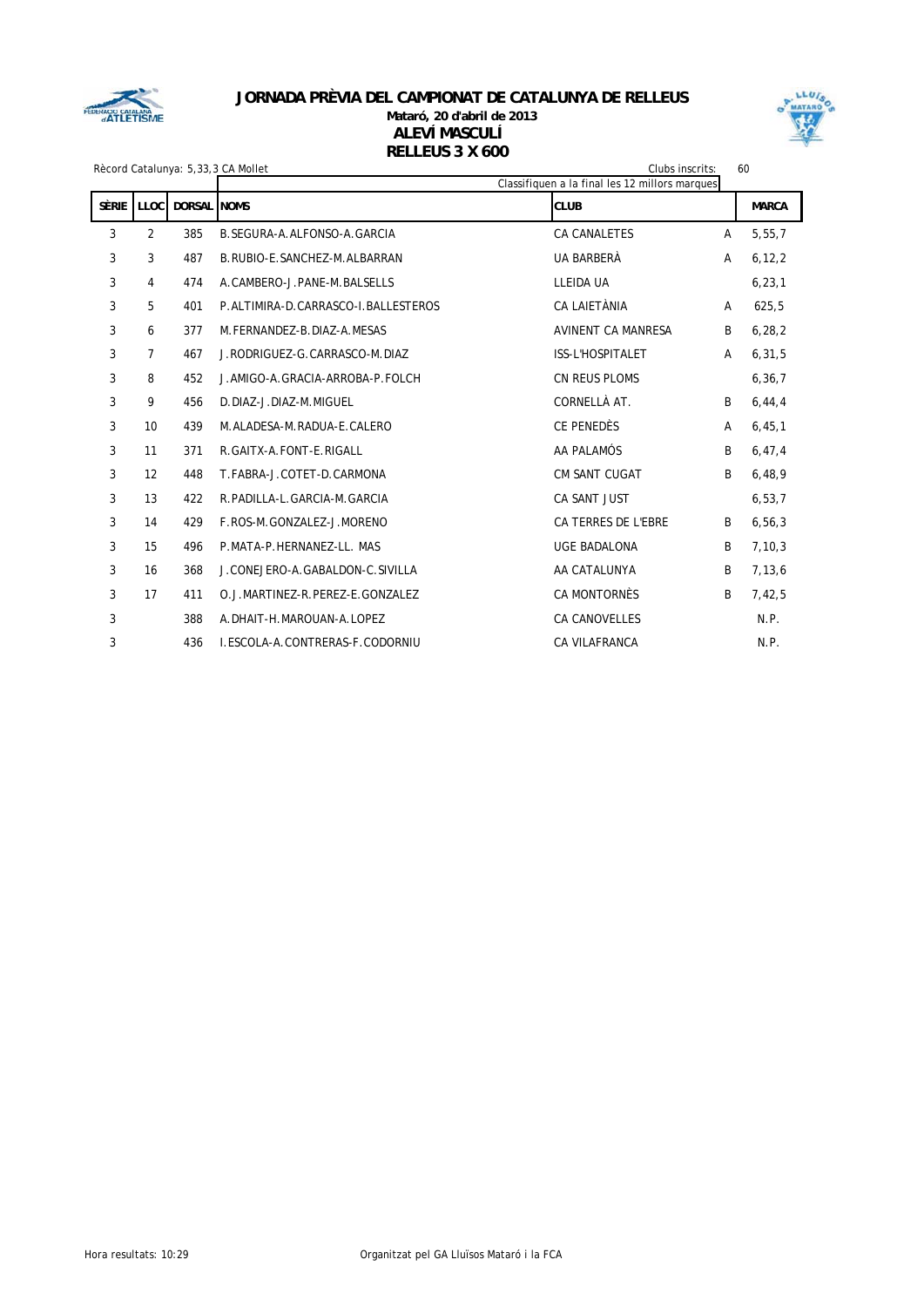

### **JORNADA PRÈVIA DEL CAMPIONAT DE CATALUNYA DE RELLEUS Mataró, 20 d'abril de 2013** Rècord Catalunya: 5,33,3 CA Mollet Clubs inscrits: 60<br>Rècord Catalunya: 5,33,3 CA Mollet **ALEVÍ MASCULÍ RELLEUS 3 X 600**



|                    |                |             | Recoru Gatalunya: 5,33,3 CA Monet<br>GIUDS INSCHIS:<br>Classifiquen a la final les 12 millors marques |                           |   |              |  |
|--------------------|----------------|-------------|-------------------------------------------------------------------------------------------------------|---------------------------|---|--------------|--|
| SÈRIE <sup>1</sup> | <b>LLOC</b>    | DORSAL NOMS |                                                                                                       | <b>CLUB</b>               |   | <b>MARCA</b> |  |
| 3                  | $\overline{2}$ | 385         | B. SEGURA-A. ALFONSO-A. GARCIA                                                                        | <b>CA CANALETES</b>       | A | 5,55,7       |  |
| 3                  | 3              | 487         | B. RUBIO-E. SANCHEZ-M. ALBARRAN                                                                       | UA BARBERÀ                | A | 6, 12, 2     |  |
| 3                  | 4              | 474         | A.CAMBERO-J.PANE-M.BALSELLS                                                                           | LLEIDA UA                 |   | 6, 23, 1     |  |
| 3                  | 5              | 401         | P.ALTIMIRA-D.CARRASCO-I.BALLESTEROS                                                                   | <b>CA LAIETÀNIA</b>       | A | 625,5        |  |
| 3                  | 6              | 377         | M. FERNANDEZ-B. DIAZ-A. MESAS                                                                         | <b>AVINENT CA MANRESA</b> | B | 6, 28, 2     |  |
| 3                  | $\overline{7}$ | 467         | J.RODRIGUEZ-G.CARRASCO-M.DIAZ                                                                         | <b>ISS-L'HOSPITALET</b>   | A | 6, 31, 5     |  |
| 3                  | 8              | 452         | J. AMIGO-A. GRACIA-ARROBA-P. FOLCH                                                                    | CN REUS PLOMS             |   | 6, 36, 7     |  |
| 3                  | 9              | 456         | D.DIAZ-J.DIAZ-M.MIGUEL                                                                                | CORNELLÀ AT.              | B | 6, 44, 4     |  |
| 3                  | 10             | 439         | M.ALADESA-M.RADUA-E.CALERO                                                                            | <b>CE PENEDÈS</b>         | Α | 6, 45, 1     |  |
| 3                  | 11             | 371         | R.GAITX-A.FONT-E.RIGALL                                                                               | AA PALAMÓS                | B | 6, 47, 4     |  |
| 3                  | 12             | 448         | T.FABRA-J.COTET-D.CARMONA                                                                             | <b>CM SANT CUGAT</b>      | B | 6,48,9       |  |
| 3                  | 13             | 422         | R. PADILLA-L. GARCIA-M. GARCIA                                                                        | <b>CA SANT JUST</b>       |   | 6, 53, 7     |  |
| 3                  | 14             | 429         | F.ROS-M.GONZALEZ-J.MORENO                                                                             | CA TERRES DE L'EBRE       | B | 6, 56, 3     |  |
| 3                  | 15             | 496         | P.MATA-P.HERNANEZ-LL. MAS                                                                             | <b>UGE BADALONA</b>       | B | 7, 10, 3     |  |
| 3                  | 16             | 368         | J.CONEJERO-A.GABALDON-C.SIVILLA                                                                       | AA CATALUNYA              | B | 7,13,6       |  |
| 3                  | 17             | 411         | O.J.MARTINEZ-R.PEREZ-E.GONZALEZ                                                                       | <b>CA MONTORNÈS</b>       | B | 7,42,5       |  |
| 3                  |                | 388         | A. DHAIT-H. MAROUAN-A. LOPEZ                                                                          | <b>CA CANOVELLES</b>      |   | N.P.         |  |
| 3                  |                | 436         | LESCOLA-A.CONTRERAS-F.CODORNIU                                                                        | <b>CA VILAFRANCA</b>      |   | N.P.         |  |
|                    |                |             |                                                                                                       |                           |   |              |  |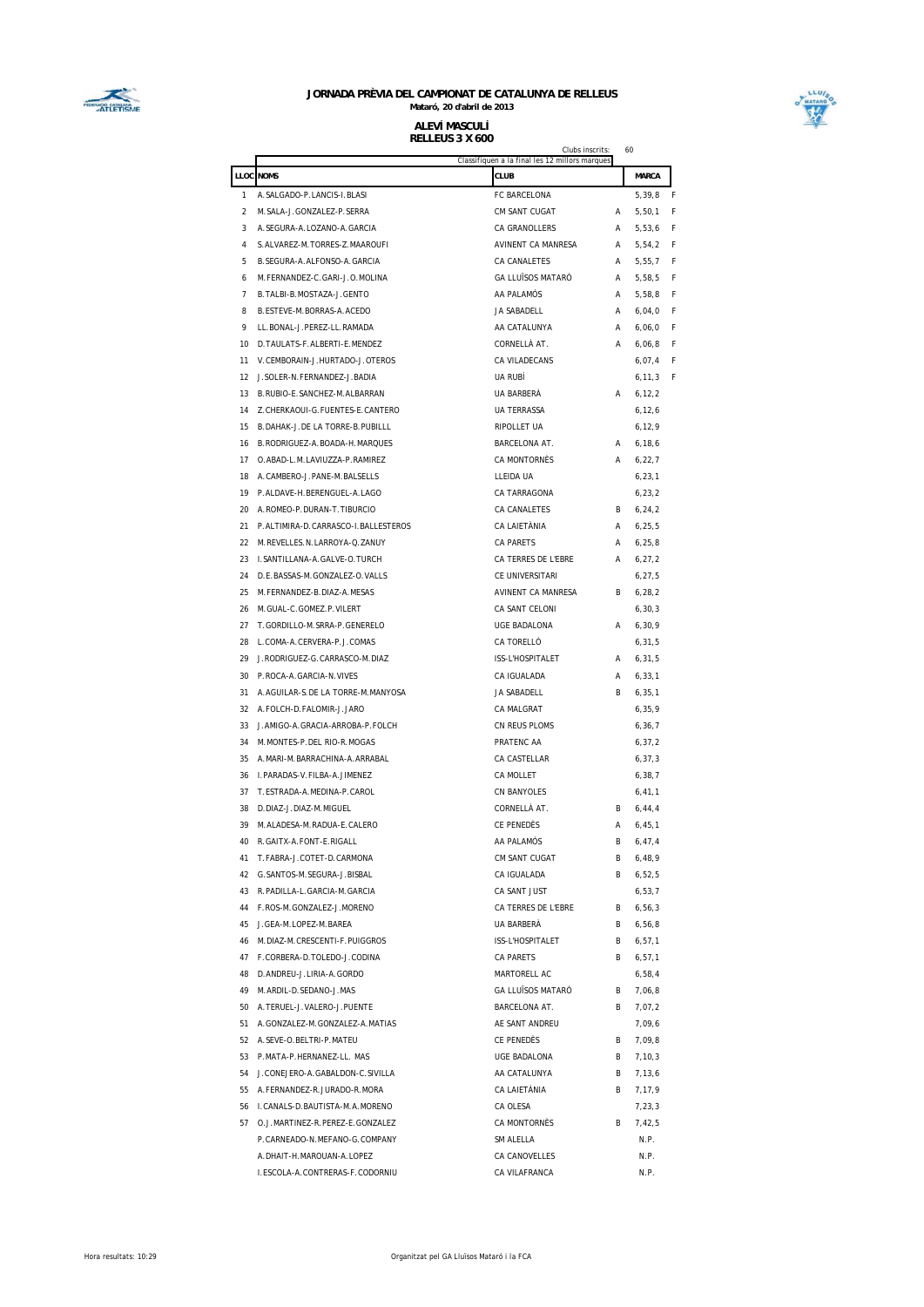

#### **JORNADA PRÈVIA DEL CAMPIONAT DE CATALUNYA DE RELLEUS Mataró, 20 d'abril de 2013 ALEVÍ MASCULÍ**

**RELLEUS 3 X 600**



|              | Clubs inscrits:<br>Classifiquen a la final les 12 millors marques |                     |    |                  |   |  |
|--------------|-------------------------------------------------------------------|---------------------|----|------------------|---|--|
|              | <b>LLOC NOMS</b>                                                  | CLUB                |    | MARCA            |   |  |
| $\mathbf{1}$ | A. SALGADO-P. LANCIS-I. BLASI                                     | FC BARCELONA        |    | 5,39,8           | F |  |
| 2            | M. SALA-J. GONZALEZ-P. SERRA                                      | CM SANT CUGAT       | А  | 5,50,1           | F |  |
| 3            | A. SEGURA-A. LOZANO-A. GARCIA                                     | CA GRANOLLERS       | А  | 5,53,6           | F |  |
| 4            | S.ALVAREZ-M.TORRES-Z.MAAROUFI                                     | AVINENT CA MANRESA  | А  |                  | F |  |
| 5            | B. SEGURA-A. ALFONSO-A. GARCIA                                    | CA CANALETES        | А  | 5,54,2<br>5,55,7 | F |  |
| 6            | M. FERNANDEZ-C. GARI-J.O. MOLINA                                  | GA LLUÏSOS MATARÓ   | А  |                  | F |  |
| 7            | B. TALBI-B. MOSTAZA-J. GENTO                                      | AA PALAMÓS          | А  | 5,58,5<br>5,58,8 | F |  |
| 8            | B. ESTEVE-M. BORRAS-A. ACEDO                                      | JA SABADELL         | А  | 6,04,0           | F |  |
| 9            | LL.BONAL-J.PEREZ-LL.RAMADA                                        | AA CATALUNYA        | Α  | 6,06,0           | F |  |
| 10           | D. TAULATS-F. ALBERTI-E. MENDEZ                                   | CORNELLÀ AT.        | А  | 6,06,8           | F |  |
| 11           | V. CEMBORAIN-J. HURTADO-J. OTEROS                                 | CA VILADECANS       |    | 6,07,4           | F |  |
| 12           | J. SOLER-N. FERNANDEZ-J. BADIA                                    | UA RUBÍ             |    | 6, 11, 3         | F |  |
| 13           | B. RUBIO-E. SANCHEZ-M. ALBARRAN                                   | UA BARBERÀ          | А  | 6, 12, 2         |   |  |
| 14           | Z. CHERKAOUI-G. FUENTES-E. CANTERO                                | UA TERRASSA         |    | 6, 12, 6         |   |  |
| 15           | B.DAHAK-J.DE LA TORRE-B.PUBILLL                                   | RIPOLLET UA         |    | 6, 12, 9         |   |  |
| 16           | B. RODRIGUEZ-A. BOADA-H. MARQUES                                  | BARCELONA AT.       | Α  | 6, 18, 6         |   |  |
| 17           | O.ABAD-L.M.LAVIUZZA-P.RAMIREZ                                     | CA MONTORNÈS        | А  | 6, 22, 7         |   |  |
| 18           | A.CAMBERO-J.PANE-M.BALSELLS                                       | LLEIDA UA           |    | 6, 23, 1         |   |  |
| 19           | P.ALDAVE-H.BERENGUEL-A.LAGO                                       | CA TARRAGONA        |    | 6, 23, 2         |   |  |
|              | 20 A.ROMEO-P.DURAN-T.TIBURCIO                                     | CA CANALETES        | B. | 6, 24, 2         |   |  |
|              | 21 P.ALTIMIRA-D.CARRASCO-I.BALLESTEROS                            | CA LAIETÀNIA        | А  | 6, 25, 5         |   |  |
|              | 22 M. REVELLES. N. LARROYA-Q. ZANUY                               | <b>CA PARETS</b>    | А  | 6, 25, 8         |   |  |
|              | 23 I.SANTILLANA-A.GALVE-O.TURCH                                   | CA TERRES DE L'EBRE | А  | 6, 27, 2         |   |  |
| 24           | D.E.BASSAS-M.GONZALEZ-O.VALLS                                     | CE UNIVERSITARI     |    | 6, 27, 5         |   |  |
|              | 25 M. FERNANDEZ-B. DIAZ-A. MESAS                                  | AVINENT CA MANRESA  | B  | 6, 28, 2         |   |  |
| 26           | M. GUAL-C. GOMEZ. P. VILERT                                       | CA SANT CELONI      |    | 6, 30, 3         |   |  |
| 27           | T.GORDILLO-M.SRRA-P.GENERELO                                      | UGE BADALONA        | А  | 6, 30, 9         |   |  |
| 28           | L.COMA-A.CERVERA-P.J.COMAS                                        | CA TORELLÓ          |    | 6, 31, 5         |   |  |
| 29           | J.RODRIGUEZ-G.CARRASCO-M.DIAZ                                     | ISS-L'HOSPITALET    | А  | 6, 31, 5         |   |  |
|              | 30 P.ROCA-A.GARCIA-N.VIVES                                        | CA IGUALADA         | А  | 6, 33, 1         |   |  |
| 31           | A.AGUILAR-S.DE LA TORRE-M.MANYOSA                                 | JA SABADELL         | B  | 6, 35, 1         |   |  |
| 32           | A.FOLCH-D.FALOMIR-J.JARO                                          | CA MALGRAT          |    | 6, 35, 9         |   |  |
| 33           | J. AMIGO-A. GRACIA-ARROBA-P. FOLCH                                | CN REUS PLOMS       |    | 6, 36, 7         |   |  |
| 34           | M. MONTES-P. DEL RIO-R. MOGAS                                     | PRATENC AA          |    | 6, 37, 2         |   |  |
| 35           | A. MARI-M. BARRACHINA-A. ARRABAL                                  | CA CASTELLAR        |    | 6, 37, 3         |   |  |
| 36           | I. PARADAS-V. FILBA-A. JIMENEZ                                    | CA MOLLET           |    | 6, 38, 7         |   |  |
| 37           | T.ESTRADA-A.MEDINA-P.CAROL                                        | <b>CN BANYOLES</b>  |    | 6, 41, 1         |   |  |
| 38           | D.DIAZ-J.DIAZ-M.MIGUEL                                            | CORNELLÀ AT.        | B. | 6, 44, 4         |   |  |
|              | 39 M. ALADESA-M. RADUA-E. CALERO                                  | CE PENEDÈS          | Α  | 6, 45, 1         |   |  |
|              | 40 R. GAITX-A. FONT-E. RIGALL                                     | AA PALAMÓS          | B. | 6, 47, 4         |   |  |
|              | 41 T.FABRA-J.COTET-D.CARMONA                                      | CM SANT CUGAT       | В  | 6,48,9           |   |  |
|              | 42 G.SANTOS-M.SEGURA-J.BISBAL                                     | CA IGUALADA         | B. | 6,52,5           |   |  |
|              | 43 R. PADILLA-L. GARCIA-M. GARCIA                                 | CA SANT JUST        |    | 6, 53, 7         |   |  |
|              | 44 F.ROS-M.GONZALEZ-J.MORENO                                      | CA TERRES DE L'EBRE | В  | 6, 56, 3         |   |  |
|              | 45 J.GEA-M.LOPEZ-M.BAREA                                          | UA BARBERÀ          | B  | 6,56,8           |   |  |
|              | 46 M. DIAZ-M. CRESCENTI-F. PUIGGROS                               | ISS-L'HOSPITALET    | B. | 6, 57, 1         |   |  |
|              | 47 F.CORBERA-D.TOLEDO-J.CODINA                                    | CA PARETS           | В  | 6, 57, 1         |   |  |
|              | 48 D.ANDREU-J.LIRIA-A.GORDO                                       | MARTORELL AC        |    | 6,58,4           |   |  |
|              | 49 M. ARDIL-D. SEDANO-J. MAS                                      | GA LLUÏSOS MATARÓ   | В  | 7,06,8           |   |  |
|              | 50 A. TERUEL-J. VALERO-J. PUENTE                                  | BARCELONA AT.       | В  | 7,07,2           |   |  |
|              | 51 A. GONZALEZ-M. GONZALEZ-A. MATIAS                              | AE SANT ANDREU      |    | 7,09,6           |   |  |
|              | 52 A. SEVE-O. BELTRI-P. MATEU                                     | CE PENEDÈS          | В  | 7,09,8           |   |  |
|              | 53 P.MATA-P.HERNANEZ-LL. MAS                                      | UGE BADALONA        | B  | 7,10,3           |   |  |
|              | 54 J.CONEJERO-A.GABALDON-C.SIVILLA                                | AA CATALUNYA        | В  | 7,13,6           |   |  |
|              | 55 A. FERNANDEZ-R. JURADO-R. MORA                                 | CA LAIETÀNIA        | B. | 7,17,9           |   |  |
|              | 56 I. CANALS-D. BAUTISTA-M. A. MORENO                             | CA OLESA            |    | 7,23,3           |   |  |
|              | 57 O.J.MARTINEZ-R.PEREZ-E.GONZALEZ                                | CA MONTORNÈS        | В  | 7,42,5           |   |  |
|              | P.CARNEADO-N.MEFANO-G.COMPANY                                     | SM ALELLA           |    | N.P.             |   |  |
|              | A.DHAIT-H.MAROUAN-A.LOPEZ                                         | CA CANOVELLES       |    | N.P.             |   |  |
|              | I.ESCOLA-A.CONTRERAS-F.CODORNIU                                   | CA VILAFRANCA       |    | N.P.             |   |  |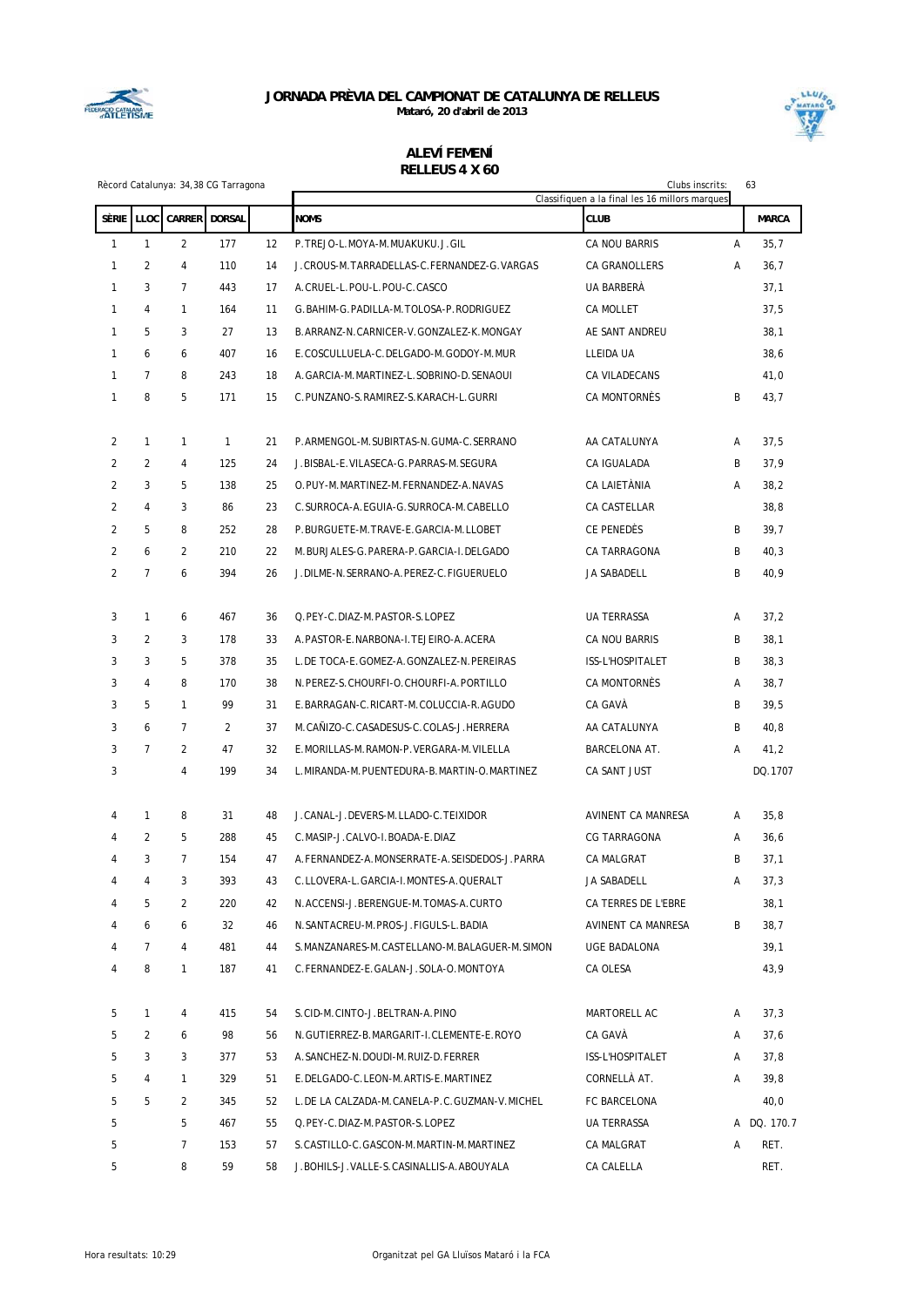

**Mataró, 20 d'abril de 2013**



#### Rècord Catalunya: 34,38 CG Tarragona Clubs inscrits: 63 **ALEVÍ FEMENÍ RELLEUS 4 X 60**

|                |                |                |               |    | Classifiquen a la final les 16 millors marques   |                     |   |              |
|----------------|----------------|----------------|---------------|----|--------------------------------------------------|---------------------|---|--------------|
| <b>SÈRIE</b>   | LLOC           | <b>CARRER</b>  | <b>DORSAL</b> |    | <b>NOMS</b>                                      | <b>CLUB</b>         |   | <b>MARCA</b> |
| $\mathbf{1}$   | $\mathbf{1}$   | $\overline{2}$ | 177           | 12 | P.TREJO-L.MOYA-M.MUAKUKU.J.GIL                   | CA NOU BARRIS       | Α | 35,7         |
| 1              | $\overline{2}$ | $\overline{4}$ | 110           | 14 | J.CROUS-M.TARRADELLAS-C.FERNANDEZ-G.VARGAS       | CA GRANOLLERS       | Α | 36,7         |
| 1              | 3              | $\overline{7}$ | 443           | 17 | A.CRUEL-L.POU-L.POU-C.CASCO                      | UA BARBERÀ          |   | 37,1         |
| 1              | $\overline{4}$ | $\mathbf{1}$   | 164           | 11 | G.BAHIM-G.PADILLA-M.TOLOSA-P.RODRIGUEZ           | CA MOLLET           |   | 37,5         |
| $\mathbf{1}$   | 5              | 3              | 27            | 13 | B. ARRANZ-N. CARNICER-V. GONZALEZ-K. MONGAY      | AE SANT ANDREU      |   | 38,1         |
| $\mathbf{1}$   | 6              | 6              | 407           | 16 | E.COSCULLUELA-C.DELGADO-M.GODOY-M.MUR            | LLEIDA UA           |   | 38,6         |
| $\mathbf{1}$   | $\overline{7}$ | 8              | 243           | 18 | A.GARCIA-M.MARTINEZ-L.SOBRINO-D.SENAOUI          | CA VILADECANS       |   | 41,0         |
| 1              | 8              | 5              | 171           | 15 | C.PUNZANO-S.RAMIREZ-S.KARACH-L.GURRI             | CA MONTORNÈS        | B | 43,7         |
|                |                |                |               |    |                                                  |                     |   |              |
| $\overline{2}$ | $\mathbf{1}$   | $\mathbf{1}$   | $\mathbf{1}$  | 21 | P.ARMENGOL-M.SUBIRTAS-N.GUMA-C.SERRANO           | AA CATALUNYA        | A | 37,5         |
| 2              | 2              | 4              | 125           | 24 | J.BISBAL-E.VILASECA-G.PARRAS-M.SEGURA            | CA IGUALADA         | B | 37,9         |
| 2              | 3              | 5              | 138           | 25 | O.PUY-M.MARTINEZ-M.FERNANDEZ-A.NAVAS             | CA LAIETÀNIA        | Α | 38,2         |
| 2              | $\overline{4}$ | 3              | 86            | 23 | C.SURROCA-A.EGUIA-G.SURROCA-M.CABELLO            | CA CASTELLAR        |   | 38,8         |
| $\overline{2}$ | 5              | 8              | 252           | 28 | P.BURGUETE-M.TRAVE-E.GARCIA-M.LLOBET             | CE PENEDÈS          | B | 39,7         |
| 2              | 6              | 2              | 210           | 22 | M.BURJALES-G.PARERA-P.GARCIA-I.DELGADO           | CA TARRAGONA        | B | 40,3         |
| $\overline{2}$ | $\overline{7}$ | 6              | 394           | 26 | J.DILME-N.SERRANO-A.PEREZ-C.FIGUERUELO           | <b>JA SABADELL</b>  | B | 40,9         |
|                |                |                |               |    |                                                  |                     |   |              |
| 3              | $\mathbf{1}$   | 6              | 467           | 36 | Q.PEY-C.DIAZ-M.PASTOR-S.LOPEZ                    | <b>UA TERRASSA</b>  | A | 37,2         |
| 3              | 2              | 3              | 178           | 33 | A. PASTOR-E. NARBONA-I. TEJEIRO-A. ACERA         | CA NOU BARRIS       | B | 38,1         |
| 3              | 3              | 5              | 378           | 35 | L.DE TOCA-E.GOMEZ-A.GONZALEZ-N.PEREIRAS          | ISS-L'HOSPITALET    | B | 38,3         |
| 3              | $\overline{4}$ | 8              | 170           | 38 | N.PEREZ-S.CHOURFI-O.CHOURFI-A.PORTILLO           | CA MONTORNÈS        | A | 38,7         |
| 3              | 5              | $\mathbf{1}$   | 99            | 31 | E.BARRAGAN-C.RICART-M.COLUCCIA-R.AGUDO           | CA GAVÀ             | B | 39,5         |
| 3              | 6              | $\overline{7}$ | 2             | 37 | M.CAÑIZO-C.CASADESUS-C.COLAS-J.HERRERA           | AA CATALUNYA        | B | 40,8         |
| 3              | $\overline{7}$ | $\overline{2}$ | 47            | 32 | E.MORILLAS-M.RAMON-P.VERGARA-M.VILELLA           | BARCELONA AT.       | Α | 41,2         |
| 3              |                | 4              | 199           | 34 | L. MIRANDA-M. PUENTEDURA-B. MARTIN-O. MARTINEZ   | CA SANT JUST        |   | DQ.1707      |
|                |                |                |               |    |                                                  |                     |   |              |
| 4              | $\mathbf{1}$   | 8              | 31            | 48 | J.CANAL-J.DEVERS-M.LLADO-C.TEIXIDOR              | AVINENT CA MANRESA  | A | 35,8         |
| 4              | 2              | 5              | 288           | 45 | C.MASIP-J.CALVO-I.BOADA-E.DIAZ                   | <b>CG TARRAGONA</b> | Α | 36,6         |
| 4              | 3              | $\overline{7}$ | 154           | 47 | A.FERNANDEZ-A.MONSERRATE-A.SEISDEDOS-J.PARRA     | CA MALGRAT          | B | 37,1         |
| 4              | 4              | 3              | 393           | 43 | C.LLOVERA-L.GARCIA-I.MONTES-A.QUERALT            | <b>JA SABADELL</b>  | Α | 37,3         |
| 4              | 5              | 2              | 220           | 42 | N.ACCENSI-J.BERENGUE-M.TOMAS-A.CURTO             | CA TERRES DE L'EBRE |   | 38,1         |
| 4              | 6              | 6              | 32            | 46 | N. SANTACREU-M. PROS-J. FIGULS-L. BADIA          | AVINENT CA MANRESA  | B | 38,7         |
| 4              | 7              | 4              | 481           | 44 | S. MANZANARES-M. CASTELLANO-M. BALAGUER-M. SIMON | UGE BADALONA        |   | 39,1         |
| 4              | 8              | 1              | 187           | 41 | C. FERNANDEZ-E. GALAN-J. SOLA-O. MONTOYA         | CA OLESA            |   | 43,9         |
|                |                |                |               |    |                                                  |                     |   |              |
| 5              | $\mathbf{1}$   | 4              | 415           | 54 | S.CID-M.CINTO-J.BELTRAN-A.PINO                   | MARTORELL AC        | A | 37,3         |
| 5              | 2              | 6              | 98            | 56 | N.GUTIERREZ-B.MARGARIT-I.CLEMENTE-E.ROYO         | CA GAVÀ             | Α | 37,6         |
| 5              | 3              | 3              | 377           | 53 | A. SANCHEZ-N. DOUDI-M. RUIZ-D. FERRER            | ISS-L'HOSPITALET    | Α | 37,8         |
| 5              | 4              | $\mathbf{1}$   | 329           | 51 | E.DELGADO-C.LEON-M.ARTIS-E.MARTINEZ              | CORNELLÀ AT.        | Α | 39,8         |
| 5              | 5              | $\overline{2}$ | 345           | 52 | L.DE LA CALZADA-M.CANELA-P.C.GUZMAN-V.MICHEL     | FC BARCELONA        |   | 40,0         |
| 5              |                | 5              | 467           | 55 | Q.PEY-C.DIAZ-M.PASTOR-S.LOPEZ                    | UA TERRASSA         |   | A DQ. 170.7  |
| 5              |                | $\overline{7}$ | 153           | 57 | S.CASTILLO-C.GASCON-M.MARTIN-M.MARTINEZ          | CA MALGRAT          | Α | RET.         |
| 5              |                | 8              | 59            | 58 | J.BOHILS-J.VALLE-S.CASINALLIS-A.ABOUYALA         | CA CALELLA          |   | RET.         |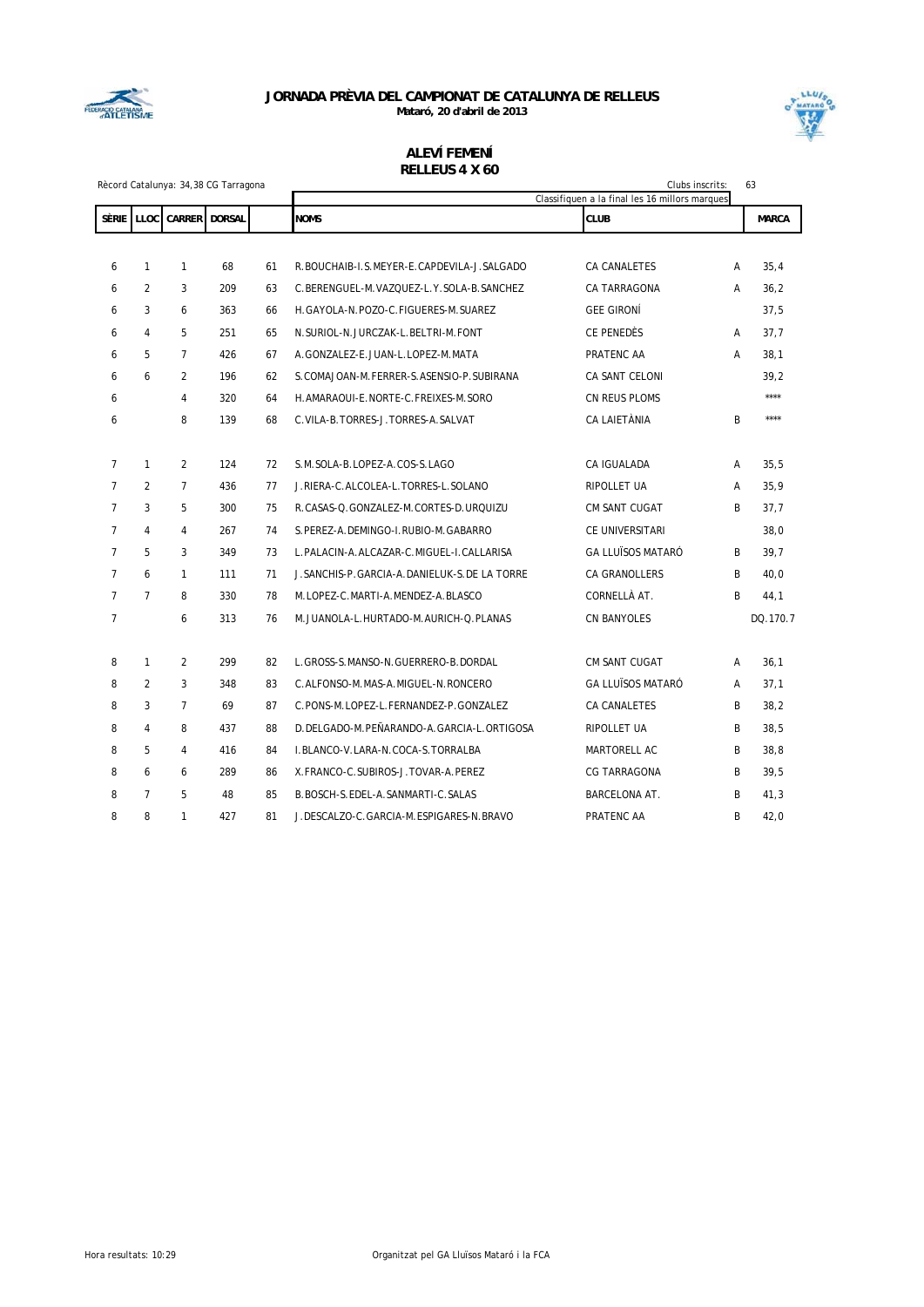

**Mataró, 20 d'abril de 2013**



|                | Rècord Catalunya: 34,38 CG Tarragona |                |               | Clubs inscrits:<br>63<br>Classifiquen a la final les 16 millors marques |                                                 |                          |   |              |
|----------------|--------------------------------------|----------------|---------------|-------------------------------------------------------------------------|-------------------------------------------------|--------------------------|---|--------------|
|                | SÈRIE LLOC                           | <b>CARRER</b>  | <b>DORSAL</b> |                                                                         | <b>NOMS</b>                                     | <b>CLUB</b>              |   | <b>MARCA</b> |
|                |                                      |                |               |                                                                         |                                                 |                          |   |              |
| 6              | 1                                    | 1              | 68            | 61                                                                      | R.BOUCHAIB-I.S.MEYER-E.CAPDEVILA-J.SALGADO      | CA CANALETES             | Α | 35,4         |
| 6              | $\overline{2}$                       | 3              | 209           | 63                                                                      | C.BERENGUEL-M.VAZQUEZ-L.Y.SOLA-B.SANCHEZ        | CA TARRAGONA             | А | 36,2         |
| 6              | 3                                    | 6              | 363           | 66                                                                      | H.GAYOLA-N.POZO-C.FIGUERES-M.SUAREZ             | <b>GEE GIRONÍ</b>        |   | 37,5         |
| 6              | 4                                    | 5              | 251           | 65                                                                      | N.SURIOL-N.JURCZAK-L.BELTRI-M.FONT              | CE PENEDÈS               | Α | 37,7         |
| 6              | 5                                    | $\overline{7}$ | 426           | 67                                                                      | A.GONZALEZ-E.JUAN-L.LOPEZ-M.MATA                | PRATENC AA               | Α | 38,1         |
| 6              | 6                                    | $\overline{2}$ | 196           | 62                                                                      | S. COMAJOAN-M. FERRER-S. ASENSIO-P. SUBIRANA    | CA SANT CELONI           |   | 39,2         |
| 6              |                                      | $\overline{4}$ | 320           | 64                                                                      | H. AMARAOUI-E. NORTE-C. FREIXES-M. SORO         | CN REUS PLOMS            |   | $***$        |
| 6              |                                      | 8              | 139           | 68                                                                      | C. VILA-B. TORRES-J. TORRES-A. SALVAT           | CA LAIETÀNIA             | B | ****         |
|                |                                      |                |               |                                                                         |                                                 |                          |   |              |
| $\overline{7}$ | $\mathbf{1}$                         | $\overline{2}$ | 124           | 72                                                                      | S.M.SOLA-B.LOPEZ-A.COS-S.LAGO                   | CA IGUALADA              | Α | 35,5         |
| $\overline{7}$ | $\overline{2}$                       | $\overline{7}$ | 436           | 77                                                                      | J.RIERA-C.ALCOLEA-L.TORRES-L.SOLANO             | RIPOLLET UA              | A | 35,9         |
| $\overline{7}$ | 3                                    | 5              | 300           | 75                                                                      | R.CASAS-Q.GONZALEZ-M.CORTES-D.URQUIZU           | CM SANT CUGAT            | B | 37,7         |
| $\overline{7}$ | $\overline{4}$                       | $\overline{4}$ | 267           | 74                                                                      | S. PEREZ-A. DEMINGO-I. RUBIO-M. GABARRO         | CE UNIVERSITARI          |   | 38,0         |
| $\overline{7}$ | 5                                    | 3              | 349           | 73                                                                      | L. PALACIN-A. ALCAZAR-C. MIGUEL-I. CALLARISA    | <b>GA LLUÏSOS MATARÓ</b> | B | 39,7         |
| $\overline{7}$ | 6                                    | $\mathbf{1}$   | 111           | 71                                                                      | J. SANCHIS-P. GARCIA-A. DANIELUK-S. DE LA TORRE | CA GRANOLLERS            | B | 40,0         |
| $\overline{7}$ | $\overline{7}$                       | 8              | 330           | 78                                                                      | M.LOPEZ-C.MARTI-A.MENDEZ-A.BLASCO               | CORNELLÀ AT.             | B | 44,1         |
| $\overline{7}$ |                                      | 6              | 313           | 76                                                                      | M.JUANOLA-L.HURTADO-M.AURICH-Q.PLANAS           | <b>CN BANYOLES</b>       |   | DQ.170.7     |
|                |                                      |                |               |                                                                         |                                                 |                          |   |              |
| 8              | $\mathbf{1}$                         | $\overline{2}$ | 299           | 82                                                                      | L. GROSS-S. MANSO-N. GUERRERO-B. DORDAL         | CM SANT CUGAT            | A | 36,1         |
| 8              | 2                                    | 3              | 348           | 83                                                                      | C.ALFONSO-M.MAS-A.MIGUEL-N.RONCERO              | <b>GA LLUÏSOS MATARÓ</b> | A | 37,1         |
| 8              | 3                                    | $\overline{7}$ | 69            | 87                                                                      | C.PONS-M.LOPEZ-L.FERNANDEZ-P.GONZALEZ           | CA CANALETES             | B | 38,2         |
| 8              | 4                                    | 8              | 437           | 88                                                                      | D.DELGADO-M.PEÑARANDO-A.GARCIA-L.ORTIGOSA       | RIPOLLET UA              | B | 38,5         |
| 8              | 5                                    | 4              | 416           | 84                                                                      | I.BLANCO-V.LARA-N.COCA-S.TORRALBA               | MARTORELL AC             | B | 38,8         |
| 8              | 6                                    | 6              | 289           | 86                                                                      | X.FRANCO-C.SUBIROS-J.TOVAR-A.PEREZ              | CG TARRAGONA             | B | 39,5         |
| 8              | $\overline{7}$                       | 5              | 48            | 85                                                                      | B. BOSCH-S. EDEL-A. SANMARTI-C. SALAS           | BARCELONA AT.            | B | 41,3         |
| 8              | 8                                    | $\mathbf{1}$   | 427           | 81                                                                      | J.DESCALZO-C.GARCIA-M.ESPIGARES-N.BRAVO         | PRATENC AA               | B | 42,0         |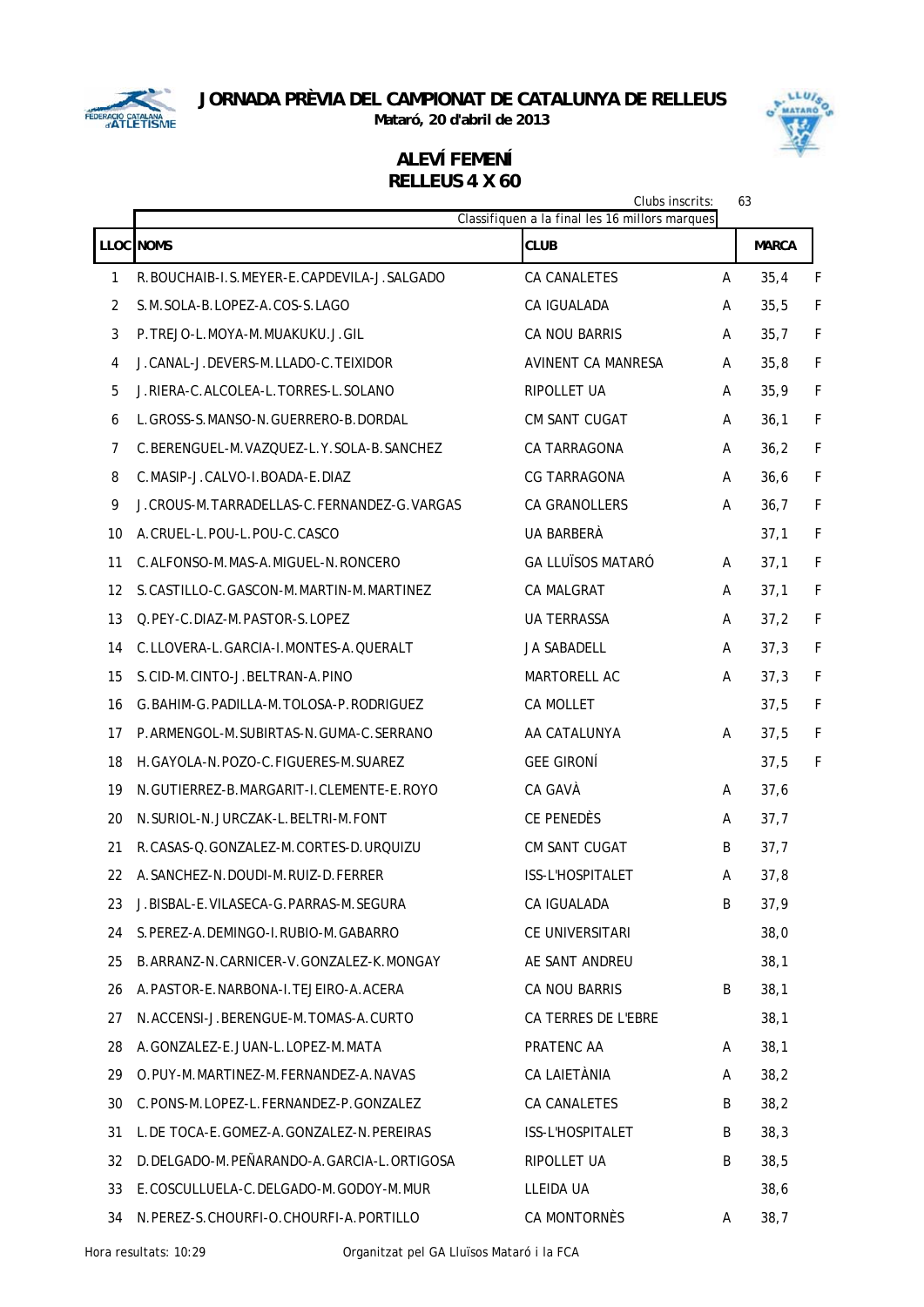

**Mataró, 20 d'abril de 2013**



|    |                                               | Clubs inscrits:<br>Classifiquen a la final les 16 millors marques |   | 63           |   |
|----|-----------------------------------------------|-------------------------------------------------------------------|---|--------------|---|
|    | LLOC NOMS                                     | <b>CLUB</b>                                                       |   | <b>MARCA</b> |   |
| 1  | R.BOUCHAIB-I.S.MEYER-E.CAPDEVILA-J.SALGADO    | CA CANALETES                                                      | A | 35,4         | F |
| 2  | S.M.SOLA-B.LOPEZ-A.COS-S.LAGO                 | CA IGUALADA                                                       | A | 35,5         | F |
| 3  | P.TREJO-L.MOYA-M.MUAKUKU.J.GIL                | CA NOU BARRIS                                                     | A | 35,7         | F |
| 4  | J.CANAL-J.DEVERS-M.LLADO-C.TEIXIDOR           | AVINENT CA MANRESA                                                | A | 35,8         | F |
| 5  | J.RIERA-C.ALCOLEA-L.TORRES-L.SOLANO           | RIPOLLET UA                                                       | A | 35,9         | F |
| 6  | L. GROSS-S. MANSO-N. GUERRERO-B. DORDAL       | <b>CM SANT CUGAT</b>                                              | A | 36,1         | F |
| 7  | C.BERENGUEL-M.VAZQUEZ-L.Y.SOLA-B.SANCHEZ      | CA TARRAGONA                                                      | A | 36,2         | F |
| 8  | C.MASIP-J.CALVO-I.BOADA-E.DIAZ                | <b>CG TARRAGONA</b>                                               | A | 36, 6        | F |
| 9  | J.CROUS-M.TARRADELLAS-C.FERNANDEZ-G.VARGAS    | CA GRANOLLERS                                                     | A | 36,7         | F |
| 10 | A.CRUEL-L.POU-L.POU-C.CASCO                   | UA BARBERÀ                                                        |   | 37,1         | F |
| 11 | C.ALFONSO-M.MAS-A.MIGUEL-N.RONCERO            | <b>GA LLUÏSOS MATARÓ</b>                                          | Α | 37,1         | F |
| 12 | S.CASTILLO-C.GASCON-M.MARTIN-M.MARTINEZ       | CA MALGRAT                                                        | A | 37,1         | F |
| 13 | Q.PEY-C.DIAZ-M.PASTOR-S.LOPEZ                 | <b>UA TERRASSA</b>                                                | A | 37,2         | F |
| 14 | C.LLOVERA-L.GARCIA-I.MONTES-A.QUERALT         | JA SABADELL                                                       | A | 37,3         | F |
| 15 | S.CID-M.CINTO-J.BELTRAN-A.PINO                | MARTORELL AC                                                      | A | 37,3         | F |
| 16 | G. BAHIM-G. PADILLA-M. TOLOSA-P. RODRIGUEZ    | CA MOLLET                                                         |   | 37,5         | F |
| 17 | P.ARMENGOL-M.SUBIRTAS-N.GUMA-C.SERRANO        | AA CATALUNYA                                                      | A | 37,5         | F |
| 18 | H.GAYOLA-N.POZO-C.FIGUERES-M.SUAREZ           | <b>GEE GIRONÍ</b>                                                 |   | 37,5         | F |
| 19 | N.GUTIERREZ-B.MARGARIT-I.CLEMENTE-E.ROYO      | CA GAVÀ                                                           | A | 37,6         |   |
| 20 | N. SURIOL-N. JURCZAK-L. BELTRI-M. FONT        | CE PENEDÈS                                                        | A | 37,7         |   |
| 21 | R.CASAS-Q.GONZALEZ-M.CORTES-D.URQUIZU         | <b>CM SANT CUGAT</b>                                              | B | 37,7         |   |
| 22 | A. SANCHEZ-N. DOUDI-M. RUIZ-D. FERRER         | <b>ISS-L'HOSPITALET</b>                                           | A | 37,8         |   |
| 23 | J. BISBAL-E. VILASECA-G. PARRAS-M. SEGURA     | CA IGUALADA                                                       | B | 37,9         |   |
| 24 | S. PEREZ-A. DEMINGO-I. RUBIO-M. GABARRO       | CE UNIVERSITARI                                                   |   | 38,0         |   |
| 25 | B. ARRANZ-N. CARNICER-V. GONZALEZ-K. MONGAY   | AE SANT ANDREU                                                    |   | 38,1         |   |
| 26 | A. PASTOR-E. NARBONA-I. TEJEIRO-A. ACERA      | CA NOU BARRIS                                                     | B | 38,1         |   |
| 27 | N.ACCENSI-J.BERENGUE-M.TOMAS-A.CURTO          | CA TERRES DE L'EBRE                                               |   | 38,1         |   |
| 28 | A.GONZALEZ-E.JUAN-L.LOPEZ-M.MATA              | PRATENC AA                                                        | A | 38,1         |   |
| 29 | O.PUY-M.MARTINEZ-M.FERNANDEZ-A.NAVAS          | CA LAIETÀNIA                                                      | A | 38,2         |   |
| 30 | C. PONS-M. LOPEZ-L. FERNANDEZ-P. GONZALEZ     | CA CANALETES                                                      | B | 38,2         |   |
| 31 | L. DE TOCA-E. GOMEZ-A. GONZALEZ-N. PEREIRAS   | ISS-L'HOSPITALET                                                  | B | 38,3         |   |
| 32 | D. DELGADO-M. PEÑARANDO-A. GARCIA-L. ORTIGOSA | RIPOLLET UA                                                       | B | 38,5         |   |
| 33 | E.COSCULLUELA-C.DELGADO-M.GODOY-M.MUR         | LLEIDA UA                                                         |   | 38,6         |   |
| 34 | N. PEREZ-S. CHOURFI-O. CHOURFI-A. PORTILLO    | CA MONTORNÈS                                                      | A | 38,7         |   |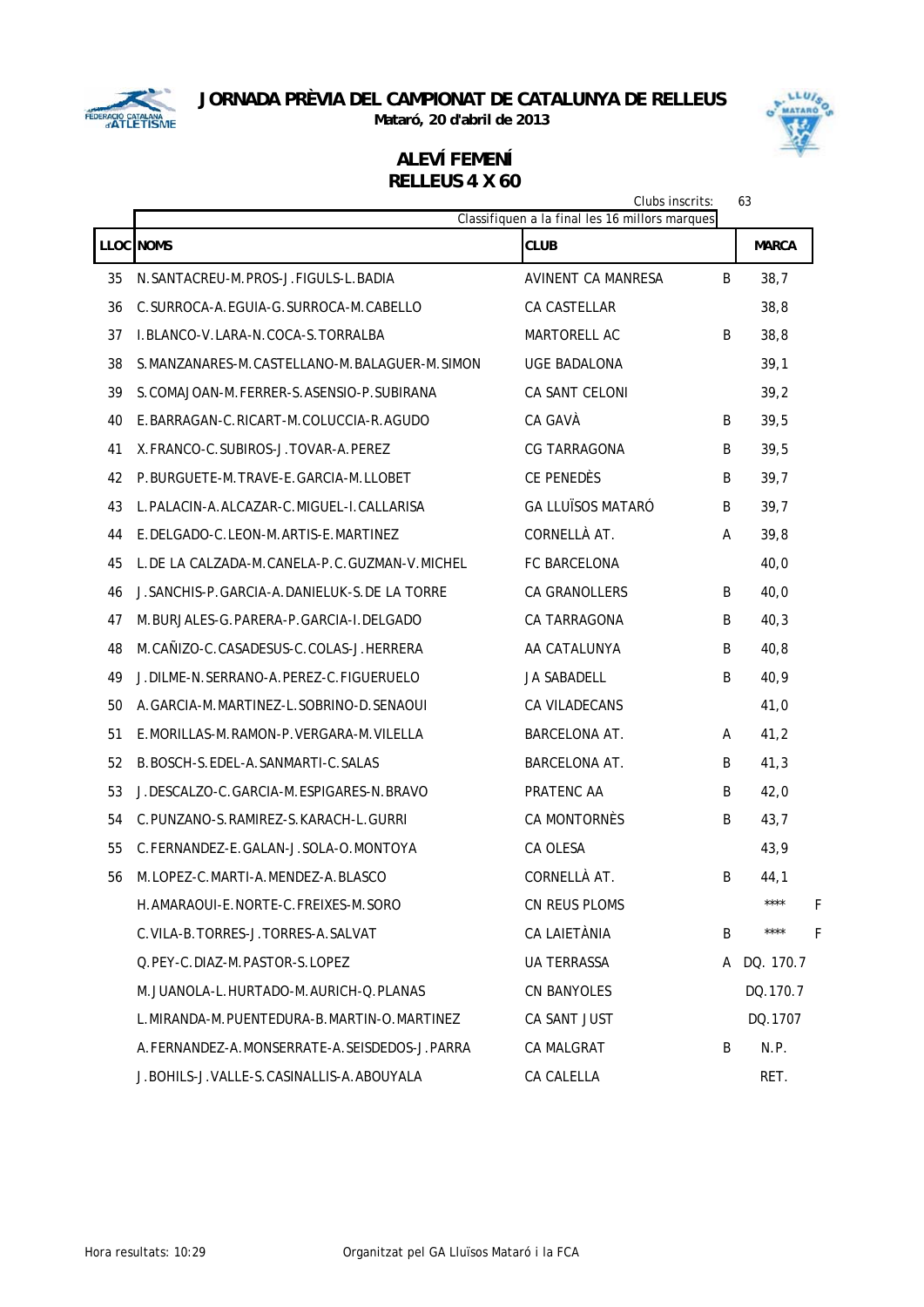

**Mataró, 20 d'abril de 2013**



|    | 63<br>Clubs inscrits:<br>Classifiquen a la final les 16 millors marques |                           |    |              |  |  |  |  |  |
|----|-------------------------------------------------------------------------|---------------------------|----|--------------|--|--|--|--|--|
|    | <b>LLOC NOMS</b>                                                        | <b>CLUB</b>               |    | <b>MARCA</b> |  |  |  |  |  |
| 35 | N. SANTACREU-M. PROS-J. FIGULS-L. BADIA                                 | <b>AVINENT CA MANRESA</b> | B  | 38,7         |  |  |  |  |  |
| 36 | C. SURROCA-A. EGUIA-G. SURROCA-M. CABELLO                               | CA CASTELLAR              |    | 38,8         |  |  |  |  |  |
| 37 | I.BLANCO-V.LARA-N.COCA-S.TORRALBA                                       | <b>MARTORELL AC</b>       | B  | 38,8         |  |  |  |  |  |
| 38 | S. MANZANARES-M. CASTELLANO-M. BALAGUER-M. SIMON                        | UGE BADALONA              |    | 39,1         |  |  |  |  |  |
| 39 | S. COMAJOAN-M. FERRER-S. ASENSIO-P. SUBIRANA                            | <b>CA SANT CELONI</b>     |    | 39,2         |  |  |  |  |  |
| 40 | E.BARRAGAN-C.RICART-M.COLUCCIA-R.AGUDO                                  | CA GAVÀ                   | B  | 39,5         |  |  |  |  |  |
| 41 | X. FRANCO-C. SUBIROS-J. TOVAR-A. PEREZ                                  | <b>CG TARRAGONA</b>       | B  | 39,5         |  |  |  |  |  |
| 42 | P.BURGUETE-M.TRAVE-E.GARCIA-M.LLOBET                                    | CE PENEDÈS                | B  | 39,7         |  |  |  |  |  |
| 43 | L. PALACIN-A. ALCAZAR-C. MIGUEL-I. CALLARISA                            | <b>GA LLUÏSOS MATARÓ</b>  | B  | 39,7         |  |  |  |  |  |
| 44 | E. DELGADO-C. LEON-M. ARTIS-E. MARTINEZ                                 | CORNELLÀ AT.              | A  | 39,8         |  |  |  |  |  |
| 45 | L. DE LA CALZADA-M. CANELA-P. C. GUZMAN-V. MICHEL                       | <b>FC BARCELONA</b>       |    | 40,0         |  |  |  |  |  |
| 46 | J. SANCHIS-P. GARCIA-A. DANIELUK-S. DE LA TORRE                         | CA GRANOLLERS             | B  | 40,0         |  |  |  |  |  |
| 47 | M. BURJALES-G. PARERA-P. GARCIA-I. DELGADO                              | CA TARRAGONA              | B  | 40,3         |  |  |  |  |  |
| 48 | M. CAÑIZO-C. CASADESUS-C. COLAS-J. HERRERA                              | AA CATALUNYA              | B  | 40,8         |  |  |  |  |  |
| 49 | J.DILME-N.SERRANO-A.PEREZ-C.FIGUERUELO                                  | <b>JA SABADELL</b>        | B  | 40,9         |  |  |  |  |  |
| 50 | A. GARCIA-M. MARTINEZ-L. SOBRINO-D. SENAOUI                             | CA VILADECANS             |    | 41,0         |  |  |  |  |  |
| 51 | E.MORILLAS-M.RAMON-P.VERGARA-M.VILELLA                                  | BARCELONA AT.             | A  | 41,2         |  |  |  |  |  |
| 52 | B. BOSCH-S. EDEL-A. SANMARTI-C. SALAS                                   | BARCELONA AT.             | B  | 41,3         |  |  |  |  |  |
| 53 | J. DESCALZO-C. GARCIA-M. ESPIGARES-N. BRAVO                             | PRATENC AA                | B  | 42,0         |  |  |  |  |  |
| 54 | C. PUNZANO-S. RAMIREZ-S. KARACH-L. GURRI                                | CA MONTORNÈS              | B  | 43,7         |  |  |  |  |  |
| 55 | C.FERNANDEZ-E.GALAN-J.SOLA-O.MONTOYA                                    | CA OLESA                  |    | 43,9         |  |  |  |  |  |
| 56 | M.LOPEZ-C.MARTI-A.MENDEZ-A.BLASCO                                       | CORNELLÀ AT.              | B  | 44,1         |  |  |  |  |  |
|    | H. AMARAQUI-E. NORTE-C. FREIXES-M. SORO                                 | CN REUS PLOMS             |    | ****<br>F    |  |  |  |  |  |
|    | C. VILA-B. TORRES-J. TORRES-A. SALVAT                                   | CA LAIETÀNIA              | B. | ****<br>F    |  |  |  |  |  |
|    | O. PEY-C. DIAZ-M. PASTOR-S. LOPEZ                                       | <b>UA TERRASSA</b>        | A  | DQ. 170.7    |  |  |  |  |  |
|    | M.JUANOLA-L.HURTADO-M.AURICH-O.PLANAS                                   | <b>CN BANYOLES</b>        |    | DQ.170.7     |  |  |  |  |  |
|    | L. MIRANDA-M. PUENTEDURA-B. MARTIN-O. MARTINEZ                          | CA SANT JUST              |    | DO.1707      |  |  |  |  |  |
|    | A. FERNANDEZ-A. MONSERRATE-A. SEISDEDOS-J. PARRA                        | <b>CA MALGRAT</b>         | B  | N.P.         |  |  |  |  |  |
|    | J. BOHILS-J. VALLE-S. CASINALLIS-A. ABOUYALA                            | CA CALELLA                |    | RET.         |  |  |  |  |  |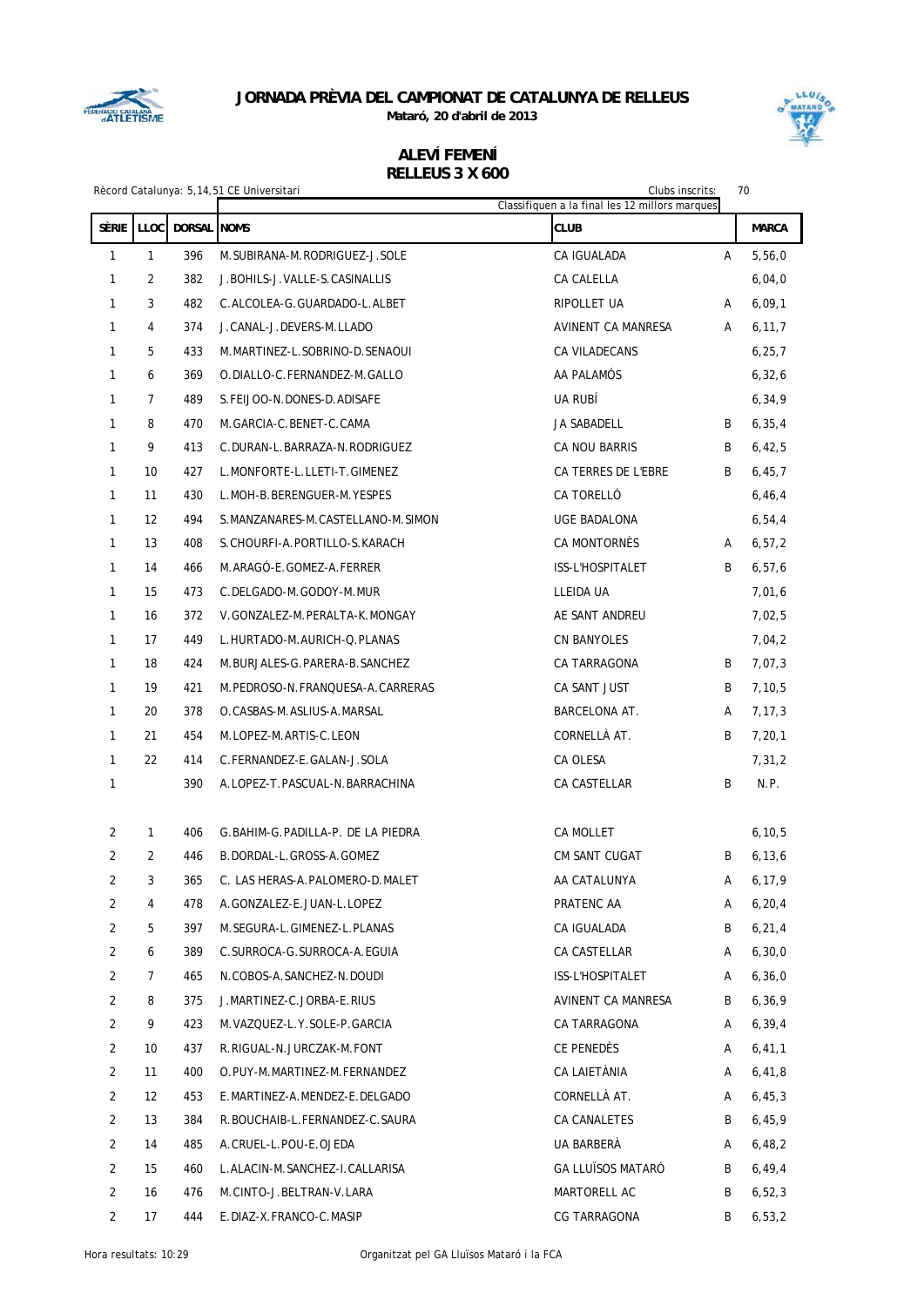

**Mataró, 20 d'abril de 2013**



|                   |                     |                    | Rècord Catalunya: 5,14,51 CE Universitari                      | Clubs inscrits:                                               |   | 70           |
|-------------------|---------------------|--------------------|----------------------------------------------------------------|---------------------------------------------------------------|---|--------------|
| SÈRIE             | LLOC                | <b>DORSAL NOMS</b> |                                                                | Classifiquen a la final les 12 millors marques<br><b>CLUB</b> |   | <b>MARCA</b> |
|                   |                     | 396                |                                                                |                                                               |   |              |
| $\mathbf{1}$      | $\mathbf{1}$        |                    | M. SUBIRANA-M. RODRIGUEZ-J. SOLE                               | CA IGUALADA                                                   | A | 5,56,0       |
| 1                 | $\overline{2}$      | 382                | J. BOHILS-J. VALLE-S. CASINALLIS                               | CA CALELLA                                                    |   | 6,04,0       |
| $\mathbf{1}$      | 3<br>$\overline{4}$ | 482                | C.ALCOLEA-G.GUARDADO-L.ALBET                                   | RIPOLLET UA                                                   | Α | 6,09,1       |
| $\mathbf{1}$      |                     | 374                | J.CANAL-J.DEVERS-M.LLADO                                       | AVINENT CA MANRESA                                            | A | 6, 11, 7     |
| $\mathbf{1}$      | 5                   | 433                | M.MARTINEZ-L.SOBRINO-D.SENAOUI<br>O.DIALLO-C.FERNANDEZ-M.GALLO | CA VILADECANS                                                 |   | 6, 25, 7     |
| 1                 | 6<br>$\overline{7}$ | 369                |                                                                | AA PALAMÓS                                                    |   | 6, 32, 6     |
| 1<br>$\mathbf{1}$ | 8                   | 489<br>470         | S. FEIJOO-N. DONES-D. ADISAFE<br>M.GARCIA-C.BENET-C.CAMA       | UA RUBÍ<br>JA SABADELL                                        |   | 6, 34, 9     |
|                   | 9                   |                    |                                                                |                                                               | B | 6, 35, 4     |
| 1                 |                     | 413                | C.DURAN-L.BARRAZA-N.RODRIGUEZ                                  | CA NOU BARRIS                                                 | B | 6,42,5       |
| 1                 | 10                  | 427                | L.MONFORTE-L.LLETI-T.GIMENEZ                                   | CA TERRES DE L'EBRE                                           | B | 6, 45, 7     |
| $\mathbf{1}$      | 11                  | 430                | L.MOH-B.BERENGUER-M.YESPES                                     | CA TORELLÓ                                                    |   | 6, 46, 4     |
| $\mathbf{1}$      | 12                  | 494                | S.MANZANARES-M.CASTELLANO-M.SIMON                              | UGE BADALONA                                                  |   | 6, 54, 4     |
| $\mathbf{1}$      | 13                  | 408                | S.CHOURFI-A.PORTILLO-S.KARACH                                  | CA MONTORNÈS                                                  | A | 6, 57, 2     |
| $\mathbf{1}$      | 14                  | 466                | M.ARAGÓ-E.GOMEZ-A.FERRER                                       | ISS-L'HOSPITALET                                              | B | 6, 57, 6     |
| $\mathbf{1}$      | 15                  | 473                | C.DELGADO-M.GODOY-M.MUR                                        | LLEIDA UA                                                     |   | 7,01,6       |
| 1                 | 16                  | 372                | V.GONZALEZ-M.PERALTA-K.MONGAY                                  | AE SANT ANDREU                                                |   | 7,02,5       |
| $\mathbf{1}$      | 17                  | 449                | L.HURTADO-M.AURICH-Q.PLANAS                                    | <b>CN BANYOLES</b>                                            |   | 7,04,2       |
| $\mathbf{1}$      | 18                  | 424                | M. BURJALES-G. PARERA-B. SANCHEZ                               | CA TARRAGONA                                                  | B | 7,07,3       |
| 1                 | 19                  | 421                | M.PEDROSO-N.FRANQUESA-A.CARRERAS                               | CA SANT JUST                                                  | B | 7,10,5       |
| 1                 | 20                  | 378                | O.CASBAS-M.ASLIUS-A.MARSAL                                     | BARCELONA AT.                                                 | A | 7, 17, 3     |
| $\mathbf{1}$      | 21                  | 454                | M.LOPEZ-M.ARTIS-C.LEON                                         | CORNELLÀ AT.                                                  | B | 7, 20, 1     |
| $\mathbf{1}$      | 22                  | 414                | C.FERNANDEZ-E.GALAN-J.SOLA                                     | CA OLESA                                                      |   | 7,31,2       |
| $\mathbf{1}$      |                     | 390                | A.LOPEZ-T.PASCUAL-N.BARRACHINA                                 | CA CASTELLAR                                                  | B | N.P.         |
|                   |                     |                    |                                                                |                                                               |   |              |
| 2                 | $\mathbf{1}$        | 406                | G.BAHIM-G.PADILLA-P. DE LA PIEDRA                              | <b>CA MOLLET</b>                                              |   | 6, 10, 5     |
| 2                 | $\overline{2}$      | 446                | B.DORDAL-L.GROSS-A.GOMEZ                                       | CM SANT CUGAT                                                 | B | 6, 13, 6     |
| 2                 | 3                   | 365                | C. LAS HERAS-A. PALOMERO-D. MALET                              | AA CATALUNYA                                                  | А | 6, 17, 9     |
| $\overline{2}$    | 4                   | 478                | A.GONZALEZ-E.JUAN-L.LOPEZ                                      | PRATENC AA                                                    | Α | 6, 20, 4     |
| $\overline{2}$    | 5                   | 397                | M.SEGURA-L.GIMENEZ-L.PLANAS                                    | CA IGUALADA                                                   | B | 6, 21, 4     |
| $\overline{2}$    | 6                   | 389                | C.SURROCA-G.SURROCA-A.EGUIA                                    | CA CASTELLAR                                                  | Α | 6, 30, 0     |
| 2                 | 7                   | 465                | N.COBOS-A.SANCHEZ-N.DOUDI                                      | ISS-L'HOSPITALET                                              | Α | 6, 36, 0     |
| $\overline{2}$    | 8                   | 375                | J.MARTINEZ-C.JORBA-E.RIUS                                      | AVINENT CA MANRESA                                            | B | 6, 36, 9     |
| $\overline{2}$    | 9                   | 423                | M. VAZQUEZ-L. Y. SOLE-P. GARCIA                                | CA TARRAGONA                                                  | Α | 6, 39, 4     |
| $\overline{2}$    | 10                  | 437                | R.RIGUAL-N.JURCZAK-M.FONT                                      | CE PENEDÈS                                                    | Α | 6, 41, 1     |
| $\overline{2}$    | 11                  | 400                | O.PUY-M.MARTINEZ-M.FERNANDEZ                                   | CA LAIETÀNIA                                                  | Α | 6,41,8       |
| $\overline{2}$    | 12                  | 453                | E.MARTINEZ-A.MENDEZ-E.DELGADO                                  | CORNELLÀ AT.                                                  | Α | 6,45,3       |
| $\overline{2}$    | 13                  | 384                | R.BOUCHAIB-L.FERNANDEZ-C.SAURA                                 | CA CANALETES                                                  | B | 6,45,9       |
| $\overline{2}$    | 14                  | 485                | A.CRUEL-L.POU-E.OJEDA                                          | UA BARBERÀ                                                    | Α | 6,48,2       |
| $\overline{2}$    | 15                  | 460                | L.ALACIN-M.SANCHEZ-I.CALLARISA                                 | <b>GA LLUÏSOS MATARÓ</b>                                      | B | 6, 49, 4     |
| $\overline{2}$    | 16                  | 476                | M.CINTO-J.BELTRAN-V.LARA                                       | MARTORELL AC                                                  | B | 6, 52, 3     |
| $\overline{2}$    | 17                  | 444                | E.DIAZ-X.FRANCO-C.MASIP                                        | CG TARRAGONA                                                  | B | 6, 53, 2     |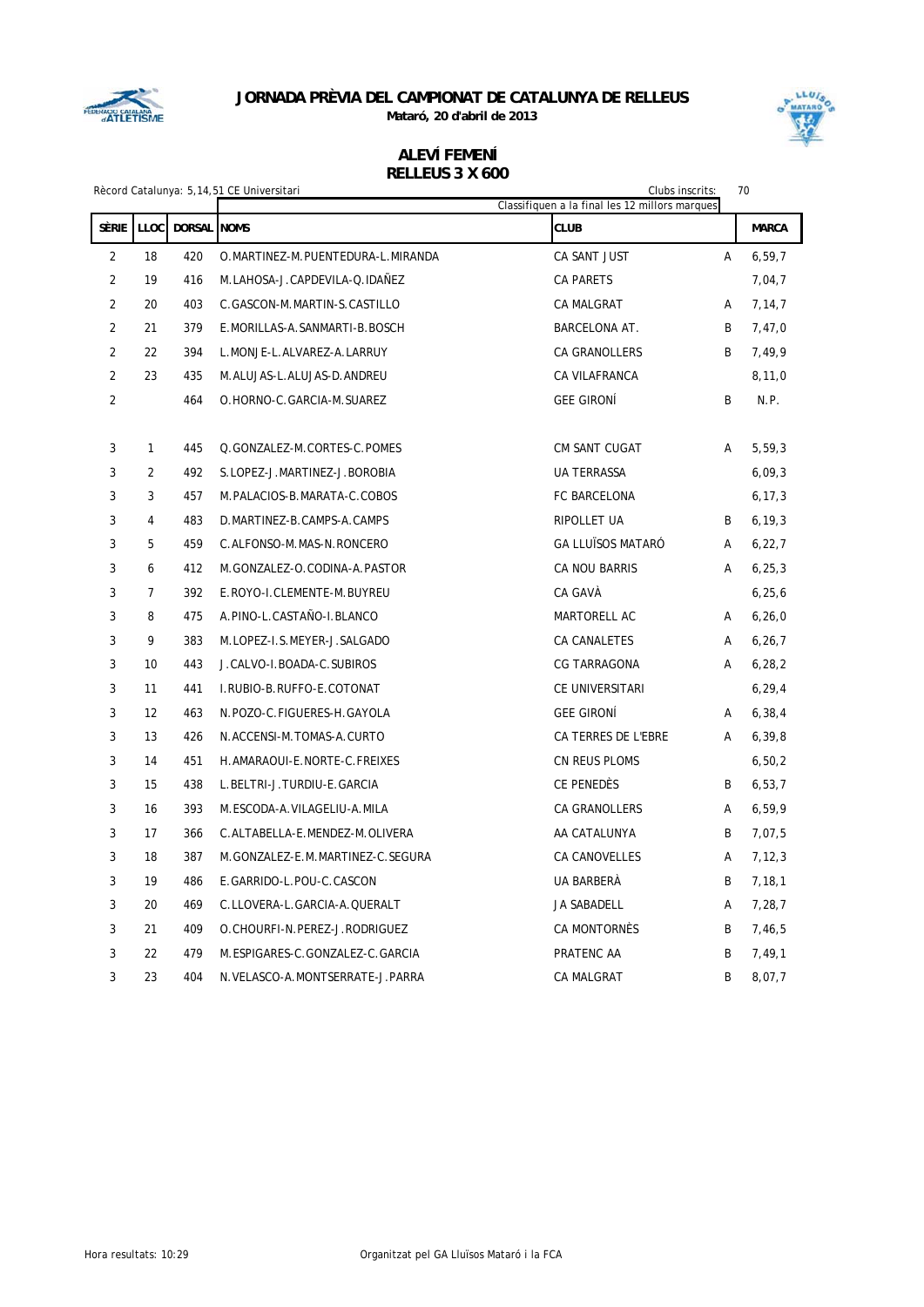

**Mataró, 20 d'abril de 2013**



| Rècord Catalunya: 5,14,51 CE Universitari<br>Clubs inscrits:<br>70<br>Classifiquen a la final les 12 millors marques |                |                    |                                    |                          |   |              |
|----------------------------------------------------------------------------------------------------------------------|----------------|--------------------|------------------------------------|--------------------------|---|--------------|
| SÈRIE                                                                                                                | LLOC           | <b>DORSAL</b> NOMS |                                    | <b>CLUB</b>              |   | <b>MARCA</b> |
| $\overline{2}$                                                                                                       | 18             | 420                | O.MARTINEZ-M.PUENTEDURA-L.MIRANDA  | CA SANT JUST             | A | 6, 59, 7     |
| $\overline{2}$                                                                                                       | 19             | 416                | M.LAHOSA-J.CAPDEVILA-Q.IDAÑEZ      | <b>CA PARETS</b>         |   | 7,04,7       |
| $\overline{2}$                                                                                                       | 20             | 403                | C.GASCON-M.MARTIN-S.CASTILLO       | <b>CA MALGRAT</b>        | Α | 7,14,7       |
| $\overline{2}$                                                                                                       | 21             | 379                | E.MORILLAS-A.SANMARTI-B.BOSCH      | <b>BARCELONA AT.</b>     | B | 7,47,0       |
| $\overline{2}$                                                                                                       | 22             | 394                | L.MONJE-L.ALVAREZ-A.LARRUY         | <b>CA GRANOLLERS</b>     | B | 7,49,9       |
| $\overline{2}$                                                                                                       | 23             | 435                | M.ALUJAS-L.ALUJAS-D.ANDREU         | CA VILAFRANCA            |   | 8, 11, 0     |
| $\overline{2}$                                                                                                       |                | 464                | O.HORNO-C.GARCIA-M.SUAREZ          | <b>GEE GIRONÍ</b>        | B | N.P.         |
| 3                                                                                                                    | 1              | 445                | Q.GONZALEZ-M.CORTES-C.POMES        | CM SANT CUGAT            | A | 5,59,3       |
| 3                                                                                                                    | $\overline{2}$ | 492                | S.LOPEZ-J.MARTINEZ-J.BOROBIA       | UA TERRASSA              |   | 6,09,3       |
| 3                                                                                                                    | 3              | 457                | M.PALACIOS-B.MARATA-C.COBOS        | FC BARCELONA             |   | 6, 17, 3     |
| 3                                                                                                                    | $\overline{4}$ | 483                | D.MARTINEZ-B.CAMPS-A.CAMPS         | RIPOLLET UA              | B | 6, 19, 3     |
| 3                                                                                                                    | 5              | 459                | C.ALFONSO-M.MAS-N.RONCERO          | <b>GA LLUÏSOS MATARO</b> | A | 6, 22, 7     |
| 3                                                                                                                    | 6              | 412                | M.GONZALEZ-O.CODINA-A.PASTOR       | CA NOU BARRIS            | Α | 6, 25, 3     |
| 3                                                                                                                    | $\overline{7}$ | 392                | E.ROYO-I.CLEMENTE-M.BUYREU         | CA GAVÀ                  |   | 6, 25, 6     |
| 3                                                                                                                    | 8              | 475                | A. PINO-L. CASTAÑO-I. BLANCO       | MARTORELL AC             | Α | 6, 26, 0     |
| 3                                                                                                                    | 9              | 383                | M.LOPEZ-I.S.MEYER-J.SALGADO        | <b>CA CANALETES</b>      | A | 6, 26, 7     |
| 3                                                                                                                    | 10             | 443                | J.CALVO-I.BOADA-C.SUBIROS          | <b>CG TARRAGONA</b>      | A | 6, 28, 2     |
| 3                                                                                                                    | 11             | 441                | I.RUBIO-B.RUFFO-E.COTONAT          | CE UNIVERSITARI          |   | 6, 29, 4     |
| 3                                                                                                                    | 12             | 463                | N.POZO-C.FIGUERES-H.GAYOLA         | <b>GEE GIRONÍ</b>        | A | 6, 38, 4     |
| 3                                                                                                                    | 13             | 426                | N.ACCENSI-M.TOMAS-A.CURTO          | CA TERRES DE L'EBRE      | A | 6, 39, 8     |
| 3                                                                                                                    | 14             | 451                | H. AMARAOUI-E. NORTE-C. FREIXES    | CN REUS PLOMS            |   | 6, 50, 2     |
| 3                                                                                                                    | 15             | 438                | L.BELTRI-J.TURDIU-E.GARCIA         | CE PENEDÈS               | B | 6, 53, 7     |
| 3                                                                                                                    | 16             | 393                | M.ESCODA-A.VILAGELIU-A.MILA        | CA GRANOLLERS            | Α | 6,59,9       |
| 3                                                                                                                    | 17             | 366                | C.ALTABELLA-E.MENDEZ-M.OLIVERA     | AA CATALUNYA             | B | 7,07,5       |
| 3                                                                                                                    | 18             | 387                | M.GONZALEZ-E.M.MARTINEZ-C.SEGURA   | CA CANOVELLES            | Α | 7, 12, 3     |
| 3                                                                                                                    | 19             | 486                | E.GARRIDO-L.POU-C.CASCON           | <b>UA BARBERÀ</b>        | B | 7,18,1       |
| 3                                                                                                                    | 20             | 469                | C.LLOVERA-L.GARCIA-A.QUERALT       | JA SABADELL              | Α | 7,28,7       |
| 3                                                                                                                    | 21             | 409                | O.CHOURFI-N.PEREZ-J.RODRIGUEZ      | CA MONTORNÈS             | B | 7,46,5       |
| 3                                                                                                                    | 22             | 479                | M.ESPIGARES-C.GONZALEZ-C.GARCIA    | PRATENC AA               | B | 7,49,1       |
| 3                                                                                                                    | 23             | 404                | N. VELASCO-A. MONTSERRATE-J. PARRA | <b>CA MALGRAT</b>        | B | 8,07,7       |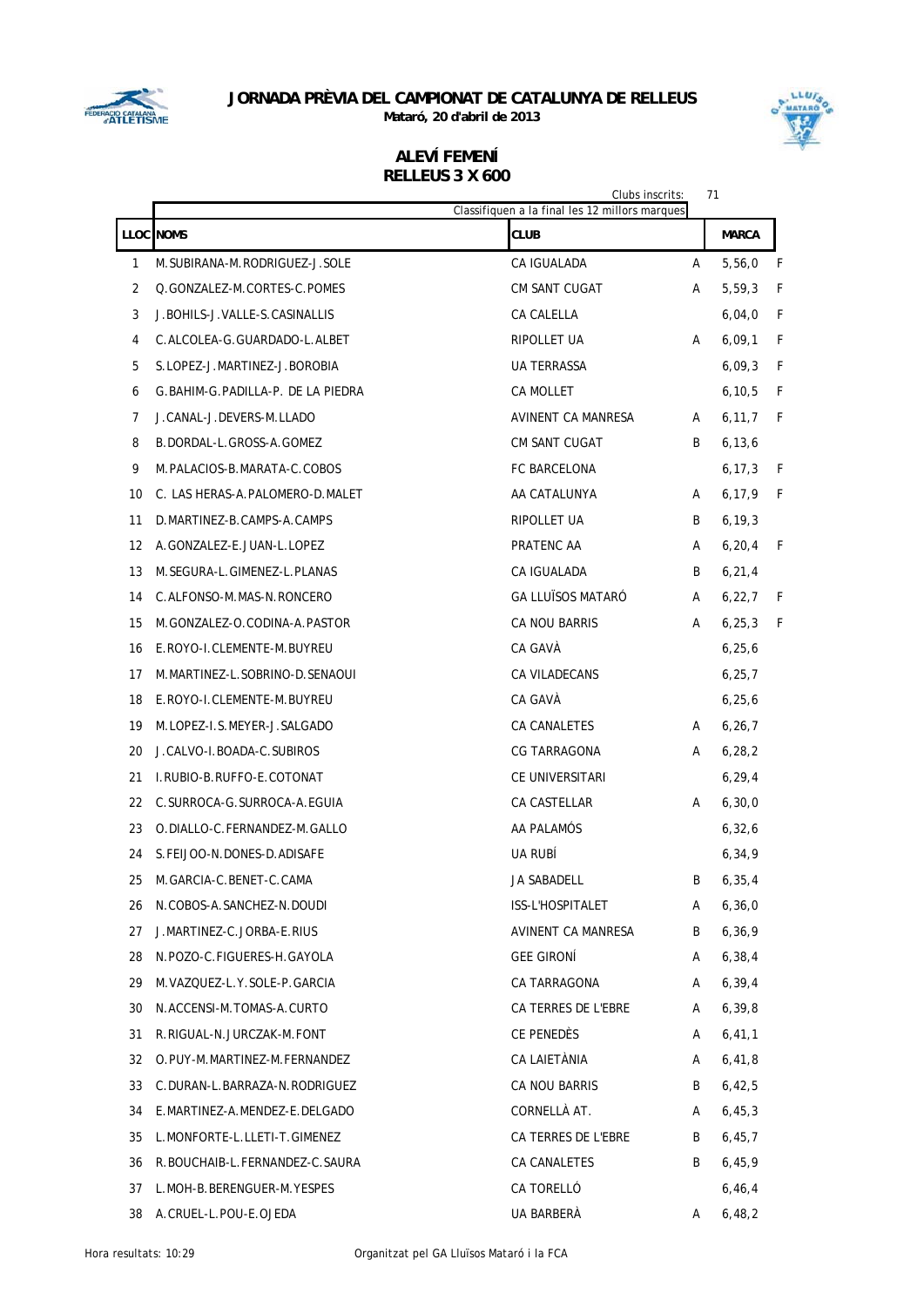

**Mataró, 20 d'abril de 2013**



|    |                                     | Clubs inscrits:<br>Classifiquen a la final les 12 millors marques |   | 71           |   |
|----|-------------------------------------|-------------------------------------------------------------------|---|--------------|---|
|    | <b>LLOC</b> NOMS                    | <b>CLUB</b>                                                       |   | <b>MARCA</b> |   |
| 1  | M. SUBIRANA-M. RODRIGUEZ-J. SOLE    | CA IGUALADA                                                       | A | 5,56,0       | F |
| 2  | Q.GONZALEZ-M.CORTES-C.POMES         | <b>CM SANT CUGAT</b>                                              | A | 5,59,3       | F |
| 3  | J. BOHILS-J. VALLE-S. CASINALLIS    | CA CALELLA                                                        |   | 6,04,0       | F |
| 4  | C.ALCOLEA-G.GUARDADO-L.ALBET        | RIPOLLET UA                                                       | A | 6,09,1       | F |
| 5  | S.LOPEZ-J.MARTINEZ-J.BOROBIA        | UA TERRASSA                                                       |   | 6,09,3       | F |
| 6  | G. BAHIM-G. PADILLA-P. DE LA PIEDRA | <b>CA MOLLET</b>                                                  |   | 6, 10, 5     | F |
| 7  | J.CANAL-J.DEVERS-M.LLADO            | AVINENT CA MANRESA                                                | A | 6, 11, 7     | F |
| 8  | B.DORDAL-L.GROSS-A.GOMEZ            | CM SANT CUGAT                                                     | B | 6, 13, 6     |   |
| 9  | M. PALACIOS-B. MARATA-C. COBOS      | FC BARCELONA                                                      |   | 6, 17, 3     | F |
| 10 | C. LAS HERAS-A. PALOMERO-D. MALET   | AA CATALUNYA                                                      | A | 6, 17, 9     | F |
| 11 | D. MARTINEZ-B. CAMPS-A. CAMPS       | RIPOLLET UA                                                       | B | 6, 19, 3     |   |
| 12 | A.GONZALEZ-E.JUAN-L.LOPEZ           | PRATENC AA                                                        | A | 6, 20, 4     | F |
| 13 | M. SEGURA-L. GIMENEZ-L. PLANAS      | CA IGUALADA                                                       | B | 6, 21, 4     |   |
| 14 | C.ALFONSO-M.MAS-N.RONCERO           | <b>GA LLUÏSOS MATARO</b>                                          | A | 6, 22, 7     | F |
| 15 | M.GONZALEZ-O.CODINA-A.PASTOR        | <b>CA NOU BARRIS</b>                                              | A | 6, 25, 3     | F |
| 16 | E.ROYO-I.CLEMENTE-M.BUYREU          | CA GAVÁ                                                           |   | 6, 25, 6     |   |
| 17 | M.MARTINEZ-L.SOBRINO-D.SENAOUI      | CA VILADECANS                                                     |   | 6, 25, 7     |   |
| 18 | E.ROYO-I.CLEMENTE-M.BUYREU          | CA GAVA                                                           |   | 6, 25, 6     |   |
| 19 | M.LOPEZ-I.S.MEYER-J.SALGADO         | CA CANALETES                                                      | A | 6, 26, 7     |   |
| 20 | J.CALVO-I.BOADA-C.SUBIROS           | CG TARRAGONA                                                      | A | 6, 28, 2     |   |
| 21 | I.RUBIO-B.RUFFO-E.COTONAT           | CE UNIVERSITARI                                                   |   | 6, 29, 4     |   |
| 22 | C. SURROCA-G. SURROCA-A. EGUIA      | CA CASTELLAR                                                      | A | 6, 30, 0     |   |
| 23 | O.DIALLO-C.FERNANDEZ-M.GALLO        | AA PALAMOS                                                        |   | 6, 32, 6     |   |
| 24 | S. FELJOO-N. DONES-D. ADISAFE       | UA RUBI                                                           |   | 6, 34, 9     |   |
| 25 | M. GARCIA-C. BENET-C. CAMA          | JA SABADELL                                                       | B | 6, 35, 4     |   |
| 26 | N.COBOS-A.SANCHEZ-N.DOUDI           | ISS-L'HOSPITALET                                                  | A | 6, 36, 0     |   |
| 27 | J.MARTINEZ-C.JORBA-E.RIUS           | AVINENT CA MANRESA                                                | B | 6, 36, 9     |   |
| 28 | N.POZO-C.FIGUERES-H.GAYOLA          | <b>GEE GIRONÍ</b>                                                 | A | 6, 38, 4     |   |
| 29 | M. VAZQUEZ-L. Y. SOLE-P. GARCIA     | CA TARRAGONA                                                      | A | 6, 39, 4     |   |
| 30 | N.ACCENSI-M.TOMAS-A.CURTO           | CA TERRES DE L'EBRE                                               | A | 6, 39, 8     |   |
| 31 | R.RIGUAL-N.JURCZAK-M.FONT           | CE PENEDES                                                        | A | 6, 41, 1     |   |
| 32 | O.PUY-M.MARTINEZ-M.FERNANDEZ        | CA LAIETÀNIA                                                      | A | 6,41,8       |   |
| 33 | C.DURAN-L.BARRAZA-N.RODRIGUEZ       | CA NOU BARRIS                                                     | B | 6,42,5       |   |
| 34 | E.MARTINEZ-A.MENDEZ-E.DELGADO       | CORNELLÀ AT.                                                      | A | 6,45,3       |   |
| 35 | L.MONFORTE-L.LLETI-T.GIMENEZ        | CA TERRES DE L'EBRE                                               | B | 6,45,7       |   |
| 36 | R. BOUCHAIB-L. FERNANDEZ-C. SAURA   | CA CANALETES                                                      | B | 6,45,9       |   |
| 37 | L.MOH-B.BERENGUER-M.YESPES          | CA TORELLÓ                                                        |   | 6, 46, 4     |   |
| 38 | A.CRUEL-L.POU-E.OJEDA               | UA BARBERÀ                                                        | A | 6,48,2       |   |